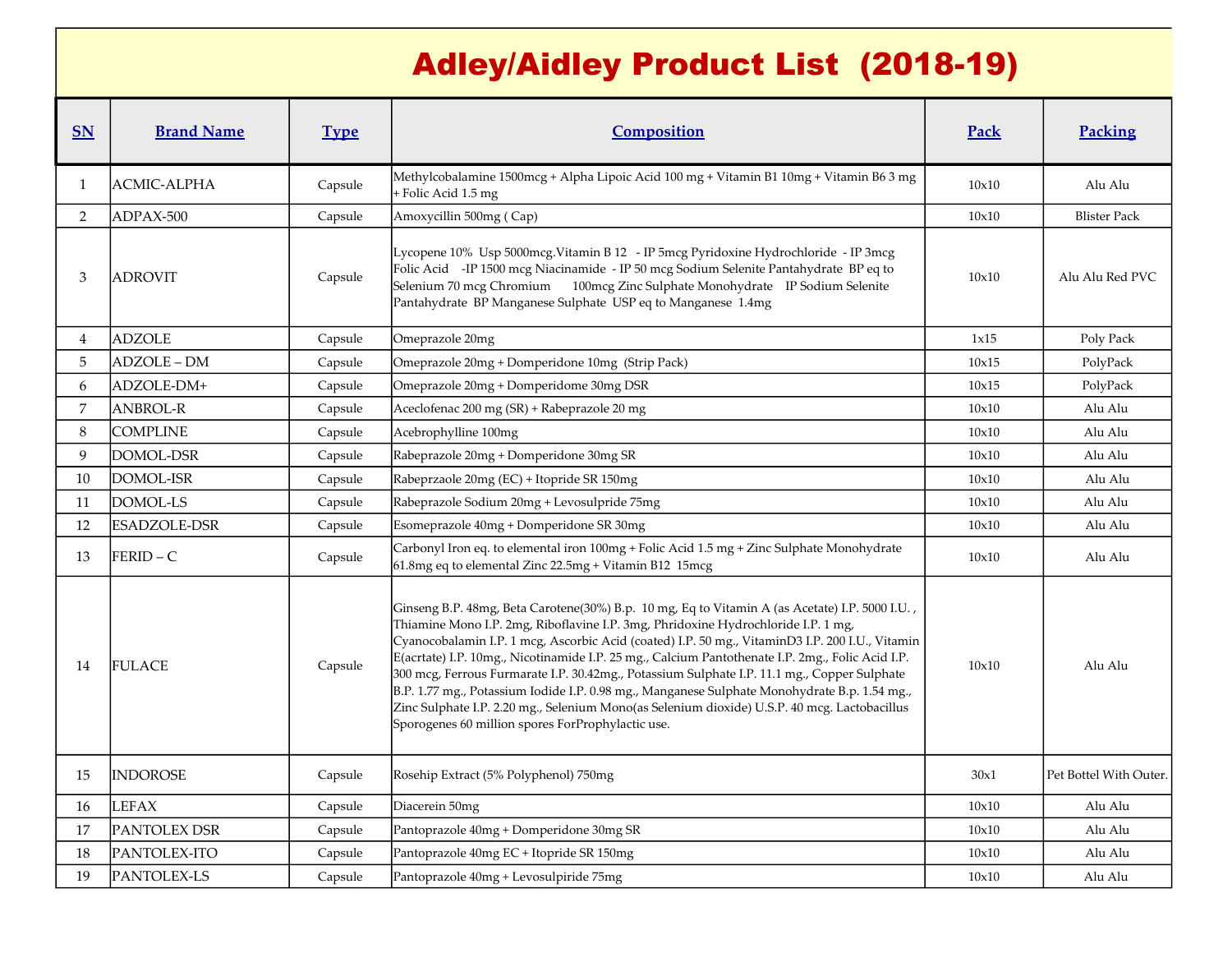## Adley/Aidley Product List (2018-19)

| $S_{N}$        | <b>Brand Name</b>   | <b>Type</b> | Composition                                                                                                                                                                                                                                                                                                                                                                                                                                                                                                                                                                                                                                                                                                                                    | Pack  | Packing                |
|----------------|---------------------|-------------|------------------------------------------------------------------------------------------------------------------------------------------------------------------------------------------------------------------------------------------------------------------------------------------------------------------------------------------------------------------------------------------------------------------------------------------------------------------------------------------------------------------------------------------------------------------------------------------------------------------------------------------------------------------------------------------------------------------------------------------------|-------|------------------------|
| 1              | <b>ACMIC-ALPHA</b>  | Capsule     | Methylcobalamine 1500mcg + Alpha Lipoic Acid 100 mg + Vitamin B1 10mg + Vitamin B6 3 mg<br>+ Folic Acid 1.5 mg                                                                                                                                                                                                                                                                                                                                                                                                                                                                                                                                                                                                                                 | 10x10 | Alu Alu                |
| $\overline{2}$ | ADPAX-500           | Capsule     | Amoxycillin 500mg (Cap)                                                                                                                                                                                                                                                                                                                                                                                                                                                                                                                                                                                                                                                                                                                        | 10x10 | <b>Blister Pack</b>    |
| 3              | <b>ADROVIT</b>      | Capsule     | Lycopene 10% Usp 5000mcg. Vitamin B 12 - IP 5mcg Pyridoxine Hydrochloride - IP 3mcg<br>Folic Acid -IP 1500 mcg Niacinamide - IP 50 mcg Sodium Selenite Pantahydrate BP eq to<br>Selenium 70 mcg Chromium 100mcg Zinc Sulphate Monohydrate IP Sodium Selenite<br>Pantahydrate BP Manganese Sulphate USP eq to Manganese 1.4mg                                                                                                                                                                                                                                                                                                                                                                                                                   | 10x10 | Alu Alu Red PVC        |
| 4              | <b>ADZOLE</b>       | Capsule     | Omeprazole 20mg                                                                                                                                                                                                                                                                                                                                                                                                                                                                                                                                                                                                                                                                                                                                | 1x15  | Poly Pack              |
| 5              | ADZOLE-DM           | Capsule     | Omeprazole 20mg + Domperidone 10mg (Strip Pack)                                                                                                                                                                                                                                                                                                                                                                                                                                                                                                                                                                                                                                                                                                | 10x15 | PolyPack               |
| 6              | ADZOLE-DM+          | Capsule     | Omeprazole 20mg + Domperidome 30mg DSR                                                                                                                                                                                                                                                                                                                                                                                                                                                                                                                                                                                                                                                                                                         | 10x15 | PolyPack               |
| 7              | <b>ANBROL-R</b>     | Capsule     | Aceclofenac 200 mg (SR) + Rabeprazole 20 mg                                                                                                                                                                                                                                                                                                                                                                                                                                                                                                                                                                                                                                                                                                    | 10x10 | Alu Alu                |
| 8              | <b>COMPLINE</b>     | Capsule     | Acebrophylline 100mg                                                                                                                                                                                                                                                                                                                                                                                                                                                                                                                                                                                                                                                                                                                           | 10x10 | Alu Alu                |
| 9              | DOMOL-DSR           | Capsule     | Rabeprazole 20mg + Domperidone 30mg SR                                                                                                                                                                                                                                                                                                                                                                                                                                                                                                                                                                                                                                                                                                         | 10x10 | Alu Alu                |
| 10             | DOMOL-ISR           | Capsule     | Rabeprzaole 20mg (EC) + Itopride SR 150mg                                                                                                                                                                                                                                                                                                                                                                                                                                                                                                                                                                                                                                                                                                      | 10x10 | Alu Alu                |
| 11             | DOMOL-LS            | Capsule     | Rabeprazole Sodium 20mg + Levosulpride 75mg                                                                                                                                                                                                                                                                                                                                                                                                                                                                                                                                                                                                                                                                                                    | 10x10 | Alu Alu                |
| 12             | <b>ESADZOLE-DSR</b> | Capsule     | Esomeprazole 40mg + Domperidone SR 30mg                                                                                                                                                                                                                                                                                                                                                                                                                                                                                                                                                                                                                                                                                                        | 10x10 | Alu Alu                |
| 13             | $FERID - C$         | Capsule     | Carbonyl Iron eq. to elemental iron 100mg + Folic Acid 1.5 mg + Zinc Sulphate Monohydrate<br>61.8mg eq to elemental Zinc 22.5mg + Vitamin B12 15mcg                                                                                                                                                                                                                                                                                                                                                                                                                                                                                                                                                                                            | 10x10 | Alu Alu                |
| 14             | <b>FULACE</b>       | Capsule     | Ginseng B.P. 48mg, Beta Carotene(30%) B.p. 10 mg, Eq to Vitamin A (as Acetate) I.P. 5000 I.U.,<br>Thiamine Mono I.P. 2mg, Riboflavine I.P. 3mg, Phridoxine Hydrochloride I.P. 1 mg,<br>Cyanocobalamin I.P. 1 mcg, Ascorbic Acid (coated) I.P. 50 mg., VitaminD3 I.P. 200 I.U., Vitamin<br>E(acrtate) I.P. 10mg., Nicotinamide I.P. 25 mg., Calcium Pantothenate I.P. 2mg., Folic Acid I.P.<br>300 mcg, Ferrous Furmarate I.P. 30.42mg., Potassium Sulphate I.P. 11.1 mg., Copper Sulphate<br>B.P. 1.77 mg., Potassium Iodide I.P. 0.98 mg., Manganese Sulphate Monohydrate B.p. 1.54 mg.,<br>Zinc Sulphate I.P. 2.20 mg., Selenium Mono(as Selenium dioxide) U.S.P. 40 mcg. Lactobacillus<br>Sporogenes 60 million spores ForProphylactic use. | 10x10 | Alu Alu                |
| 15             | <b>INDOROSE</b>     | Capsule     | Rosehip Extract (5% Polyphenol) 750mg                                                                                                                                                                                                                                                                                                                                                                                                                                                                                                                                                                                                                                                                                                          | 30x1  | Pet Bottel With Outer. |
| 16             | <b>LEFAX</b>        | Capsule     | Diacerein 50mg                                                                                                                                                                                                                                                                                                                                                                                                                                                                                                                                                                                                                                                                                                                                 | 10x10 | Alu Alu                |
| 17             | PANTOLEX DSR        | Capsule     | Pantoprazole 40mg + Domperidone 30mg SR                                                                                                                                                                                                                                                                                                                                                                                                                                                                                                                                                                                                                                                                                                        | 10x10 | Alu Alu                |
| 18             | PANTOLEX-ITO        | Capsule     | Pantoprazole 40mg EC + Itopride SR 150mg                                                                                                                                                                                                                                                                                                                                                                                                                                                                                                                                                                                                                                                                                                       | 10x10 | Alu Alu                |
| 19             | <b>PANTOLEX-LS</b>  | Capsule     | Pantoprazole 40mg + Levosulpiride 75mg                                                                                                                                                                                                                                                                                                                                                                                                                                                                                                                                                                                                                                                                                                         | 10x10 | Alu Alu                |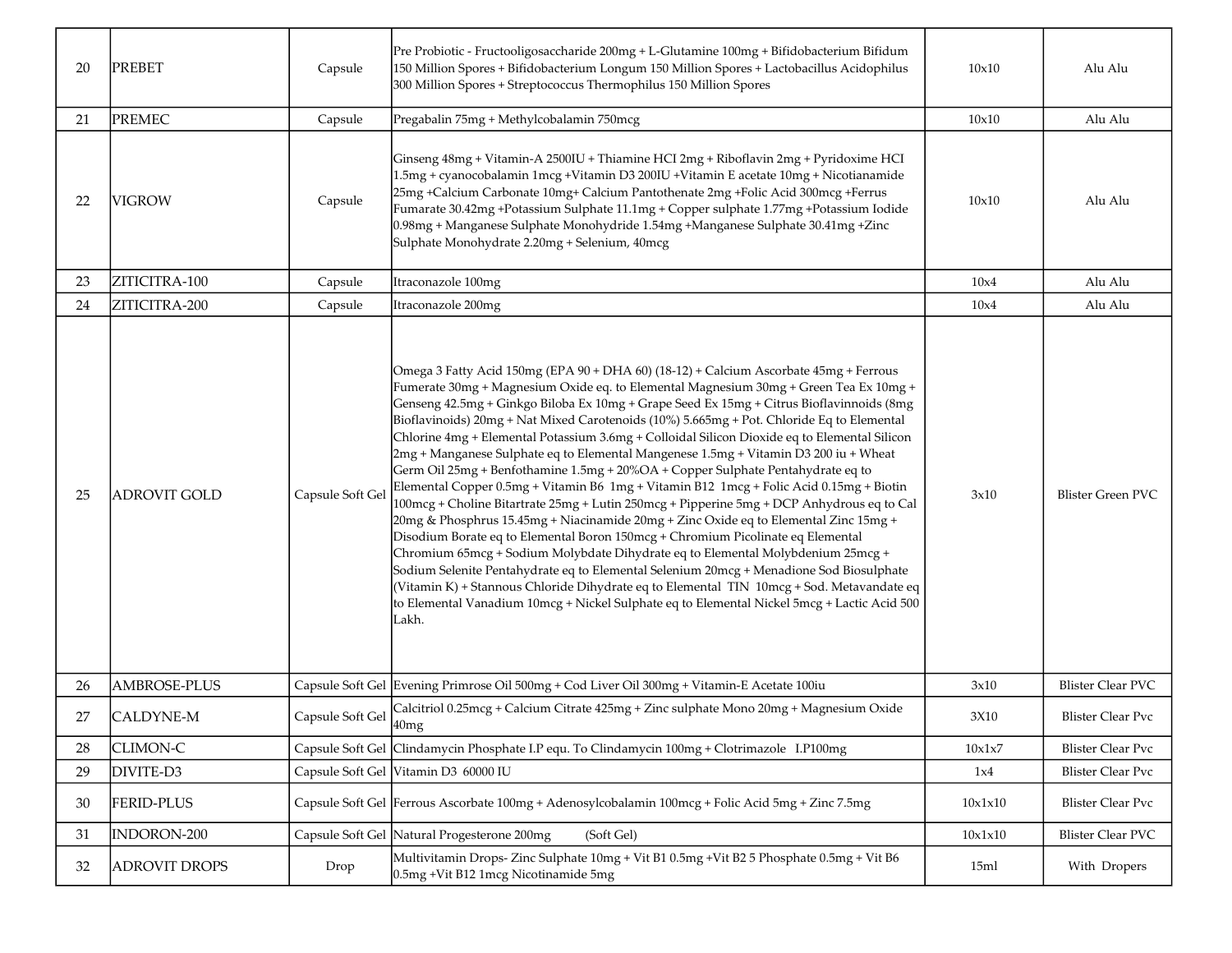| 20 | <b>PREBET</b>        | Capsule          | Pre Probiotic - Fructooligosaccharide 200mg + L-Glutamine 100mg + Bifidobacterium Bifidum<br>150 Million Spores + Bifidobacterium Longum 150 Million Spores + Lactobacillus Acidophilus<br>300 Million Spores + Streptococcus Thermophilus 150 Million Spores                                                                                                                                                                                                                                                                                                                                                                                                                                                                                                                                                                                                                                                                                                                                                                                                                                                                                                                                                                                                                                                                                                                                            | 10x10   | Alu Alu                  |
|----|----------------------|------------------|----------------------------------------------------------------------------------------------------------------------------------------------------------------------------------------------------------------------------------------------------------------------------------------------------------------------------------------------------------------------------------------------------------------------------------------------------------------------------------------------------------------------------------------------------------------------------------------------------------------------------------------------------------------------------------------------------------------------------------------------------------------------------------------------------------------------------------------------------------------------------------------------------------------------------------------------------------------------------------------------------------------------------------------------------------------------------------------------------------------------------------------------------------------------------------------------------------------------------------------------------------------------------------------------------------------------------------------------------------------------------------------------------------|---------|--------------------------|
| 21 | <b>PREMEC</b>        | Capsule          | Pregabalin 75mg + Methylcobalamin 750mcg                                                                                                                                                                                                                                                                                                                                                                                                                                                                                                                                                                                                                                                                                                                                                                                                                                                                                                                                                                                                                                                                                                                                                                                                                                                                                                                                                                 | 10x10   | Alu Alu                  |
| 22 | <b>VIGROW</b>        | Capsule          | Ginseng 48mg + Vitamin-A 2500IU + Thiamine HCI 2mg + Riboflavin 2mg + Pyridoxime HCI<br>1.5mg + cyanocobalamin 1mcg +Vitamin D3 200IU +Vitamin E acetate 10mg + Nicotianamide<br>25mg +Calcium Carbonate 10mg+ Calcium Pantothenate 2mg +Folic Acid 300mcg +Ferrus<br>Fumarate 30.42mg +Potassium Sulphate 11.1mg + Copper sulphate 1.77mg +Potassium Iodide<br>0.98mg + Manganese Sulphate Monohydride 1.54mg + Manganese Sulphate 30.41mg + Zinc<br>Sulphate Monohydrate 2.20mg + Selenium, 40mcg                                                                                                                                                                                                                                                                                                                                                                                                                                                                                                                                                                                                                                                                                                                                                                                                                                                                                                      | 10x10   | Alu Alu                  |
| 23 | ZITICITRA-100        | Capsule          | Itraconazole 100mg                                                                                                                                                                                                                                                                                                                                                                                                                                                                                                                                                                                                                                                                                                                                                                                                                                                                                                                                                                                                                                                                                                                                                                                                                                                                                                                                                                                       | 10x4    | Alu Alu                  |
| 24 | ZITICITRA-200        | Capsule          | Itraconazole 200mg                                                                                                                                                                                                                                                                                                                                                                                                                                                                                                                                                                                                                                                                                                                                                                                                                                                                                                                                                                                                                                                                                                                                                                                                                                                                                                                                                                                       | 10x4    | Alu Alu                  |
| 25 | <b>ADROVIT GOLD</b>  | Capsule Soft Gel | Omega 3 Fatty Acid 150mg (EPA 90 + DHA 60) (18-12) + Calcium Ascorbate 45mg + Ferrous<br>Fumerate 30mg + Magnesium Oxide eq. to Elemental Magnesium 30mg + Green Tea Ex 10mg +<br>Genseng 42.5mg + Ginkgo Biloba Ex 10mg + Grape Seed Ex 15mg + Citrus Bioflavinnoids (8mg<br>Bioflavinoids) 20mg + Nat Mixed Carotenoids (10%) 5.665mg + Pot. Chloride Eq to Elemental<br>Chlorine 4mg + Elemental Potassium 3.6mg + Colloidal Silicon Dioxide eq to Elemental Silicon<br>2mg + Manganese Sulphate eq to Elemental Mangenese 1.5mg + Vitamin D3 200 iu + Wheat<br>Germ Oil 25mg + Benfothamine 1.5mg + 20%OA + Copper Sulphate Pentahydrate eq to<br>Elemental Copper 0.5mg + Vitamin B6 1mg + Vitamin B12 1mcg + Folic Acid 0.15mg + Biotin<br>100mcg + Choline Bitartrate 25mg + Lutin 250mcg + Pipperine 5mg + DCP Anhydrous eq to Cal<br>20mg & Phosphrus 15.45mg + Niacinamide 20mg + Zinc Oxide eq to Elemental Zinc 15mg +<br>Disodium Borate eq to Elemental Boron 150mcg + Chromium Picolinate eq Elemental<br>Chromium 65mcg + Sodium Molybdate Dihydrate eq to Elemental Molybdenium 25mcg +<br>Sodium Selenite Pentahydrate eq to Elemental Selenium 20mcg + Menadione Sod Biosulphate<br>(Vitamin K) + Stannous Chloride Dihydrate eq to Elemental TIN 10mcg + Sod. Metavandate eq<br>to Elemental Vanadium 10mcg + Nickel Sulphate eq to Elemental Nickel 5mcg + Lactic Acid 500<br>Lakh. | 3x10    | <b>Blister Green PVC</b> |
| 26 | <b>AMBROSE-PLUS</b>  |                  | Capsule Soft Gel Evening Primrose Oil 500mg + Cod Liver Oil 300mg + Vitamin-E Acetate 100iu                                                                                                                                                                                                                                                                                                                                                                                                                                                                                                                                                                                                                                                                                                                                                                                                                                                                                                                                                                                                                                                                                                                                                                                                                                                                                                              | 3x10    | <b>Blister Clear PVC</b> |
| 27 | <b>CALDYNE-M</b>     | Capsule Soft Gel | Calcitriol 0.25mcg + Calcium Citrate 425mg + Zinc sulphate Mono 20mg + Magnesium Oxide<br>40mg                                                                                                                                                                                                                                                                                                                                                                                                                                                                                                                                                                                                                                                                                                                                                                                                                                                                                                                                                                                                                                                                                                                                                                                                                                                                                                           | 3X10    | <b>Blister Clear Pvc</b> |
| 28 | <b>CLIMON-C</b>      | Capsule Soft Gel | Clindamycin Phosphate I.P equ. To Clindamycin 100mg + Clotrimazole I.P100mg                                                                                                                                                                                                                                                                                                                                                                                                                                                                                                                                                                                                                                                                                                                                                                                                                                                                                                                                                                                                                                                                                                                                                                                                                                                                                                                              | 10x1x7  | <b>Blister Clear Pvc</b> |
| 29 | DIVITE-D3            |                  | Capsule Soft Gel Vitamin D3 60000 IU                                                                                                                                                                                                                                                                                                                                                                                                                                                                                                                                                                                                                                                                                                                                                                                                                                                                                                                                                                                                                                                                                                                                                                                                                                                                                                                                                                     | 1x4     | <b>Blister Clear Pvc</b> |
| 30 | <b>FERID-PLUS</b>    |                  | Capsule Soft Gel Ferrous Ascorbate 100mg + Adenosylcobalamin 100mcg + Folic Acid 5mg + Zinc 7.5mg                                                                                                                                                                                                                                                                                                                                                                                                                                                                                                                                                                                                                                                                                                                                                                                                                                                                                                                                                                                                                                                                                                                                                                                                                                                                                                        | 10x1x10 | <b>Blister Clear Pvc</b> |
| 31 | INDORON-200          |                  | Capsule Soft Gel Natural Progesterone 200mg<br>(Soft Gel)                                                                                                                                                                                                                                                                                                                                                                                                                                                                                                                                                                                                                                                                                                                                                                                                                                                                                                                                                                                                                                                                                                                                                                                                                                                                                                                                                | 10x1x10 | <b>Blister Clear PVC</b> |
| 32 | <b>ADROVIT DROPS</b> | Drop             | Multivitamin Drops- Zinc Sulphate 10mg + Vit B1 0.5mg + Vit B2 5 Phosphate 0.5mg + Vit B6<br>0.5mg +Vit B12 1mcg Nicotinamide 5mg                                                                                                                                                                                                                                                                                                                                                                                                                                                                                                                                                                                                                                                                                                                                                                                                                                                                                                                                                                                                                                                                                                                                                                                                                                                                        | 15ml    | With Dropers             |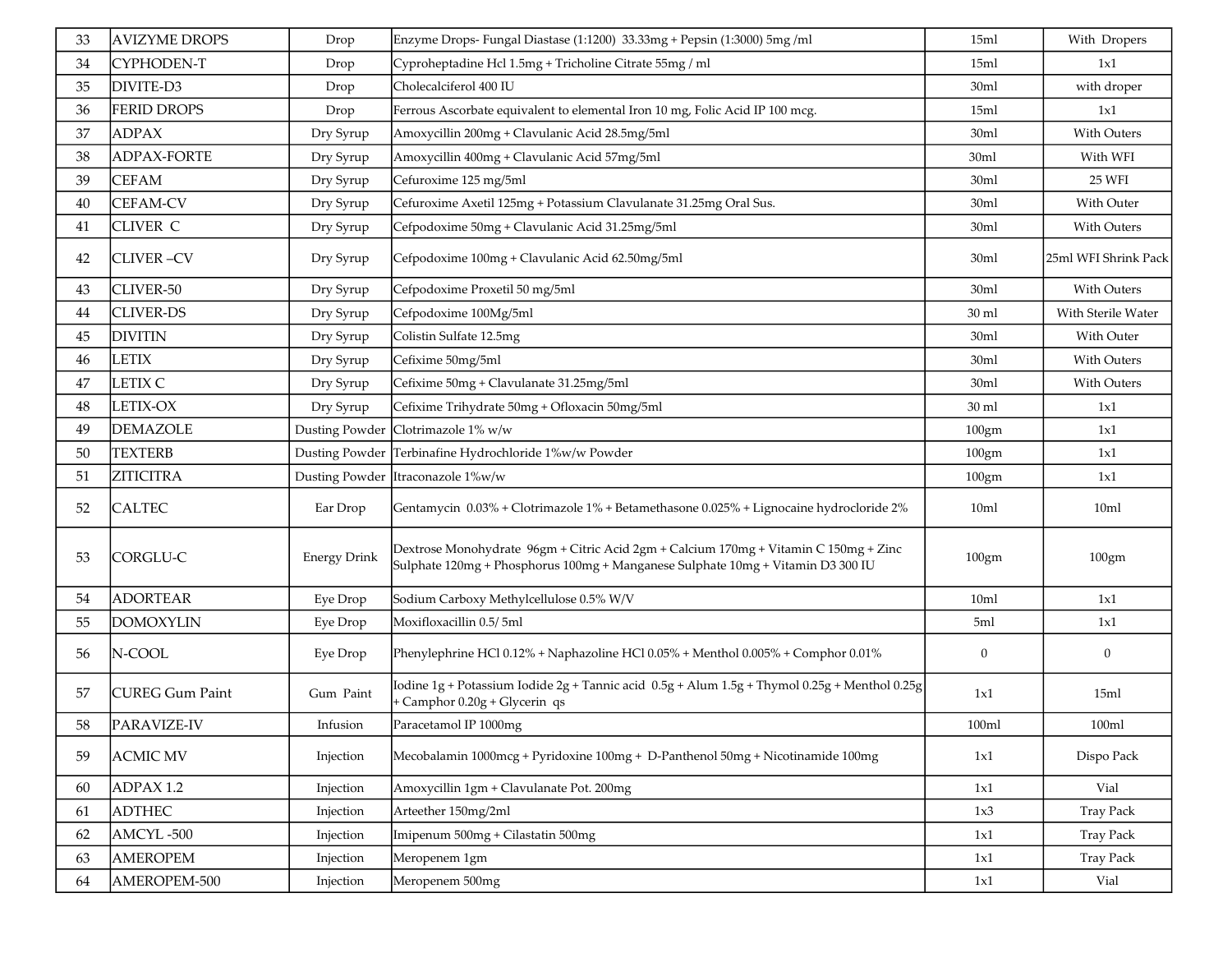| 33 | <b>AVIZYME DROPS</b>   | Drop                | Enzyme Drops- Fungal Diastase (1:1200) 33.33mg + Pepsin (1:3000) 5mg /ml                                                                                                | 15ml             | With Dropers         |
|----|------------------------|---------------------|-------------------------------------------------------------------------------------------------------------------------------------------------------------------------|------------------|----------------------|
| 34 | CYPHODEN-T             | Drop                | Cyproheptadine Hcl 1.5mg + Tricholine Citrate 55mg / ml                                                                                                                 | 15ml             | 1x1                  |
| 35 | DIVITE-D3              | Drop                | Cholecalciferol 400 IU                                                                                                                                                  | 30ml             | with droper          |
| 36 | <b>FERID DROPS</b>     | Drop                | Ferrous Ascorbate equivalent to elemental Iron 10 mg, Folic Acid IP 100 mcg.                                                                                            | 15ml             | 1x1                  |
| 37 | <b>ADPAX</b>           | Dry Syrup           | Amoxycillin 200mg + Clavulanic Acid 28.5mg/5ml                                                                                                                          | 30ml             | <b>With Outers</b>   |
| 38 | <b>ADPAX-FORTE</b>     | Dry Syrup           | Amoxycillin 400mg + Clavulanic Acid 57mg/5ml                                                                                                                            | 30ml             | With WFI             |
| 39 | <b>CEFAM</b>           | Dry Syrup           | Cefuroxime 125 mg/5ml                                                                                                                                                   | 30ml             | 25 WFI               |
| 40 | <b>CEFAM-CV</b>        | Dry Syrup           | Cefuroxime Axetil 125mg + Potassium Clavulanate 31.25mg Oral Sus.                                                                                                       | 30ml             | With Outer           |
| 41 | <b>CLIVER C</b>        | Dry Syrup           | Cefpodoxime 50mg + Clavulanic Acid 31.25mg/5ml                                                                                                                          | 30ml             | <b>With Outers</b>   |
| 42 | <b>CLIVER-CV</b>       | Dry Syrup           | Cefpodoxime 100mg + Clavulanic Acid 62.50mg/5ml                                                                                                                         | 30ml             | 25ml WFI Shrink Pack |
| 43 | CLIVER-50              | Dry Syrup           | Cefpodoxime Proxetil 50 mg/5ml                                                                                                                                          | 30ml             | With Outers          |
| 44 | <b>CLIVER-DS</b>       | Dry Syrup           | Cefpodoxime 100Mg/5ml                                                                                                                                                   | 30 ml            | With Sterile Water   |
| 45 | <b>DIVITIN</b>         | Dry Syrup           | Colistin Sulfate 12.5mg                                                                                                                                                 | 30ml             | With Outer           |
| 46 | <b>LETIX</b>           | Dry Syrup           | Cefixime 50mg/5ml                                                                                                                                                       | 30ml             | With Outers          |
| 47 | LETIX C                | Dry Syrup           | Cefixime 50mg + Clavulanate 31.25mg/5ml                                                                                                                                 | 30ml             | <b>With Outers</b>   |
| 48 | LETIX-OX               | Dry Syrup           | Cefixime Trihydrate 50mg + Ofloxacin 50mg/5ml                                                                                                                           | 30 ml            | 1x1                  |
| 49 | <b>DEMAZOLE</b>        | Dusting Powder      | Clotrimazole 1% w/w                                                                                                                                                     | 100gm            | 1x1                  |
| 50 | <b>TEXTERB</b>         | Dusting Powder      | Terbinafine Hydrochloride 1%w/w Powder                                                                                                                                  | 100gm            | 1x1                  |
| 51 | <b>ZITICITRA</b>       | Dusting Powder      | Itraconazole 1%w/w                                                                                                                                                      | 100gm            | 1x1                  |
| 52 | <b>CALTEC</b>          | Ear Drop            | Gentamycin 0.03% + Clotrimazole 1% + Betamethasone 0.025% + Lignocaine hydrocloride 2%                                                                                  | 10 <sub>ml</sub> | 10ml                 |
| 53 | CORGLU-C               | <b>Energy Drink</b> | Dextrose Monohydrate 96gm + Citric Acid 2gm + Calcium 170mg + Vitamin C 150mg + Zinc<br>Sulphate 120mg + Phosphorus 100mg + Manganese Sulphate 10mg + Vitamin D3 300 IU | 100gm            | 100gm                |
| 54 | <b>ADORTEAR</b>        | Eye Drop            | Sodium Carboxy Methylcellulose 0.5% W/V                                                                                                                                 | 10ml             | 1x1                  |
| 55 | <b>DOMOXYLIN</b>       | Eye Drop            | Moxifloxacillin 0.5/5ml                                                                                                                                                 | 5ml              | 1x1                  |
| 56 | N-COOL                 | Eye Drop            | Phenylephrine HCl 0.12% + Naphazoline HCl 0.05% + Menthol 0.005% + Comphor 0.01%                                                                                        | $\boldsymbol{0}$ | $\boldsymbol{0}$     |
| 57 | <b>CUREG Gum Paint</b> | Gum Paint           | lodine 1g + Potassium Iodide 2g + Tannic acid  0.5g + Alum 1.5g + Thymol 0.25g + Menthol 0.25g<br>+ Camphor 0.20g + Glycerin qs                                         | 1x1              | 15ml                 |
| 58 | PARAVIZE-IV            | Infusion            | Paracetamol IP 1000mg                                                                                                                                                   | 100ml            | 100ml                |
| 59 | <b>ACMIC MV</b>        | Injection           | Mecobalamin 1000mcg + Pyridoxine 100mg + D-Panthenol 50mg + Nicotinamide 100mg                                                                                          | 1x1              | Dispo Pack           |
| 60 | ADPAX 1.2              | Injection           | Amoxycillin 1gm + Clavulanate Pot. 200mg                                                                                                                                | 1x1              | Vial                 |
| 61 | <b>ADTHEC</b>          | Injection           | Arteether 150mg/2ml                                                                                                                                                     | 1x3              | <b>Tray Pack</b>     |
| 62 | AMCYL-500              | Injection           | Imipenum 500mg + Cilastatin 500mg                                                                                                                                       | 1x1              | <b>Tray Pack</b>     |
| 63 | <b>AMEROPEM</b>        | Injection           | Meropenem 1gm                                                                                                                                                           | 1x1              | <b>Tray Pack</b>     |
| 64 | AMEROPEM-500           | Injection           | Meropenem 500mg                                                                                                                                                         | 1x1              | Vial                 |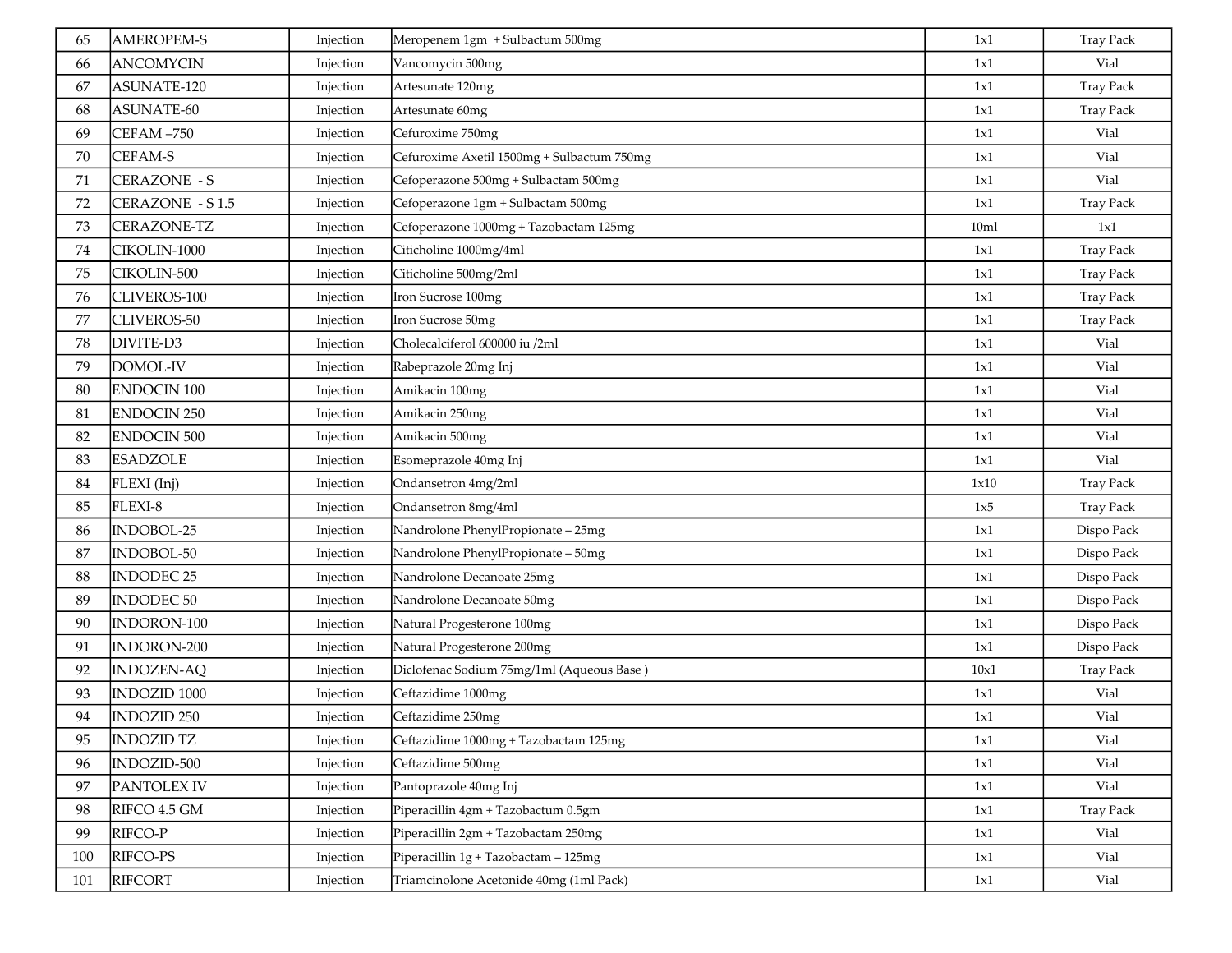| 65  | <b>AMEROPEM-S</b>  | Injection | Meropenem 1gm + Sulbactum 500mg            | 1x1             | <b>Tray Pack</b> |
|-----|--------------------|-----------|--------------------------------------------|-----------------|------------------|
| 66  | <b>ANCOMYCIN</b>   | Injection | Vancomycin 500mg                           | 1x1             | Vial             |
| 67  | ASUNATE-120        | Injection | Artesunate 120mg                           | 1x1             | <b>Tray Pack</b> |
| 68  | ASUNATE-60         | Injection | Artesunate 60mg                            | 1x1             | <b>Tray Pack</b> |
| 69  | CEFAM-750          | Injection | Cefuroxime 750mg                           | 1x1             | Vial             |
| 70  | CEFAM-S            | Injection | Cefuroxime Axetil 1500mg + Sulbactum 750mg | 1x1             | Vial             |
| 71  | CERAZONE - S       | Injection | Cefoperazone 500mg + Sulbactam 500mg       | 1x1             | Vial             |
| 72  | CERAZONE - S1.5    | Injection | Cefoperazone 1gm + Sulbactam 500mg         | 1x1             | <b>Tray Pack</b> |
| 73  | CERAZONE-TZ        | Injection | Cefoperazone 1000mg + Tazobactam 125mg     | 10 <sub>m</sub> | 1x1              |
| 74  | CIKOLIN-1000       | Injection | Citicholine 1000mg/4ml                     | 1x1             | <b>Tray Pack</b> |
| 75  | CIKOLIN-500        | Injection | Citicholine 500mg/2ml                      | 1x1             | <b>Tray Pack</b> |
| 76  | CLIVEROS-100       | Injection | Iron Sucrose 100mg                         | 1x1             | <b>Tray Pack</b> |
| 77  | CLIVEROS-50        | Injection | Iron Sucrose 50mg                          | 1x1             | <b>Tray Pack</b> |
| 78  | DIVITE-D3          | Injection | Cholecalciferol 600000 iu /2ml             | 1x1             | Vial             |
| 79  | DOMOL-IV           | Injection | Rabeprazole 20mg Inj                       | 1x1             | Vial             |
| 80  | <b>ENDOCIN 100</b> | Injection | Amikacin 100mg                             | 1x1             | Vial             |
| 81  | <b>ENDOCIN 250</b> | Injection | Amikacin 250mg                             | 1x1             | Vial             |
| 82  | <b>ENDOCIN 500</b> | Injection | Amikacin 500mg                             | 1x1             | Vial             |
| 83  | <b>ESADZOLE</b>    | Injection | Esomeprazole 40mg Inj                      | 1x1             | Vial             |
| 84  | FLEXI (Inj)        | Injection | Ondansetron 4mg/2ml                        | 1x10            | <b>Tray Pack</b> |
| 85  | FLEXI-8            | Injection | Ondansetron 8mg/4ml                        | 1x5             | <b>Tray Pack</b> |
| 86  | INDOBOL-25         | Injection | Nandrolone PhenylPropionate - 25mg         | 1x1             | Dispo Pack       |
| 87  | INDOBOL-50         | Injection | Nandrolone PhenylPropionate - 50mg         | 1x1             | Dispo Pack       |
| 88  | <b>INDODEC 25</b>  | Injection | Nandrolone Decanoate 25mg                  | 1x1             | Dispo Pack       |
| 89  | <b>INDODEC 50</b>  | Injection | Nandrolone Decanoate 50mg                  | 1x1             | Dispo Pack       |
| 90  | INDORON-100        | Injection | Natural Progesterone 100mg                 | 1x1             | Dispo Pack       |
| 91  | INDORON-200        | Injection | Natural Progesterone 200mg                 | 1x1             | Dispo Pack       |
| 92  | <b>INDOZEN-AQ</b>  | Injection | Diclofenac Sodium 75mg/1ml (Aqueous Base)  | 10x1            | <b>Tray Pack</b> |
| 93  | INDOZID 1000       | Injection | Ceftazidime 1000mg                         | 1x1             | Vial             |
| 94  | <b>INDOZID 250</b> | Injection | Ceftazidime 250mg                          | 1x1             | Vial             |
| 95  | <b>INDOZID TZ</b>  | Injection | Ceftazidime 1000mg + Tazobactam 125mg      | 1x1             | Vial             |
| 96  | INDOZID-500        | Injection | Ceftazidime 500mg                          | 1x1             | Vial             |
| 97  | PANTOLEX IV        | Injection | Pantoprazole 40mg Inj                      | 1x1             | Vial             |
| 98  | RIFCO 4.5 GM       | Injection | Piperacillin 4gm + Tazobactum 0.5gm        | 1x1             | <b>Tray Pack</b> |
| 99  | RIFCO-P            | Injection | Piperacillin 2gm + Tazobactam 250mg        | 1x1             | Vial             |
| 100 | RIFCO-PS           | Injection | Piperacillin 1g + Tazobactam - 125mg       | 1x1             | Vial             |
| 101 | <b>RIFCORT</b>     | Injection | Triamcinolone Acetonide 40mg (1ml Pack)    | 1x1             | Vial             |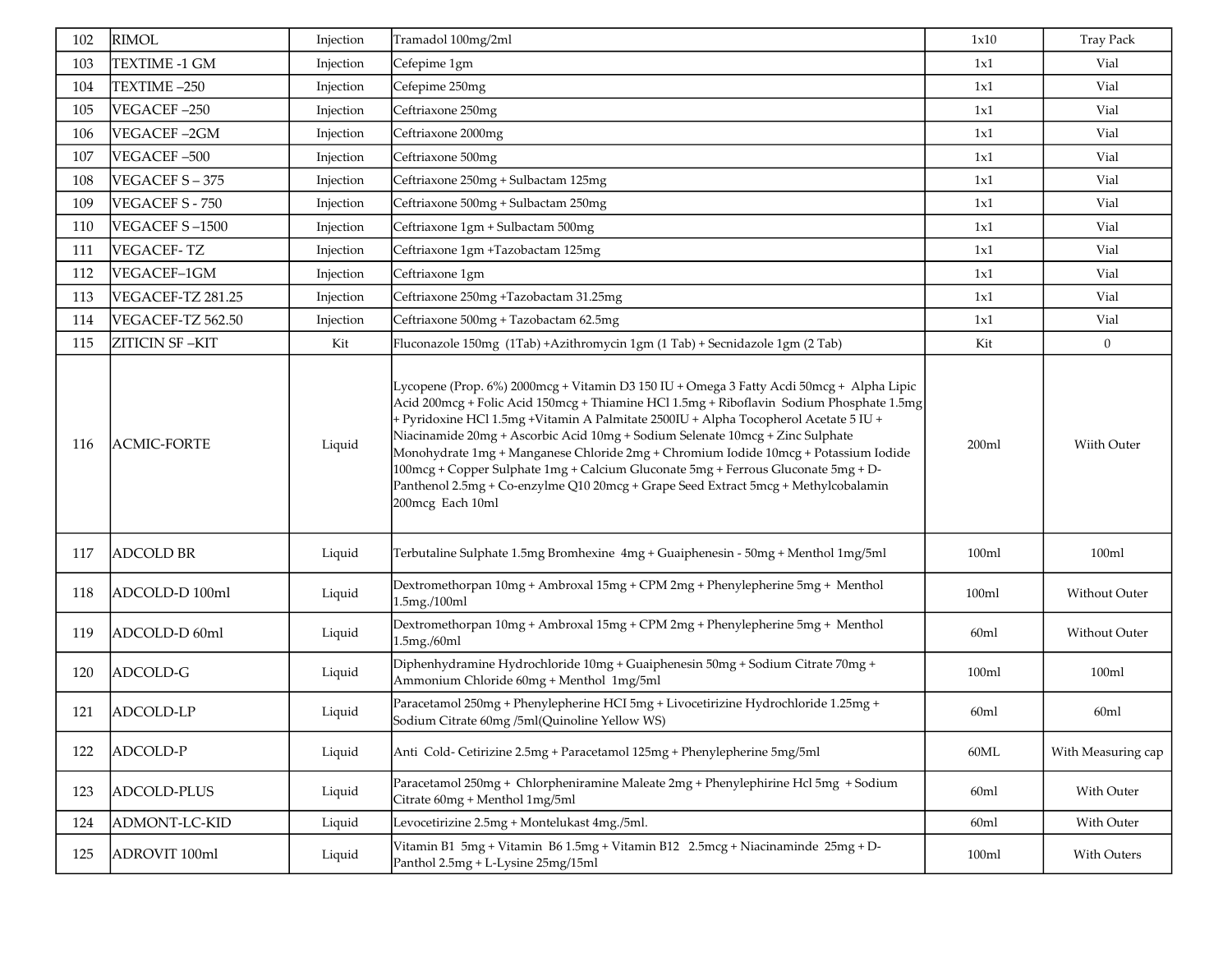| 102 | <b>RIMOL</b>       | Injection | Tramadol 100mg/2ml                                                                                                                                                                                                                                                                                                                                                                                                                                                                                                                                                                                                                                  | 1x10             | <b>Tray Pack</b>   |
|-----|--------------------|-----------|-----------------------------------------------------------------------------------------------------------------------------------------------------------------------------------------------------------------------------------------------------------------------------------------------------------------------------------------------------------------------------------------------------------------------------------------------------------------------------------------------------------------------------------------------------------------------------------------------------------------------------------------------------|------------------|--------------------|
| 103 | TEXTIME -1 GM      | Injection | Cefepime 1gm                                                                                                                                                                                                                                                                                                                                                                                                                                                                                                                                                                                                                                        | 1x1              | Vial               |
| 104 | TEXTIME-250        | Injection | Cefepime 250mg                                                                                                                                                                                                                                                                                                                                                                                                                                                                                                                                                                                                                                      | 1x1              | Vial               |
| 105 | VEGACEF-250        | Injection | Ceftriaxone 250mg                                                                                                                                                                                                                                                                                                                                                                                                                                                                                                                                                                                                                                   | 1x1              | Vial               |
| 106 | VEGACEF-2GM        | Injection | Ceftriaxone 2000mg                                                                                                                                                                                                                                                                                                                                                                                                                                                                                                                                                                                                                                  | 1x1              | Vial               |
| 107 | VEGACEF-500        | Injection | Ceftriaxone 500mg                                                                                                                                                                                                                                                                                                                                                                                                                                                                                                                                                                                                                                   | 1x1              | Vial               |
| 108 | VEGACEF S-375      | Injection | Ceftriaxone 250mg + Sulbactam 125mg                                                                                                                                                                                                                                                                                                                                                                                                                                                                                                                                                                                                                 | 1x1              | Vial               |
| 109 | VEGACEF S - 750    | Injection | Ceftriaxone 500mg + Sulbactam 250mg                                                                                                                                                                                                                                                                                                                                                                                                                                                                                                                                                                                                                 | 1x1              | Vial               |
| 110 | VEGACEF S-1500     | Injection | Ceftriaxone 1gm + Sulbactam 500mg                                                                                                                                                                                                                                                                                                                                                                                                                                                                                                                                                                                                                   | 1x1              | Vial               |
| 111 | <b>VEGACEF-TZ</b>  | Injection | Ceftriaxone 1gm +Tazobactam 125mg                                                                                                                                                                                                                                                                                                                                                                                                                                                                                                                                                                                                                   | 1x1              | Vial               |
| 112 | VEGACEF-1GM        | Injection | Ceftriaxone 1gm                                                                                                                                                                                                                                                                                                                                                                                                                                                                                                                                                                                                                                     | 1x1              | Vial               |
| 113 | VEGACEF-TZ 281.25  | Injection | Ceftriaxone 250mg +Tazobactam 31.25mg                                                                                                                                                                                                                                                                                                                                                                                                                                                                                                                                                                                                               | 1x1              | Vial               |
| 114 | VEGACEF-TZ 562.50  | Injection | Ceftriaxone 500mg + Tazobactam 62.5mg                                                                                                                                                                                                                                                                                                                                                                                                                                                                                                                                                                                                               | 1x1              | Vial               |
| 115 | ZITICIN SF-KIT     | Kit       | Fluconazole 150mg (1Tab) +Azithromycin 1gm (1 Tab) + Secnidazole 1gm (2 Tab)                                                                                                                                                                                                                                                                                                                                                                                                                                                                                                                                                                        | Kit              | $\overline{0}$     |
| 116 | <b>ACMIC-FORTE</b> | Liquid    | Lycopene (Prop. 6%) 2000mcg + Vitamin D3 150 IU + Omega 3 Fatty Acdi 50mcg + Alpha Lipic<br>Acid 200mcg + Folic Acid 150mcg + Thiamine HCl 1.5mg + Riboflavin Sodium Phosphate 1.5mg<br>+ Pyridoxine HCl 1.5mg +Vitamin A Palmitate 2500IU + Alpha Tocopherol Acetate 5 IU +<br>Niacinamide 20mg + Ascorbic Acid 10mg + Sodium Selenate 10mcg + Zinc Sulphate<br>Monohydrate 1mg + Manganese Chloride 2mg + Chromium Iodide 10mcg + Potassium Iodide<br>100mcg + Copper Sulphate 1mg + Calcium Gluconate 5mg + Ferrous Gluconate 5mg + D-<br>Panthenol 2.5mg + Co-enzylme Q10 20mcg + Grape Seed Extract 5mcg + Methylcobalamin<br>200mcg Each 10ml | 200ml            | Wiith Outer        |
| 117 | <b>ADCOLD BR</b>   | Liquid    | Terbutaline Sulphate 1.5mg Bromhexine 4mg + Guaiphenesin - 50mg + Menthol 1mg/5ml                                                                                                                                                                                                                                                                                                                                                                                                                                                                                                                                                                   | 100ml            | 100ml              |
| 118 | ADCOLD-D 100ml     | Liquid    | Dextromethorpan 10mg + Ambroxal 15mg + CPM 2mg + Phenylepherine 5mg + Menthol<br>1.5mg./100ml                                                                                                                                                                                                                                                                                                                                                                                                                                                                                                                                                       | 100ml            | Without Outer      |
| 119 | ADCOLD-D 60ml      | Liquid    | Dextromethorpan 10mg + Ambroxal 15mg + CPM 2mg + Phenylepherine 5mg + Menthol<br>1.5mg./60ml                                                                                                                                                                                                                                                                                                                                                                                                                                                                                                                                                        | 60 <sub>ml</sub> | Without Outer      |
| 120 | ADCOLD-G           | Liquid    | Diphenhydramine Hydrochloride 10mg + Guaiphenesin 50mg + Sodium Citrate 70mg +<br>Ammonium Chloride 60mg + Menthol 1mg/5ml                                                                                                                                                                                                                                                                                                                                                                                                                                                                                                                          | 100ml            | 100ml              |
| 121 | ADCOLD-LP          | Liquid    | Paracetamol 250mg + Phenylepherine HCI 5mg + Livocetirizine Hydrochloride 1.25mg +<br>Sodium Citrate 60mg /5ml(Quinoline Yellow WS)                                                                                                                                                                                                                                                                                                                                                                                                                                                                                                                 | 60 <sub>ml</sub> | 60ml               |
| 122 | ADCOLD-P           | Liquid    | Anti Cold-Cetirizine 2.5mg + Paracetamol 125mg + Phenylepherine 5mg/5ml                                                                                                                                                                                                                                                                                                                                                                                                                                                                                                                                                                             | 60ML             | With Measuring cap |
| 123 | ADCOLD-PLUS        | Liquid    | Paracetamol 250mg + Chlorpheniramine Maleate 2mg + Phenylephirine Hcl 5mg + Sodium<br>Citrate 60mg + Menthol 1mg/5ml                                                                                                                                                                                                                                                                                                                                                                                                                                                                                                                                | 60 <sub>ml</sub> | With Outer         |
| 124 | ADMONT-LC-KID      | Liquid    | Levocetirizine 2.5mg + Montelukast 4mg./5ml.                                                                                                                                                                                                                                                                                                                                                                                                                                                                                                                                                                                                        | 60 <sub>ml</sub> | With Outer         |
| 125 | ADROVIT 100ml      | Liquid    | Vitamin B1 5mg + Vitamin B6 1.5mg + Vitamin B12 2.5mcg + Niacinaminde 25mg + D-<br>Panthol 2.5mg + L-Lysine 25mg/15ml                                                                                                                                                                                                                                                                                                                                                                                                                                                                                                                               | 100ml            | With Outers        |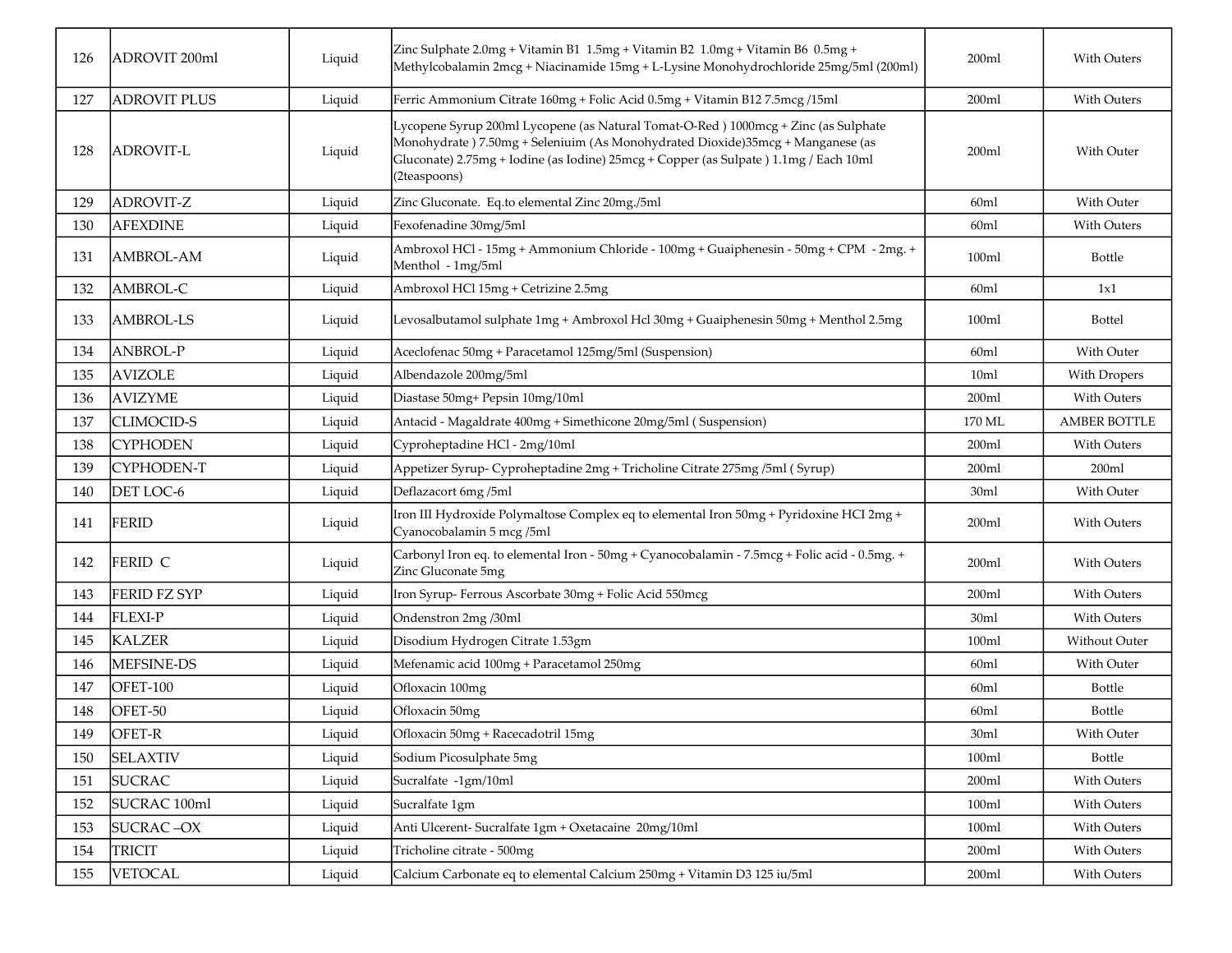| 126 | ADROVIT <sub>200ml</sub> | Liquid | Zinc Sulphate 2.0mg + Vitamin B1 1.5mg + Vitamin B2 1.0mg + Vitamin B6 0.5mg +<br>Methylcobalamin 2mcg + Niacinamide 15mg + L-Lysine Monohydrochloride 25mg/5ml (200ml)                                                                                                       | 200ml            | With Outers         |
|-----|--------------------------|--------|-------------------------------------------------------------------------------------------------------------------------------------------------------------------------------------------------------------------------------------------------------------------------------|------------------|---------------------|
| 127 | <b>ADROVIT PLUS</b>      | Liquid | Ferric Ammonium Citrate 160mg + Folic Acid 0.5mg + Vitamin B12 7.5mcg /15ml                                                                                                                                                                                                   | 200ml            | With Outers         |
| 128 | ADROVIT-L                | Liquid | Lycopene Syrup 200ml Lycopene (as Natural Tomat-O-Red) 1000mcg + Zinc (as Sulphate<br>Monohydrate ) 7.50mg + Seleniuim (As Monohydrated Dioxide)35mcg + Manganese (as<br>Gluconate) 2.75mg + Iodine (as Iodine) 25mcg + Copper (as Sulpate) 1.1mg / Each 10ml<br>(2teaspoons) | 200ml            | With Outer          |
| 129 | <b>ADROVIT-Z</b>         | Liquid | Zinc Gluconate. Eq.to elemental Zinc 20mg./5ml                                                                                                                                                                                                                                | 60ml             | With Outer          |
| 130 | <b>AFEXDINE</b>          | Liquid | Fexofenadine 30mg/5ml                                                                                                                                                                                                                                                         | 60ml             | <b>With Outers</b>  |
| 131 | AMBROL-AM                | Liquid | Ambroxol HCl - 15mg + Ammonium Chloride - 100mg + Guaiphenesin - 50mg + CPM - 2mg. +<br>Menthol - 1mg/5ml                                                                                                                                                                     | 100ml            | <b>Bottle</b>       |
| 132 | AMBROL-C                 | Liquid | Ambroxol HCl 15mg + Cetrizine 2.5mg                                                                                                                                                                                                                                           | 60ml             | 1x1                 |
| 133 | <b>AMBROL-LS</b>         | Liquid | Levosalbutamol sulphate 1mg + Ambroxol Hcl 30mg + Guaiphenesin 50mg + Menthol 2.5mg                                                                                                                                                                                           | 100ml            | <b>Bottel</b>       |
| 134 | <b>ANBROL-P</b>          | Liquid | Aceclofenac 50mg + Paracetamol 125mg/5ml (Suspension)                                                                                                                                                                                                                         | 60ml             | With Outer          |
| 135 | <b>AVIZOLE</b>           | Liquid | Albendazole 200mg/5ml                                                                                                                                                                                                                                                         | 10 <sub>m</sub>  | With Dropers        |
| 136 | <b>AVIZYME</b>           | Liquid | Diastase 50mg+ Pepsin 10mg/10ml                                                                                                                                                                                                                                               | 200ml            | <b>With Outers</b>  |
| 137 | <b>CLIMOCID-S</b>        | Liquid | Antacid - Magaldrate 400mg + Simethicone 20mg/5ml (Suspension)                                                                                                                                                                                                                | 170 ML           | <b>AMBER BOTTLE</b> |
| 138 | <b>CYPHODEN</b>          | Liquid | Cyproheptadine HCl - 2mg/10ml                                                                                                                                                                                                                                                 | 200ml            | <b>With Outers</b>  |
| 139 | CYPHODEN-T               | Liquid | Appetizer Syrup- Cyproheptadine 2mg + Tricholine Citrate 275mg /5ml (Syrup)                                                                                                                                                                                                   | 200ml            | 200ml               |
| 140 | DET LOC-6                | Liquid | Deflazacort 6mg/5ml                                                                                                                                                                                                                                                           | 30ml             | With Outer          |
| 141 | <b>FERID</b>             | Liquid | Iron III Hydroxide Polymaltose Complex eq to elemental Iron 50mg + Pyridoxine HCI 2mg +<br>Cyanocobalamin 5 mcg/5ml                                                                                                                                                           | 200ml            | With Outers         |
| 142 | <b>FERID C</b>           | Liquid | Carbonyl Iron eq. to elemental Iron - 50mg + Cyanocobalamin - 7.5mcg + Folic acid - 0.5mg. +<br>Zinc Gluconate 5mg                                                                                                                                                            | 200ml            | <b>With Outers</b>  |
| 143 | <b>FERID FZ SYP</b>      | Liquid | Iron Syrup-Ferrous Ascorbate 30mg + Folic Acid 550mcg                                                                                                                                                                                                                         | 200ml            | <b>With Outers</b>  |
| 144 | <b>FLEXI-P</b>           | Liquid | Ondenstron 2mg /30ml                                                                                                                                                                                                                                                          | 30 <sub>ml</sub> | <b>With Outers</b>  |
| 145 | <b>KALZER</b>            | Liquid | Disodium Hydrogen Citrate 1.53gm                                                                                                                                                                                                                                              | 100ml            | Without Outer       |
| 146 | MEFSINE-DS               | Liquid | Mefenamic acid 100mg + Paracetamol 250mg                                                                                                                                                                                                                                      | 60ml             | With Outer          |
| 147 | OFET-100                 | Liquid | Ofloxacin 100mg                                                                                                                                                                                                                                                               | 60ml             | <b>Bottle</b>       |
| 148 | OFET-50                  | Liquid | Ofloxacin 50mg                                                                                                                                                                                                                                                                | 60ml             | <b>Bottle</b>       |
| 149 | OFET-R                   | Liquid | Ofloxacin 50mg + Racecadotril 15mg                                                                                                                                                                                                                                            | 30ml             | With Outer          |
| 150 | <b>SELAXTIV</b>          | Liquid | Sodium Picosulphate 5mg                                                                                                                                                                                                                                                       | 100ml            | Bottle              |
| 151 | <b>SUCRAC</b>            | Liquid | Sucralfate -1gm/10ml                                                                                                                                                                                                                                                          | 200ml            | With Outers         |
| 152 | SUCRAC 100ml             | Liquid | Sucralfate 1gm                                                                                                                                                                                                                                                                | 100ml            | With Outers         |
| 153 | <b>SUCRAC-OX</b>         | Liquid | Anti Ulcerent- Sucralfate 1gm + Oxetacaine 20mg/10ml                                                                                                                                                                                                                          | 100ml            | With Outers         |
| 154 | <b>TRICIT</b>            | Liquid | Tricholine citrate - 500mg                                                                                                                                                                                                                                                    | 200ml            | With Outers         |
| 155 | <b>VETOCAL</b>           | Liquid | Calcium Carbonate eq to elemental Calcium 250mg + Vitamin D3 125 iu/5ml                                                                                                                                                                                                       | 200ml            | With Outers         |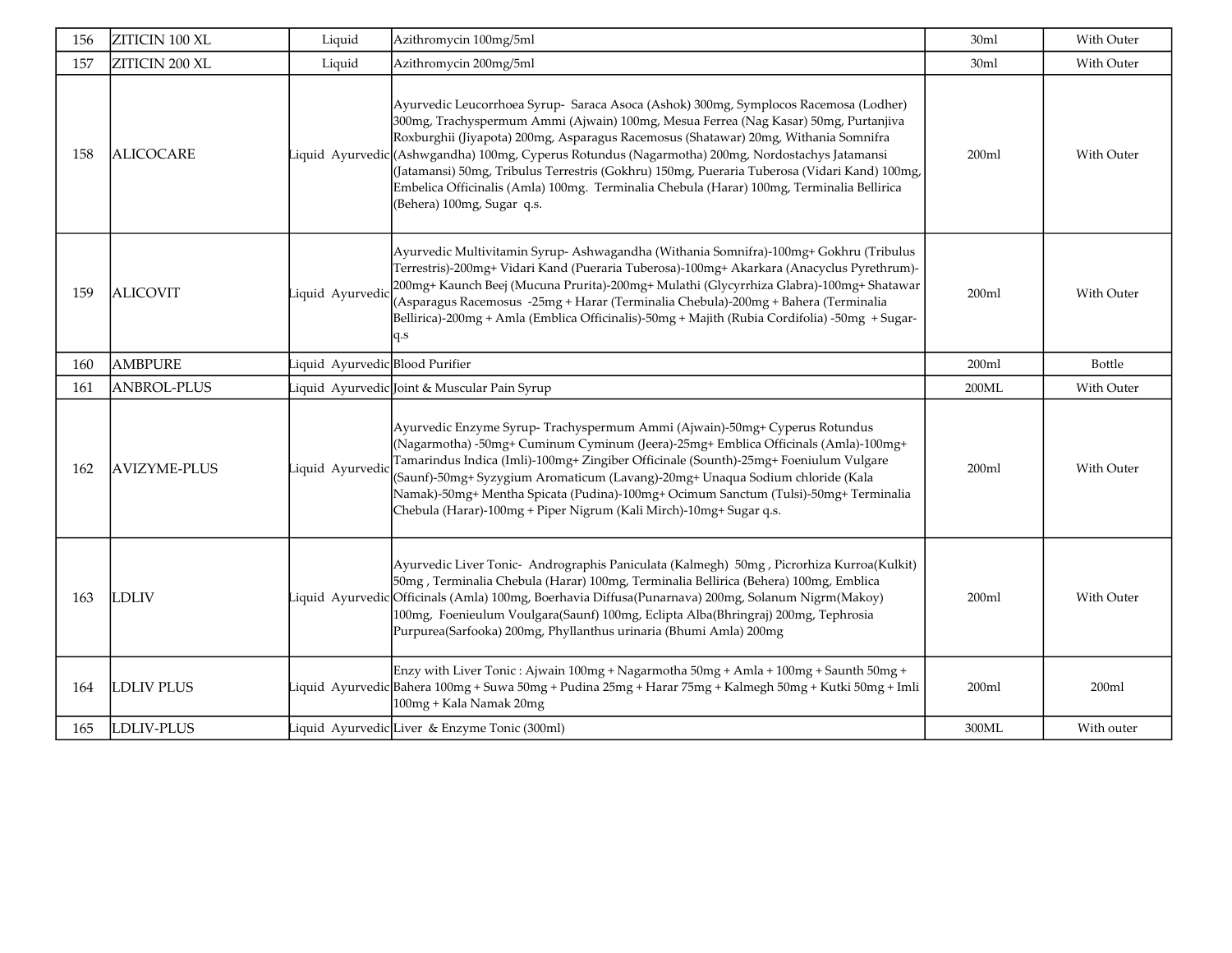| 156 | ZITICIN 100 XL      | Liquid                        | Azithromycin 100mg/5ml                                                                                                                                                                                                                                                                                                                                                                                                                                                                                                                                                           | 30ml             | With Outer        |
|-----|---------------------|-------------------------------|----------------------------------------------------------------------------------------------------------------------------------------------------------------------------------------------------------------------------------------------------------------------------------------------------------------------------------------------------------------------------------------------------------------------------------------------------------------------------------------------------------------------------------------------------------------------------------|------------------|-------------------|
| 157 | ZITICIN 200 XL      | Liquid                        | Azithromycin 200mg/5ml                                                                                                                                                                                                                                                                                                                                                                                                                                                                                                                                                           | 30ml             | With Outer        |
| 158 | <b>ALICOCARE</b>    | Liquid Ayurvedic              | Ayurvedic Leucorrhoea Syrup- Saraca Asoca (Ashok) 300mg, Symplocos Racemosa (Lodher)<br>300mg, Trachyspermum Ammi (Ajwain) 100mg, Mesua Ferrea (Nag Kasar) 50mg, Purtanjiva<br>Roxburghii (Jiyapota) 200mg, Asparagus Racemosus (Shatawar) 20mg, Withania Somnifra<br>(Ashwgandha) 100mg, Cyperus Rotundus (Nagarmotha) 200mg, Nordostachys Jatamansi<br>(Jatamansi) 50mg, Tribulus Terrestris (Gokhru) 150mg, Pueraria Tuberosa (Vidari Kand) 100mg,<br>Embelica Officinalis (Amla) 100mg. Terminalia Chebula (Harar) 100mg, Terminalia Bellirica<br>(Behera) 100mg, Sugar q.s. | 200ml            | <b>With Outer</b> |
| 159 | <b>ALICOVIT</b>     | Liquid Ayurvedic              | Ayurvedic Multivitamin Syrup- Ashwagandha (Withania Somnifra)-100mg+ Gokhru (Tribulus<br>Terrestris)-200mg+ Vidari Kand (Pueraria Tuberosa)-100mg+ Akarkara (Anacyclus Pyrethrum)-<br>200mg+ Kaunch Beej (Mucuna Prurita)-200mg+ Mulathi (Glycyrrhiza Glabra)-100mg+ Shatawar<br>(Asparagus Racemosus -25mg + Harar (Terminalia Chebula)-200mg + Bahera (Terminalia<br>Bellirica)-200mg + Amla (Emblica Officinalis)-50mg + Majith (Rubia Cordifolia) -50mg + Sugar-<br>q.s                                                                                                      | 200ml            | With Outer        |
| 160 | <b>AMBPURE</b>      | iquid AyurvedicBlood Purifier |                                                                                                                                                                                                                                                                                                                                                                                                                                                                                                                                                                                  | 200ml            | <b>Bottle</b>     |
| 161 | <b>ANBROL-PLUS</b>  |                               | iquid Ayurvedic Joint & Muscular Pain Syrup.                                                                                                                                                                                                                                                                                                                                                                                                                                                                                                                                     | 200ML            | With Outer        |
| 162 | <b>AVIZYME-PLUS</b> | Liquid Ayurvedio              | Ayurvedic Enzyme Syrup- Trachyspermum Ammi (Ajwain)-50mg+ Cyperus Rotundus<br>(Nagarmotha) -50mg+ Cuminum Cyminum (Jeera)-25mg+ Emblica Officinals (Amla)-100mg+<br>Tamarindus Indica (Imli)-100mg+ Zingiber Officinale (Sounth)-25mg+ Foeniulum Vulgare<br>(Saunf)-50mg+ Syzygium Aromaticum (Lavang)-20mg+ Unaqua Sodium chloride (Kala<br>Namak)-50mg+ Mentha Spicata (Pudina)-100mg+ Ocimum Sanctum (Tulsi)-50mg+ Terminalia<br>Chebula (Harar)-100mg + Piper Nigrum (Kali Mirch)-10mg+ Sugar q.s.                                                                           | 200 <sub>m</sub> | With Outer        |
| 163 | LDLIV               |                               | Ayurvedic Liver Tonic- Andrographis Paniculata (Kalmegh) 50mg, Picrorhiza Kurroa(Kulkit)<br>50mg, Terminalia Chebula (Harar) 100mg, Terminalia Bellirica (Behera) 100mg, Emblica<br>Liquid   Ayurvedic Officinals (Amla) 100mg, Boerhavia Diffusa(Punarnava) 200mg, Solanum Nigrm(Makoy)<br>100mg, Foenieulum Voulgara(Saunf) 100mg, Eclipta Alba(Bhringraj) 200mg, Tephrosia<br>Purpurea(Sarfooka) 200mg, Phyllanthus urinaria (Bhumi Amla) 200mg                                                                                                                               | 200ml            | With Outer        |
| 164 | <b>LDLIV PLUS</b>   |                               | Enzy with Liver Tonic: Ajwain 100mg + Nagarmotha 50mg + Amla + 100mg + Saunth 50mg +<br>Liquid   Ayurvedic Bahera 100mg + Suwa 50mg + Pudina 25mg + Harar 75mg + Kalmegh 50mg + Kutki 50mg + Imli<br>100mg + Kala Namak 20mg                                                                                                                                                                                                                                                                                                                                                     | 200ml            | 200ml             |
| 165 | LDLIV-PLUS          |                               | Liquid Ayurvedic Liver & Enzyme Tonic (300ml)                                                                                                                                                                                                                                                                                                                                                                                                                                                                                                                                    | 300ML            | With outer        |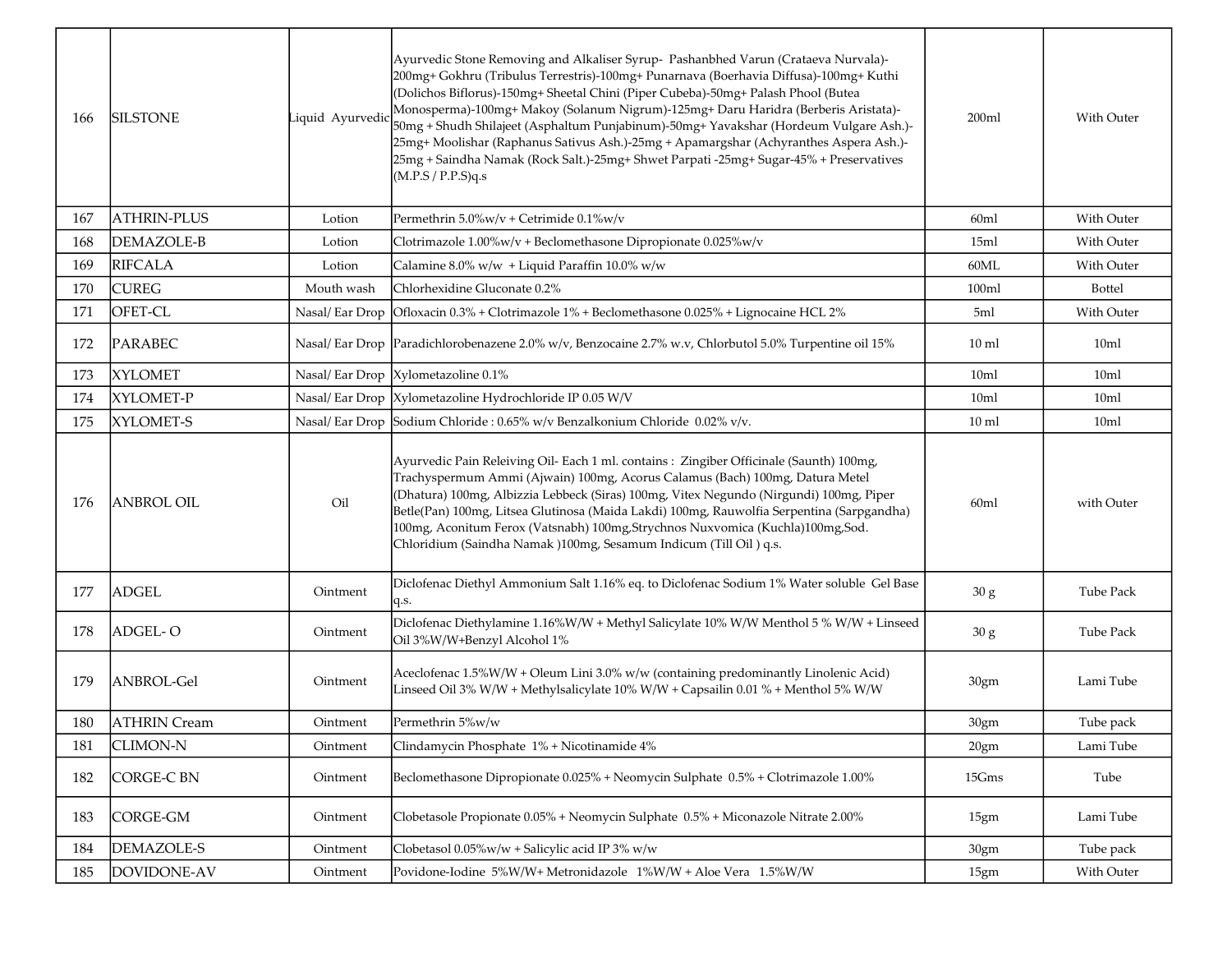| 166 | <b>SILSTONE</b>     | Liquid Ayurvedio | Ayurvedic Stone Removing and Alkaliser Syrup- Pashanbhed Varun (Crataeva Nurvala)-<br>200mg+ Gokhru (Tribulus Terrestris)-100mg+ Punarnava (Boerhavia Diffusa)-100mg+ Kuthi<br>(Dolichos Biflorus)-150mg+ Sheetal Chini (Piper Cubeba)-50mg+ Palash Phool (Butea<br>Monosperma)-100mg+ Makoy (Solanum Nigrum)-125mg+ Daru Haridra (Berberis Aristata)-<br>50mg + Shudh Shilajeet (Asphaltum Punjabinum)-50mg+ Yavakshar (Hordeum Vulgare Ash.)-<br>25mg+ Moolishar (Raphanus Sativus Ash.)-25mg + Apamargshar (Achyranthes Aspera Ash.)-<br>25mg + Saindha Namak (Rock Salt.)-25mg+ Shwet Parpati -25mg+ Sugar-45% + Preservatives<br>(M.P.S/P.P.S)q.s | 200ml            | With Outer       |
|-----|---------------------|------------------|--------------------------------------------------------------------------------------------------------------------------------------------------------------------------------------------------------------------------------------------------------------------------------------------------------------------------------------------------------------------------------------------------------------------------------------------------------------------------------------------------------------------------------------------------------------------------------------------------------------------------------------------------------|------------------|------------------|
| 167 | <b>ATHRIN-PLUS</b>  | Lotion           | Permethrin 5.0%w/v + Cetrimide 0.1%w/v                                                                                                                                                                                                                                                                                                                                                                                                                                                                                                                                                                                                                 | 60ml             | With Outer       |
| 168 | <b>DEMAZOLE-B</b>   | Lotion           | Clotrimazole 1.00%w/v + Beclomethasone Dipropionate 0.025%w/v                                                                                                                                                                                                                                                                                                                                                                                                                                                                                                                                                                                          | 15ml             | With Outer       |
| 169 | <b>RIFCALA</b>      | Lotion           | Calamine 8.0% w/w + Liquid Paraffin 10.0% w/w                                                                                                                                                                                                                                                                                                                                                                                                                                                                                                                                                                                                          | 60ML             | With Outer       |
| 170 | <b>CUREG</b>        | Mouth wash       | Chlorhexidine Gluconate 0.2%                                                                                                                                                                                                                                                                                                                                                                                                                                                                                                                                                                                                                           | 100ml            | <b>Bottel</b>    |
| 171 | OFET-CL             | Nasal/Ear Drop   | Ofloxacin 0.3% + Clotrimazole 1% + Beclomethasone 0.025% + Lignocaine HCL 2%                                                                                                                                                                                                                                                                                                                                                                                                                                                                                                                                                                           | 5ml              | With Outer       |
| 172 | <b>PARABEC</b>      |                  | Nasal/ Ear Drop   Paradichlorobenazene 2.0% w/v, Benzocaine 2.7% w.v, Chlorbutol 5.0% Turpentine oil 15%                                                                                                                                                                                                                                                                                                                                                                                                                                                                                                                                               | $10 \text{ ml}$  | 10ml             |
| 173 | <b>XYLOMET</b>      |                  | Nasal/Ear Drop  Xylometazoline 0.1%                                                                                                                                                                                                                                                                                                                                                                                                                                                                                                                                                                                                                    | 10 <sub>ml</sub> | 10ml             |
| 174 | XYLOMET-P           |                  | Nasal/ Ear Drop   Xylometazoline Hydrochloride IP 0.05 W/V                                                                                                                                                                                                                                                                                                                                                                                                                                                                                                                                                                                             | 10ml             | 10ml             |
| 175 | XYLOMET-S           |                  | Nasal/ Ear Drop Sodium Chloride : 0.65% w/v Benzalkonium Chloride 0.02% v/v.                                                                                                                                                                                                                                                                                                                                                                                                                                                                                                                                                                           | $10 \text{ ml}$  | 10ml             |
| 176 | <b>ANBROL OIL</b>   | Oil              | Ayurvedic Pain Releiving Oil-Each 1 ml. contains : Zingiber Officinale (Saunth) 100mg,<br>Trachyspermum Ammi (Ajwain) 100mg, Acorus Calamus (Bach) 100mg, Datura Metel<br>(Dhatura) 100mg, Albizzia Lebbeck (Siras) 100mg, Vitex Negundo (Nirgundi) 100mg, Piper<br>Betle(Pan) 100mg, Litsea Glutinosa (Maida Lakdi) 100mg, Rauwolfia Serpentina (Sarpgandha)<br>100mg, Aconitum Ferox (Vatsnabh) 100mg, Strychnos Nuxvomica (Kuchla) 100mg, Sod.<br>Chloridium (Saindha Namak)100mg, Sesamum Indicum (Till Oil) q.s.                                                                                                                                  | 60ml             | with Outer       |
| 177 | <b>ADGEL</b>        | Ointment         | Diclofenac Diethyl Ammonium Salt 1.16% eq. to Diclofenac Sodium 1% Water soluble Gel Base<br>q.s.                                                                                                                                                                                                                                                                                                                                                                                                                                                                                                                                                      | 30 g             | <b>Tube Pack</b> |
| 178 | ADGEL-O             | Ointment         | Diclofenac Diethylamine 1.16%W/W + Methyl Salicylate 10% W/W Menthol 5 % W/W + Linseed<br>Oil 3%W/W+Benzyl Alcohol 1%                                                                                                                                                                                                                                                                                                                                                                                                                                                                                                                                  | 30 g             | Tube Pack        |
| 179 | ANBROL-Gel          | Ointment         | Aceclofenac 1.5%W/W + Oleum Lini 3.0% w/w (containing predominantly Linolenic Acid)<br>Linseed Oil 3% W/W + Methylsalicylate 10% W/W + Capsailin 0.01 % + Menthol 5% W/W                                                                                                                                                                                                                                                                                                                                                                                                                                                                               | 30gm             | Lami Tube        |
| 180 | <b>ATHRIN Cream</b> | Ointment         | Permethrin 5%w/w                                                                                                                                                                                                                                                                                                                                                                                                                                                                                                                                                                                                                                       | 30gm             | Tube pack        |
| 181 | <b>CLIMON-N</b>     | Ointment         | Clindamycin Phosphate 1% + Nicotinamide 4%                                                                                                                                                                                                                                                                                                                                                                                                                                                                                                                                                                                                             | 20gm             | Lami Tube        |
| 182 | <b>CORGE-C BN</b>   | Ointment         | Beclomethasone Dipropionate 0.025% + Neomycin Sulphate 0.5% + Clotrimazole 1.00%                                                                                                                                                                                                                                                                                                                                                                                                                                                                                                                                                                       | 15Gms            | Tube             |
| 183 | <b>CORGE-GM</b>     | Ointment         | Clobetasole Propionate 0.05% + Neomycin Sulphate 0.5% + Miconazole Nitrate 2.00%                                                                                                                                                                                                                                                                                                                                                                                                                                                                                                                                                                       | 15gm             | Lami Tube        |
| 184 | DEMAZOLE-S          | Ointment         | Clobetasol 0.05%w/w + Salicylic acid IP 3% w/w                                                                                                                                                                                                                                                                                                                                                                                                                                                                                                                                                                                                         | 30gm             | Tube pack        |
| 185 | DOVIDONE-AV         | Ointment         | Povidone-Iodine 5%W/W+Metronidazole 1%W/W + Aloe Vera 1.5%W/W                                                                                                                                                                                                                                                                                                                                                                                                                                                                                                                                                                                          | 15gm             | With Outer       |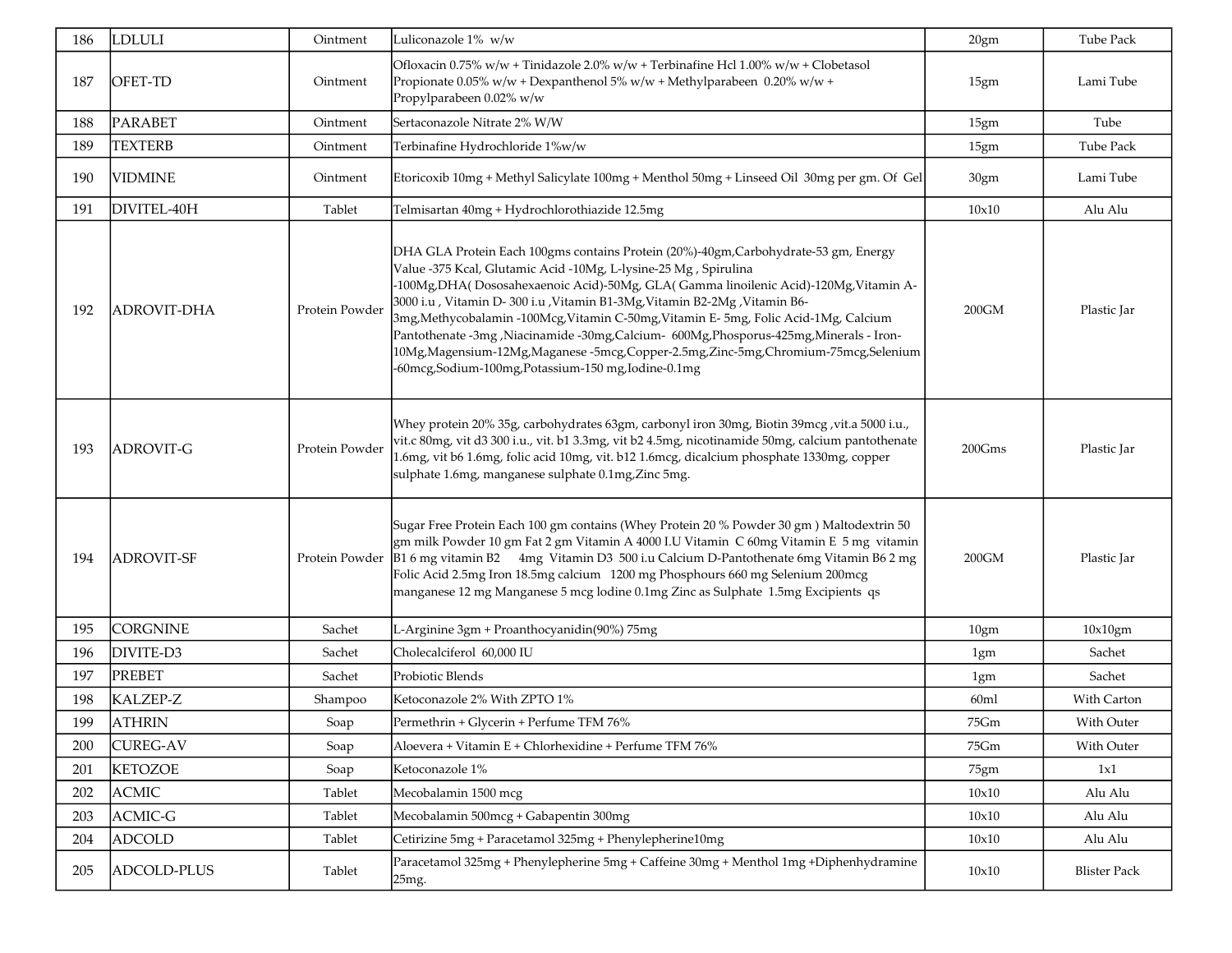| 186 | <b>LDLULI</b>      | Ointment       | Luliconazole 1% w/w                                                                                                                                                                                                                                                                                                                                                                                                                                                                                                                                                                                                                                           | 20gm             | Tube Pack    |
|-----|--------------------|----------------|---------------------------------------------------------------------------------------------------------------------------------------------------------------------------------------------------------------------------------------------------------------------------------------------------------------------------------------------------------------------------------------------------------------------------------------------------------------------------------------------------------------------------------------------------------------------------------------------------------------------------------------------------------------|------------------|--------------|
| 187 | OFET-TD            | Ointment       | Ofloxacin 0.75% w/w + Tinidazole $2.0\%$ w/w + Terbinafine Hcl $1.00\%$ w/w + Clobetasol<br>Propionate 0.05% w/w + Dexpanthenol 5% w/w + Methylparabeen 0.20% w/w +<br>Propylparabeen 0.02% w/w                                                                                                                                                                                                                                                                                                                                                                                                                                                               | 15gm             | Lami Tube    |
| 188 | <b>PARABET</b>     | Ointment       | Sertaconazole Nitrate 2% W/W                                                                                                                                                                                                                                                                                                                                                                                                                                                                                                                                                                                                                                  | 15gm             | Tube         |
| 189 | <b>TEXTERB</b>     | Ointment       | Terbinafine Hydrochloride 1%w/w                                                                                                                                                                                                                                                                                                                                                                                                                                                                                                                                                                                                                               | 15gm             | Tube Pack    |
| 190 | <b>VIDMINE</b>     | Ointment       | Etoricoxib 10mg + Methyl Salicylate 100mg + Menthol 50mg + Linseed Oil 30mg per gm. Of Gel                                                                                                                                                                                                                                                                                                                                                                                                                                                                                                                                                                    | 30gm             | Lami Tube    |
| 191 | DIVITEL-40H        | Tablet         | Telmisartan 40mg + Hydrochlorothiazide 12.5mg                                                                                                                                                                                                                                                                                                                                                                                                                                                                                                                                                                                                                 | 10x10            | Alu Alu      |
| 192 | <b>ADROVIT-DHA</b> | Protein Powder | DHA GLA Protein Each 100gms contains Protein (20%)-40gm, Carbohydrate-53 gm, Energy<br>Value -375 Kcal, Glutamic Acid -10Mg, L-lysine-25 Mg, Spirulina<br>-100Mg, DHA(Dososahexaenoic Acid)-50Mg, GLA(Gamma linoilenic Acid)-120Mg, Vitamin A-<br>3000 i.u , Vitamin D- 300 i.u , Vitamin B1-3Mg, Vitamin B2-2Mg , Vitamin B6-<br>3mg, Methycobalamin -100Mcg, Vitamin C-50mg, Vitamin E- 5mg, Folic Acid-1Mg, Calcium<br>Pantothenate -3mg, Niacinamide -30mg, Calcium- 600Mg, Phosporus-425mg, Minerals - Iron-<br>10Mg,Magensium-12Mg,Maganese -5mcg,Copper-2.5mg,Zinc-5mg,Chromium-75mcg,Selenium<br>-60mcg, Sodium-100mg, Potassium-150 mg, Iodine-0.1mg | 200GM            | Plastic Jar  |
| 193 | <b>ADROVIT-G</b>   | Protein Powder | Whey protein 20% 35g, carbohydrates 63gm, carbonyl iron 30mg, Biotin 39mcg, vit.a 5000 i.u.,<br>vit.c 80mg, vit d3 300 i.u., vit. b1 3.3mg, vit b2 4.5mg, nicotinamide 50mg, calcium pantothenate<br>1.6mg, vit b6 1.6mg, folic acid 10mg, vit. b12 1.6mcg, dicalcium phosphate 1330mg, copper<br>sulphate 1.6mg, manganese sulphate 0.1mg,Zinc 5mg.                                                                                                                                                                                                                                                                                                          | 200Gms           | Plastic Jar  |
| 194 | <b>ADROVIT-SF</b>  | Protein Powder | Sugar Free Protein Each 100 gm contains (Whey Protein 20 % Powder 30 gm) Maltodextrin 50<br>gm milk Powder 10 gm Fat 2 gm Vitamin A 4000 I.U Vitamin C 60mg Vitamin E 5 mg vitamin<br>B1 6 mg vitamin B2 4mg Vitamin D3 500 i.u Calcium D-Pantothenate 6mg Vitamin B6 2 mg<br>Folic Acid 2.5mg Iron 18.5mg calcium 1200 mg Phosphours 660 mg Selenium 200mcg<br>manganese 12 mg Manganese 5 mcg lodine 0.1mg Zinc as Sulphate 1.5mg Excipients qs                                                                                                                                                                                                             | 200GM            | Plastic Jar  |
| 195 | <b>CORGNINE</b>    | Sachet         | L-Arginine 3gm + Proanthocyanidin(90%) 75mg                                                                                                                                                                                                                                                                                                                                                                                                                                                                                                                                                                                                                   | 10gm             | 10x10gm      |
| 196 | DIVITE-D3          | Sachet         | Cholecalciferol 60,000 IU                                                                                                                                                                                                                                                                                                                                                                                                                                                                                                                                                                                                                                     | 1gm              | Sachet       |
| 197 | <b>PREBET</b>      | Sachet         | Probiotic Blends                                                                                                                                                                                                                                                                                                                                                                                                                                                                                                                                                                                                                                              | 1gm              | Sachet       |
| 198 | KALZEP-Z           | Shampoo        | Ketoconazole 2% With ZPTO 1%                                                                                                                                                                                                                                                                                                                                                                                                                                                                                                                                                                                                                                  | 60 <sub>ml</sub> | With Carton  |
| 199 | <b>ATHRIN</b>      | Soap           | Permethrin + Glycerin + Perfume TFM 76%                                                                                                                                                                                                                                                                                                                                                                                                                                                                                                                                                                                                                       | 75Gm             | With Outer   |
| 200 | <b>CUREG-AV</b>    | Soap           | Aloevera + Vitamin E + Chlorhexidine + Perfume TFM 76%                                                                                                                                                                                                                                                                                                                                                                                                                                                                                                                                                                                                        | 75Gm             | With Outer   |
| 201 | <b>KETOZOE</b>     | Soap           | Ketoconazole 1%                                                                                                                                                                                                                                                                                                                                                                                                                                                                                                                                                                                                                                               | 75gm             | 1x1          |
| 202 | <b>ACMIC</b>       | Tablet         | Mecobalamin 1500 mcg                                                                                                                                                                                                                                                                                                                                                                                                                                                                                                                                                                                                                                          | 10x10            | Alu Alu      |
| 203 | ACMIC-G            | Tablet         | Mecobalamin 500mcg + Gabapentin 300mg                                                                                                                                                                                                                                                                                                                                                                                                                                                                                                                                                                                                                         | 10x10            | Alu Alu      |
| 204 | <b>ADCOLD</b>      | Tablet         | Cetirizine 5mg + Paracetamol 325mg + Phenylepherine10mg                                                                                                                                                                                                                                                                                                                                                                                                                                                                                                                                                                                                       | 10x10            | Alu Alu      |
| 205 | ADCOLD-PLUS        | Tablet         | Paracetamol 325mg + Phenylepherine 5mg + Caffeine 30mg + Menthol 1mg +Diphenhydramine<br>25mg.                                                                                                                                                                                                                                                                                                                                                                                                                                                                                                                                                                | 10x10            | Blister Pack |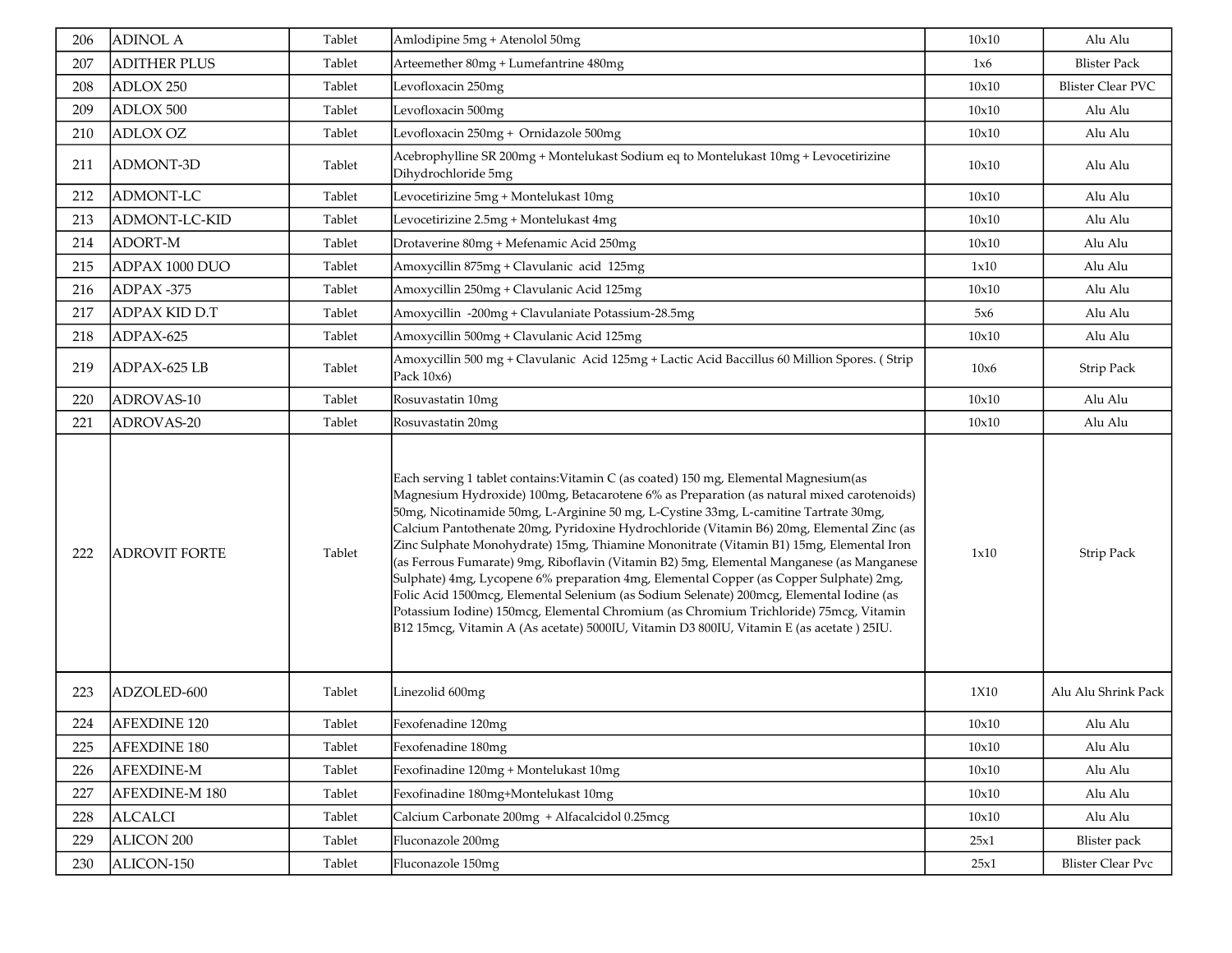| 206 | <b>ADINOL A</b>      | Tablet | Amlodipine 5mg + Atenolol 50mg                                                                                                                                                                                                                                                                                                                                                                                                                                                                                                                                                                                                                                                                                                                                                                                                                                                                                                             | 10x10 | Alu Alu                  |
|-----|----------------------|--------|--------------------------------------------------------------------------------------------------------------------------------------------------------------------------------------------------------------------------------------------------------------------------------------------------------------------------------------------------------------------------------------------------------------------------------------------------------------------------------------------------------------------------------------------------------------------------------------------------------------------------------------------------------------------------------------------------------------------------------------------------------------------------------------------------------------------------------------------------------------------------------------------------------------------------------------------|-------|--------------------------|
| 207 | <b>ADITHER PLUS</b>  | Tablet | Arteemether 80mg + Lumefantrine 480mg                                                                                                                                                                                                                                                                                                                                                                                                                                                                                                                                                                                                                                                                                                                                                                                                                                                                                                      | 1x6   | <b>Blister Pack</b>      |
| 208 | ADLOX 250            | Tablet | Levofloxacin 250mg                                                                                                                                                                                                                                                                                                                                                                                                                                                                                                                                                                                                                                                                                                                                                                                                                                                                                                                         | 10x10 | <b>Blister Clear PVC</b> |
| 209 | ADLOX 500            | Tablet | Levofloxacin 500mg                                                                                                                                                                                                                                                                                                                                                                                                                                                                                                                                                                                                                                                                                                                                                                                                                                                                                                                         | 10x10 | Alu Alu                  |
| 210 | <b>ADLOX OZ</b>      | Tablet | Levofloxacin 250mg + Ornidazole 500mg                                                                                                                                                                                                                                                                                                                                                                                                                                                                                                                                                                                                                                                                                                                                                                                                                                                                                                      | 10x10 | Alu Alu                  |
| 211 | ADMONT-3D            | Tablet | Acebrophylline SR 200mg + Montelukast Sodium eq to Montelukast 10mg + Levocetirizine<br>Dihydrochloride 5mg                                                                                                                                                                                                                                                                                                                                                                                                                                                                                                                                                                                                                                                                                                                                                                                                                                | 10x10 | Alu Alu                  |
| 212 | <b>ADMONT-LC</b>     | Tablet | Levocetirizine 5mg + Montelukast 10mg                                                                                                                                                                                                                                                                                                                                                                                                                                                                                                                                                                                                                                                                                                                                                                                                                                                                                                      | 10x10 | Alu Alu                  |
| 213 | ADMONT-LC-KID        | Tablet | Levocetirizine 2.5mg + Montelukast 4mg                                                                                                                                                                                                                                                                                                                                                                                                                                                                                                                                                                                                                                                                                                                                                                                                                                                                                                     | 10x10 | Alu Alu                  |
| 214 | ADORT-M              | Tablet | Drotaverine 80mg + Mefenamic Acid 250mg                                                                                                                                                                                                                                                                                                                                                                                                                                                                                                                                                                                                                                                                                                                                                                                                                                                                                                    | 10x10 | Alu Alu                  |
| 215 | ADPAX 1000 DUO       | Tablet | Amoxycillin 875mg + Clavulanic acid 125mg                                                                                                                                                                                                                                                                                                                                                                                                                                                                                                                                                                                                                                                                                                                                                                                                                                                                                                  | 1x10  | Alu Alu                  |
| 216 | ADPAX-375            | Tablet | Amoxycillin 250mg + Clavulanic Acid 125mg                                                                                                                                                                                                                                                                                                                                                                                                                                                                                                                                                                                                                                                                                                                                                                                                                                                                                                  | 10x10 | Alu Alu                  |
| 217 | ADPAX KID D.T        | Tablet | Amoxycillin -200mg + Clavulaniate Potassium-28.5mg                                                                                                                                                                                                                                                                                                                                                                                                                                                                                                                                                                                                                                                                                                                                                                                                                                                                                         | 5x6   | Alu Alu                  |
| 218 | ADPAX-625            | Tablet | Amoxycillin 500mg + Clavulanic Acid 125mg                                                                                                                                                                                                                                                                                                                                                                                                                                                                                                                                                                                                                                                                                                                                                                                                                                                                                                  | 10x10 | Alu Alu                  |
| 219 | ADPAX-625 LB         | Tablet | Amoxycillin 500 mg + Clavulanic Acid 125mg + Lactic Acid Baccillus 60 Million Spores. (Strip<br>Pack 10x6)                                                                                                                                                                                                                                                                                                                                                                                                                                                                                                                                                                                                                                                                                                                                                                                                                                 | 10x6  | Strip Pack               |
| 220 | ADROVAS-10           | Tablet | Rosuvastatin 10mg                                                                                                                                                                                                                                                                                                                                                                                                                                                                                                                                                                                                                                                                                                                                                                                                                                                                                                                          | 10x10 | Alu Alu                  |
| 221 | ADROVAS-20           | Tablet | Rosuvastatin 20mg                                                                                                                                                                                                                                                                                                                                                                                                                                                                                                                                                                                                                                                                                                                                                                                                                                                                                                                          | 10x10 | Alu Alu                  |
| 222 | <b>ADROVIT FORTE</b> | Tablet | Each serving 1 tablet contains: Vitamin C (as coated) 150 mg, Elemental Magnesium (as<br>Magnesium Hydroxide) 100mg, Betacarotene 6% as Preparation (as natural mixed carotenoids)<br>50mg, Nicotinamide 50mg, L-Arginine 50 mg, L-Cystine 33mg, L-camitine Tartrate 30mg,<br>Calcium Pantothenate 20mg, Pyridoxine Hydrochloride (Vitamin B6) 20mg, Elemental Zinc (as<br>Zinc Sulphate Monohydrate) 15mg, Thiamine Mononitrate (Vitamin B1) 15mg, Elemental Iron<br>(as Ferrous Fumarate) 9mg, Riboflavin (Vitamin B2) 5mg, Elemental Manganese (as Manganese<br>Sulphate) 4mg, Lycopene 6% preparation 4mg, Elemental Copper (as Copper Sulphate) 2mg,<br>Folic Acid 1500mcg, Elemental Selenium (as Sodium Selenate) 200mcg, Elemental Iodine (as<br>Potassium Iodine) 150mcg, Elemental Chromium (as Chromium Trichloride) 75mcg, Vitamin<br>B12 15mcg, Vitamin A (As acetate) 5000IU, Vitamin D3 800IU, Vitamin E (as acetate) 25IU. | 1x10  | <b>Strip Pack</b>        |
| 223 | ADZOLED-600          | Tablet | Linezolid 600mg                                                                                                                                                                                                                                                                                                                                                                                                                                                                                                                                                                                                                                                                                                                                                                                                                                                                                                                            | 1X10  | Alu Alu Shrink Pack      |
| 224 | <b>AFEXDINE 120</b>  | Tablet | Fexofenadine 120mg                                                                                                                                                                                                                                                                                                                                                                                                                                                                                                                                                                                                                                                                                                                                                                                                                                                                                                                         | 10x10 | Alu Alu                  |
| 225 | <b>AFEXDINE 180</b>  | Tablet | Fexofenadine 180mg                                                                                                                                                                                                                                                                                                                                                                                                                                                                                                                                                                                                                                                                                                                                                                                                                                                                                                                         | 10x10 | Alu Alu                  |
| 226 | AFEXDINE-M           | Tablet | Fexofinadine 120mg + Montelukast 10mg                                                                                                                                                                                                                                                                                                                                                                                                                                                                                                                                                                                                                                                                                                                                                                                                                                                                                                      | 10x10 | Alu Alu                  |
| 227 | AFEXDINE-M 180       | Tablet | Fexofinadine 180mg+Montelukast 10mg                                                                                                                                                                                                                                                                                                                                                                                                                                                                                                                                                                                                                                                                                                                                                                                                                                                                                                        | 10x10 | Alu Alu                  |
| 228 | <b>ALCALCI</b>       | Tablet | Calcium Carbonate 200mg + Alfacalcidol 0.25mcg                                                                                                                                                                                                                                                                                                                                                                                                                                                                                                                                                                                                                                                                                                                                                                                                                                                                                             | 10x10 | Alu Alu                  |
| 229 | <b>ALICON 200</b>    | Tablet | Fluconazole 200mg                                                                                                                                                                                                                                                                                                                                                                                                                                                                                                                                                                                                                                                                                                                                                                                                                                                                                                                          | 25x1  | <b>Blister</b> pack      |
| 230 | ALICON-150           | Tablet | Fluconazole 150mg                                                                                                                                                                                                                                                                                                                                                                                                                                                                                                                                                                                                                                                                                                                                                                                                                                                                                                                          | 25x1  | <b>Blister Clear Pvc</b> |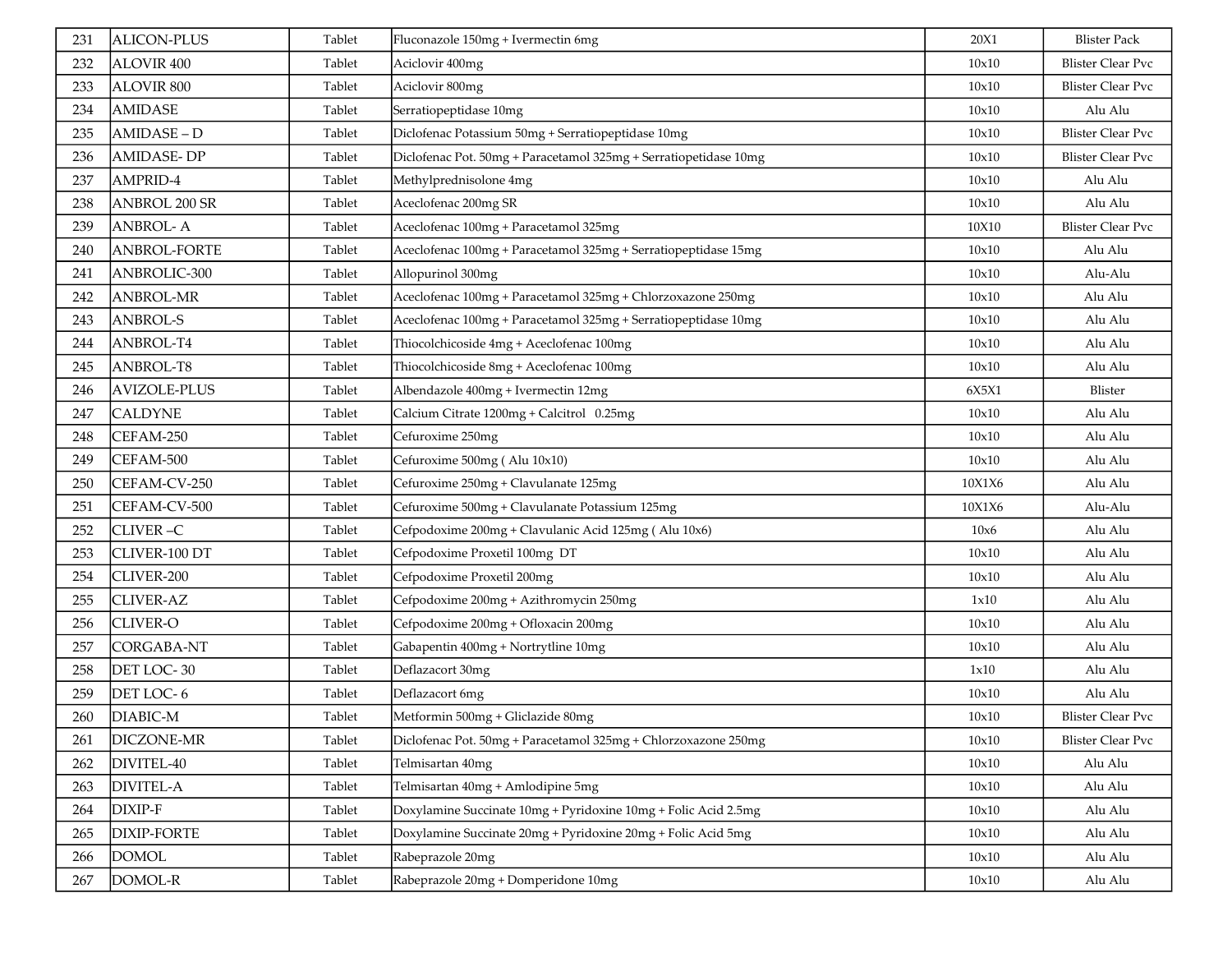| 231 | <b>ALICON-PLUS</b>   | Tablet | Fluconazole 150mg + Ivermectin 6mg                               | 20X1   | <b>Blister Pack</b>      |
|-----|----------------------|--------|------------------------------------------------------------------|--------|--------------------------|
| 232 | ALOVIR 400           | Tablet | Aciclovir 400mg                                                  | 10x10  | <b>Blister Clear Pvc</b> |
| 233 | <b>ALOVIR 800</b>    | Tablet | Aciclovir 800mg                                                  | 10x10  | <b>Blister Clear Pvc</b> |
| 234 | <b>AMIDASE</b>       | Tablet | Serratiopeptidase 10mg                                           | 10x10  | Alu Alu                  |
| 235 | AMIDASE-D            | Tablet | Diclofenac Potassium 50mg + Serratiopeptidase 10mg               | 10x10  | <b>Blister Clear Pvc</b> |
| 236 | <b>AMIDASE-DP</b>    | Tablet | Diclofenac Pot. 50mg + Paracetamol 325mg + Serratiopetidase 10mg | 10x10  | <b>Blister Clear Pvc</b> |
| 237 | AMPRID-4             | Tablet | Methylprednisolone 4mg                                           | 10x10  | Alu Alu                  |
| 238 | <b>ANBROL 200 SR</b> | Tablet | Aceclofenac 200mg SR                                             | 10x10  | Alu Alu                  |
| 239 | <b>ANBROL-A</b>      | Tablet | Aceclofenac 100mg + Paracetamol 325mg                            | 10X10  | <b>Blister Clear Pvc</b> |
| 240 | ANBROL-FORTE         | Tablet | Aceclofenac 100mg + Paracetamol 325mg + Serratiopeptidase 15mg   | 10x10  | Alu Alu                  |
| 241 | ANBROLIC-300         | Tablet | Allopurinol 300mg                                                | 10x10  | Alu-Alu                  |
| 242 | <b>ANBROL-MR</b>     | Tablet | Aceclofenac 100mg + Paracetamol 325mg + Chlorzoxazone 250mg      | 10x10  | Alu Alu                  |
| 243 | <b>ANBROL-S</b>      | Tablet | Aceclofenac 100mg + Paracetamol 325mg + Serratiopeptidase 10mg   | 10x10  | Alu Alu                  |
| 244 | ANBROL-T4            | Tablet | Thiocolchicoside 4mg + Aceclofenac 100mg                         | 10x10  | Alu Alu                  |
| 245 | ANBROL-T8            | Tablet | Thiocolchicoside 8mg + Aceclofenac 100mg                         | 10x10  | Alu Alu                  |
| 246 | <b>AVIZOLE-PLUS</b>  | Tablet | Albendazole 400mg + Ivermectin 12mg                              | 6X5X1  | Blister                  |
| 247 | <b>CALDYNE</b>       | Tablet | Calcium Citrate 1200mg + Calcitrol 0.25mg                        | 10x10  | Alu Alu                  |
| 248 | CEFAM-250            | Tablet | Cefuroxime 250mg                                                 | 10x10  | Alu Alu                  |
| 249 | CEFAM-500            | Tablet | Cefuroxime 500mg (Alu 10x10)                                     | 10x10  | Alu Alu                  |
| 250 | CEFAM-CV-250         | Tablet | Cefuroxime 250mg + Clavulanate 125mg                             | 10X1X6 | Alu Alu                  |
| 251 | CEFAM-CV-500         | Tablet | Cefuroxime 500mg + Clavulanate Potassium 125mg                   | 10X1X6 | Alu-Alu                  |
| 252 | CLIVER-C             | Tablet | Cefpodoxime 200mg + Clavulanic Acid 125mg (Alu 10x6)             | 10x6   | Alu Alu                  |
| 253 | CLIVER-100 DT        | Tablet | Cefpodoxime Proxetil 100mg DT                                    | 10x10  | Alu Alu                  |
| 254 | CLIVER-200           | Tablet | Cefpodoxime Proxetil 200mg                                       | 10x10  | Alu Alu                  |
| 255 | <b>CLIVER-AZ</b>     | Tablet | Cefpodoxime 200mg + Azithromycin 250mg                           | 1x10   | Alu Alu                  |
| 256 | <b>CLIVER-O</b>      | Tablet | Cefpodoxime 200mg + Ofloxacin 200mg                              | 10x10  | Alu Alu                  |
| 257 | <b>CORGABA-NT</b>    | Tablet | Gabapentin 400mg + Nortrytline 10mg                              | 10x10  | Alu Alu                  |
| 258 | DET LOC-30           | Tablet | Deflazacort 30mg                                                 | 1x10   | Alu Alu                  |
| 259 | DET LOC-6            | Tablet | Deflazacort 6mg                                                  | 10x10  | Alu Alu                  |
| 260 | DIABIC-M             | Tablet | Metformin 500mg + Gliclazide 80mg                                | 10x10  | <b>Blister Clear Pvc</b> |
| 261 | DICZONE-MR           | Tablet | Diclofenac Pot. 50mg + Paracetamol 325mg + Chlorzoxazone 250mg   | 10x10  | <b>Blister Clear Pvc</b> |
| 262 | DIVITEL-40           | Tablet | Telmisartan 40mg                                                 | 10x10  | Alu Alu                  |
| 263 | <b>DIVITEL-A</b>     | Tablet | Telmisartan 40mg + Amlodipine 5mg                                | 10x10  | Alu Alu                  |
| 264 | DIXIP-F              | Tablet | Doxylamine Succinate 10mg + Pyridoxine 10mg + Folic Acid 2.5mg   | 10x10  | Alu Alu                  |
| 265 | <b>DIXIP-FORTE</b>   | Tablet | Doxylamine Succinate 20mg + Pyridoxine 20mg + Folic Acid 5mg     | 10x10  | Alu Alu                  |
| 266 | <b>DOMOL</b>         | Tablet | Rabeprazole 20mg                                                 | 10x10  | Alu Alu                  |
| 267 | DOMOL-R              | Tablet | Rabeprazole 20mg + Domperidone 10mg                              | 10x10  | Alu Alu                  |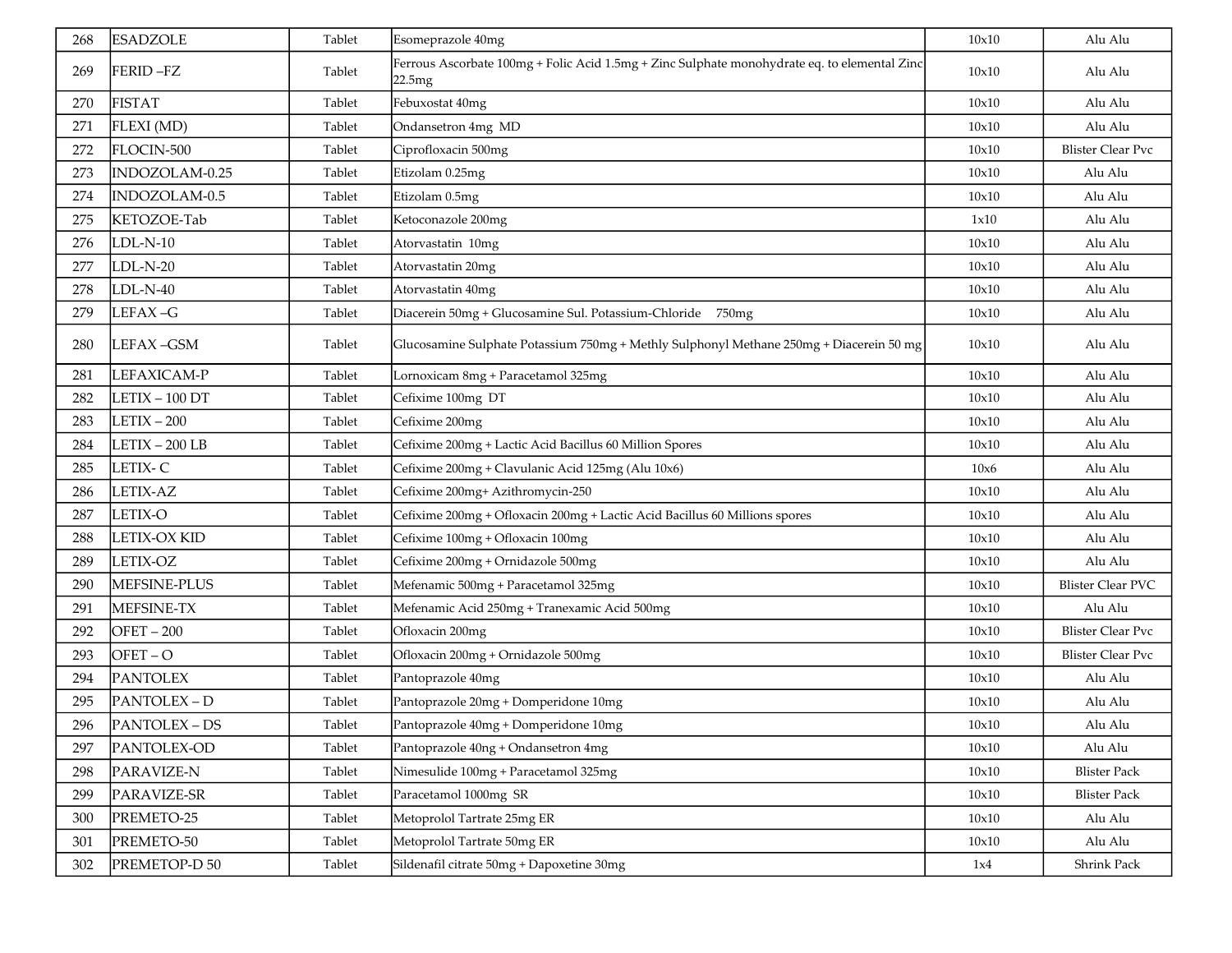| 268 | <b>ESADZOLE</b>     | Tablet | Esomeprazole 40mg                                                                                      | 10x10 | Alu Alu                  |
|-----|---------------------|--------|--------------------------------------------------------------------------------------------------------|-------|--------------------------|
| 269 | FERID-FZ            | Tablet | Ferrous Ascorbate 100mg + Folic Acid 1.5mg + Zinc Sulphate monohydrate eq. to elemental Zinc<br>22.5mg | 10x10 | Alu Alu                  |
| 270 | <b>FISTAT</b>       | Tablet | Febuxostat 40mg                                                                                        | 10x10 | Alu Alu                  |
| 271 | FLEXI (MD)          | Tablet | Ondansetron 4mg MD                                                                                     | 10x10 | Alu Alu                  |
| 272 | FLOCIN-500          | Tablet | Ciprofloxacin 500mg                                                                                    | 10x10 | <b>Blister Clear Pvc</b> |
| 273 | INDOZOLAM-0.25      | Tablet | Etizolam 0.25mg                                                                                        | 10x10 | Alu Alu                  |
| 274 | INDOZOLAM-0.5       | Tablet | Etizolam 0.5mg                                                                                         | 10x10 | Alu Alu                  |
| 275 | KETOZOE-Tab         | Tablet | Ketoconazole 200mg                                                                                     | 1x10  | Alu Alu                  |
| 276 | $LDL-N-10$          | Tablet | Atorvastatin 10mg                                                                                      | 10x10 | Alu Alu                  |
| 277 | $LDL-N-20$          | Tablet | Atorvastatin 20mg                                                                                      | 10x10 | Alu Alu                  |
| 278 | $LDL-N-40$          | Tablet | Atorvastatin 40mg                                                                                      | 10x10 | Alu Alu                  |
| 279 | LEFAX-G             | Tablet | Diacerein 50mg + Glucosamine Sul. Potassium-Chloride 750mg                                             | 10x10 | Alu Alu                  |
| 280 | LEFAX-GSM           | Tablet | Glucosamine Sulphate Potassium 750mg + Methly Sulphonyl Methane 250mg + Diacerein 50 mg                | 10x10 | Alu Alu                  |
| 281 | LEFAXICAM-P         | Tablet | Lornoxicam 8mg + Paracetamol 325mg                                                                     | 10x10 | Alu Alu                  |
| 282 | $LETIX - 100 DT$    | Tablet | Cefixime 100mg DT                                                                                      | 10x10 | Alu Alu                  |
| 283 | $LETIX - 200$       | Tablet | Cefixime 200mg                                                                                         | 10x10 | Alu Alu                  |
| 284 | $LETIX - 200 LB$    | Tablet | Cefixime 200mg + Lactic Acid Bacillus 60 Million Spores                                                | 10x10 | Alu Alu                  |
| 285 | LETIX-C             | Tablet | Cefixime 200mg + Clavulanic Acid 125mg (Alu 10x6)                                                      | 10x6  | Alu Alu                  |
| 286 | LETIX-AZ            | Tablet | Cefixime 200mg+ Azithromycin-250                                                                       | 10x10 | Alu Alu                  |
| 287 | <b>LETIX-O</b>      | Tablet | Cefixime 200mg + Ofloxacin 200mg + Lactic Acid Bacillus 60 Millions spores                             | 10x10 | Alu Alu                  |
| 288 | <b>LETIX-OX KID</b> | Tablet | Cefixime 100mg + Ofloxacin 100mg                                                                       | 10x10 | Alu Alu                  |
| 289 | LETIX-OZ            | Tablet | Cefixime 200mg + Ornidazole 500mg                                                                      | 10x10 | Alu Alu                  |
| 290 | MEFSINE-PLUS        | Tablet | Mefenamic 500mg + Paracetamol 325mg                                                                    | 10x10 | <b>Blister Clear PVC</b> |
| 291 | MEFSINE-TX          | Tablet | Mefenamic Acid 250mg + Tranexamic Acid 500mg                                                           | 10x10 | Alu Alu                  |
| 292 | $OFET - 200$        | Tablet | Ofloxacin 200mg                                                                                        | 10x10 | <b>Blister Clear Pvc</b> |
| 293 | $OFET - O$          | Tablet | Ofloxacin 200mg + Ornidazole 500mg                                                                     | 10x10 | <b>Blister Clear Pvc</b> |
| 294 | <b>PANTOLEX</b>     | Tablet | Pantoprazole 40mg                                                                                      | 10x10 | Alu Alu                  |
| 295 | PANTOLEX-D          | Tablet | Pantoprazole 20mg + Domperidone 10mg                                                                   | 10x10 | Alu Alu                  |
| 296 | PANTOLEX-DS         | Tablet | Pantoprazole 40mg + Domperidone 10mg                                                                   | 10x10 | Alu Alu                  |
| 297 | PANTOLEX-OD         | Tablet | Pantoprazole 40ng + Ondansetron 4mg                                                                    | 10x10 | Alu Alu                  |
| 298 | PARAVIZE-N          | Tablet | Nimesulide 100mg + Paracetamol 325mg                                                                   | 10x10 | <b>Blister Pack</b>      |
| 299 | PARAVIZE-SR         | Tablet | Paracetamol 1000mg SR                                                                                  | 10x10 | <b>Blister Pack</b>      |
| 300 | PREMETO-25          | Tablet | Metoprolol Tartrate 25mg ER                                                                            | 10x10 | Alu Alu                  |
| 301 | PREMETO-50          | Tablet | Metoprolol Tartrate 50mg ER                                                                            | 10x10 | Alu Alu                  |
| 302 | PREMETOP-D 50       | Tablet | Sildenafil citrate 50mg + Dapoxetine 30mg                                                              | 1x4   | Shrink Pack              |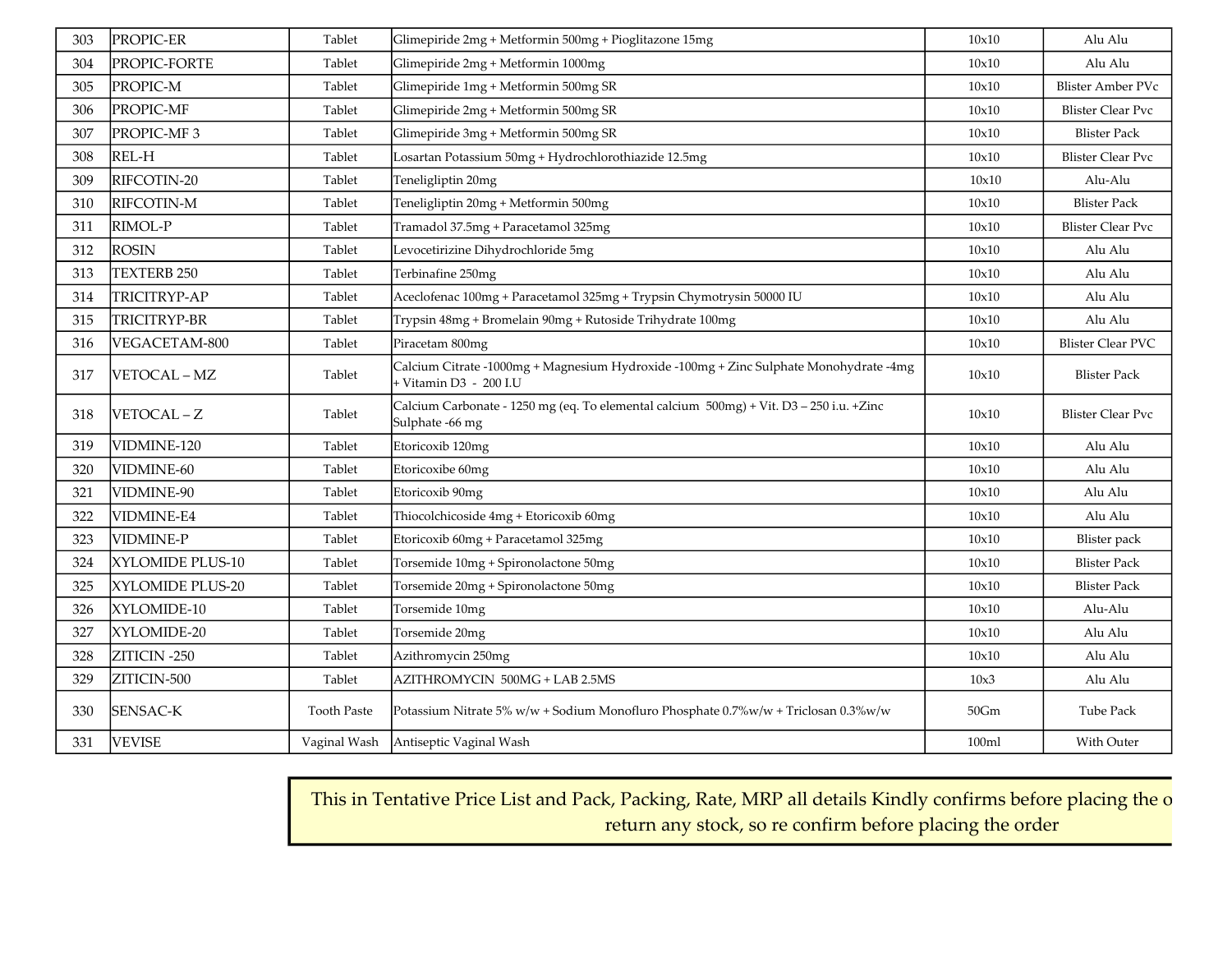| 303 | PROPIC-ER        | Tablet             | Glimepiride 2mg + Metformin 500mg + Pioglitazone 15mg                                                           | 10x10   | Alu Alu                  |
|-----|------------------|--------------------|-----------------------------------------------------------------------------------------------------------------|---------|--------------------------|
| 304 | PROPIC-FORTE     | Tablet             | Glimepiride 2mg + Metformin 1000mg                                                                              | 10x10   | Alu Alu                  |
| 305 | PROPIC-M         | Tablet             | Glimepiride 1mg + Metformin 500mg SR                                                                            | 10x10   | Blister Amber PVc        |
| 306 | PROPIC-MF        | Tablet             | Glimepiride 2mg + Metformin 500mg SR                                                                            | 10x10   | <b>Blister Clear Pvc</b> |
| 307 | PROPIC-MF3       | Tablet             | Glimepiride 3mg + Metformin 500mg SR                                                                            | 10x10   | <b>Blister Pack</b>      |
| 308 | REL-H            | Tablet             | Losartan Potassium 50mg + Hydrochlorothiazide 12.5mg                                                            | 10x10   | <b>Blister Clear Pvc</b> |
| 309 | RIFCOTIN-20      | Tablet             | Teneligliptin 20mg                                                                                              | 10x10   | Alu-Alu                  |
| 310 | RIFCOTIN-M       | Tablet             | Teneligliptin 20mg + Metformin 500mg                                                                            | 10x10   | <b>Blister Pack</b>      |
| 311 | RIMOL-P          | Tablet             | Tramadol 37.5mg + Paracetamol 325mg                                                                             | 10x10   | <b>Blister Clear Pvc</b> |
| 312 | <b>ROSIN</b>     | Tablet             | Levocetirizine Dihydrochloride 5mg                                                                              | 10x10   | Alu Alu                  |
| 313 | TEXTERB 250      | Tablet             | Terbinafine 250mg                                                                                               | 10x10   | Alu Alu                  |
| 314 | TRICITRYP-AP     | Tablet             | Aceclofenac 100mg + Paracetamol 325mg + Trypsin Chymotrysin 50000 IU                                            | 10x10   | Alu Alu                  |
| 315 | TRICITRYP-BR     | Tablet             | Trypsin 48mg + Bromelain 90mg + Rutoside Trihydrate 100mg                                                       | 10x10   | Alu Alu                  |
| 316 | VEGACETAM-800    | Tablet             | Piracetam 800mg                                                                                                 | 10x10   | <b>Blister Clear PVC</b> |
| 317 | VETOCAL - MZ     | Tablet             | Calcium Citrate -1000mg + Magnesium Hydroxide -100mg + Zinc Sulphate Monohydrate -4mg<br>+ Vitamin D3 - 200 I.U | 10x10   | <b>Blister Pack</b>      |
| 318 | VETOCAL-Z        | Tablet             | Calcium Carbonate - 1250 mg (eq. To elemental calcium 500mg) + Vit. D3 - 250 i.u. +Zinc<br>Sulphate -66 mg      | 10x10   | <b>Blister Clear Pvc</b> |
| 319 | VIDMINE-120      | Tablet             | Etoricoxib 120mg                                                                                                | 10x10   | Alu Alu                  |
| 320 | VIDMINE-60       | Tablet             | Etoricoxibe 60mg                                                                                                | 10x10   | Alu Alu                  |
| 321 | VIDMINE-90       | Tablet             | Etoricoxib 90mg                                                                                                 | 10x10   | Alu Alu                  |
| 322 | VIDMINE-E4       | Tablet             | Thiocolchicoside 4mg + Etoricoxib 60mg                                                                          | 10x10   | Alu Alu                  |
| 323 | <b>VIDMINE-P</b> | Tablet             | Etoricoxib 60mg + Paracetamol 325mg                                                                             | 10x10   | <b>Blister</b> pack      |
| 324 | XYLOMIDE PLUS-10 | Tablet             | Torsemide 10mg + Spironolactone 50mg                                                                            | 10x10   | <b>Blister Pack</b>      |
| 325 | XYLOMIDE PLUS-20 | Tablet             | Torsemide 20mg + Spironolactone 50mg                                                                            | 10x10   | <b>Blister Pack</b>      |
| 326 | XYLOMIDE-10      | Tablet             | Torsemide 10mg                                                                                                  | 10x10   | Alu-Alu                  |
| 327 | XYLOMIDE-20      | Tablet             | Torsemide 20mg                                                                                                  | 10x10   | Alu Alu                  |
| 328 | ZITICIN -250     | Tablet             | Azithromycin 250mg                                                                                              | 10x10   | Alu Alu                  |
| 329 | ZITICIN-500      | Tablet             | AZITHROMYCIN 500MG + LAB 2.5MS                                                                                  | 10x3    | Alu Alu                  |
| 330 | SENSAC-K         | <b>Tooth Paste</b> | Potassium Nitrate 5% w/w + Sodium Monofluro Phosphate 0.7%w/w + Triclosan 0.3%w/w                               | $50$ Gm | Tube Pack                |
| 331 | <b>VEVISE</b>    | Vaginal Wash       | Antiseptic Vaginal Wash                                                                                         | 100ml   | With Outer               |

This in Tentative Price List and Pack, Packing, Rate, MRP all details Kindly confirms before placing the o return any stock, so re confirm before placing the order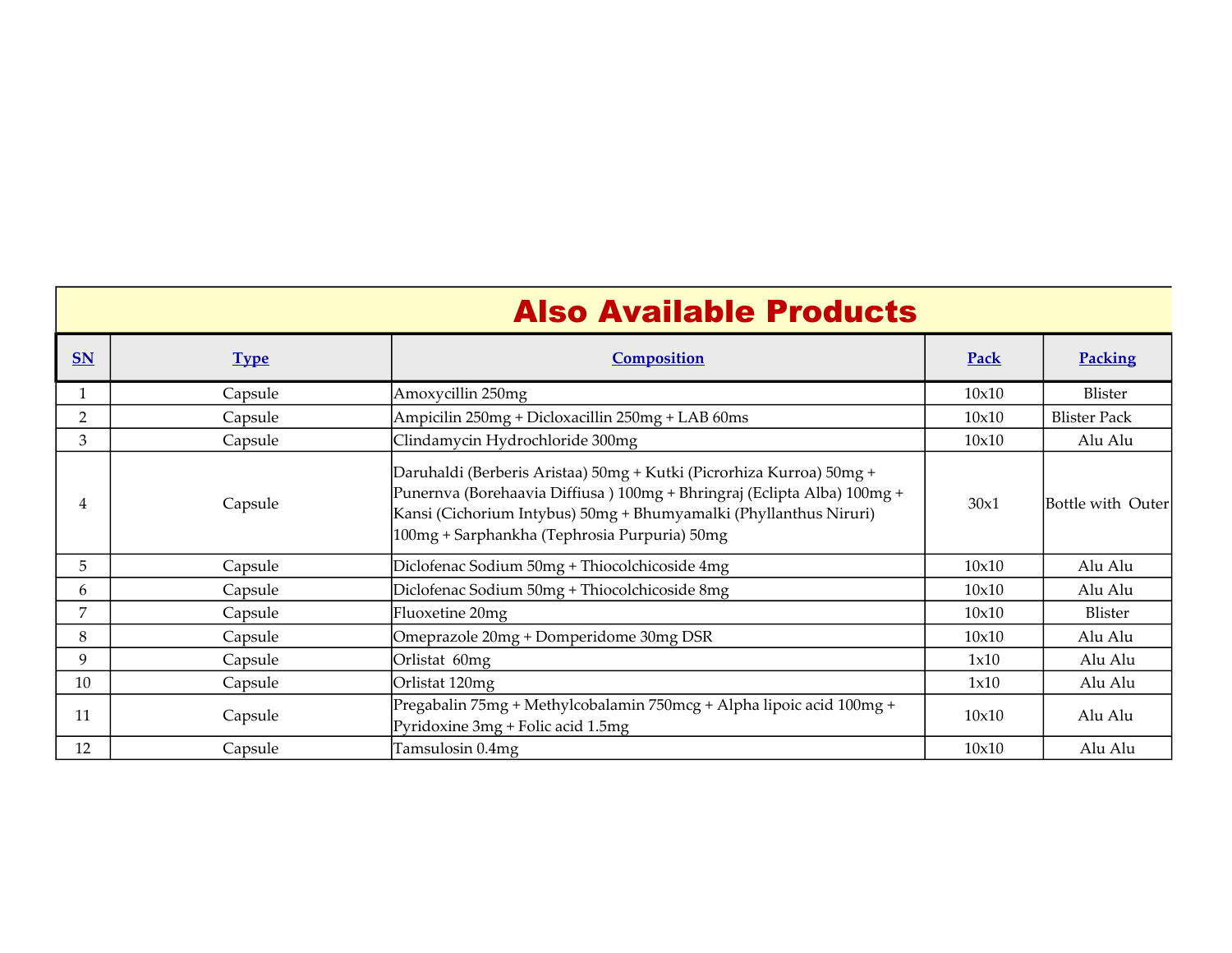|           |             | <b>Also Available Products</b>                                                                                                                                                                                                                                       |       |                     |
|-----------|-------------|----------------------------------------------------------------------------------------------------------------------------------------------------------------------------------------------------------------------------------------------------------------------|-------|---------------------|
| <b>SN</b> | <b>Type</b> | Composition                                                                                                                                                                                                                                                          | Pack  | Packing             |
|           | Capsule     | Amoxycillin 250mg                                                                                                                                                                                                                                                    | 10x10 | Blister             |
| 2         | Capsule     | Ampicilin 250mg + Dicloxacillin 250mg + LAB 60ms                                                                                                                                                                                                                     | 10x10 | <b>Blister Pack</b> |
| 3         | Capsule     | Clindamycin Hydrochloride 300mg                                                                                                                                                                                                                                      | 10x10 | Alu Alu             |
| 4         | Capsule     | Daruhaldi (Berberis Aristaa) 50mg + Kutki (Picrorhiza Kurroa) 50mg +<br>Punernva (Borehaavia Diffiusa) 100mg + Bhringraj (Eclipta Alba) 100mg +<br>Kansi (Cichorium Intybus) 50mg + Bhumyamalki (Phyllanthus Niruri)<br>100mg + Sarphankha (Tephrosia Purpuria) 50mg | 30x1  | Bottle with Outer   |
| 5         | Capsule     | Diclofenac Sodium 50mg + Thiocolchicoside 4mg                                                                                                                                                                                                                        | 10x10 | Alu Alu             |
| 6         | Capsule     | Diclofenac Sodium 50mg + Thiocolchicoside 8mg                                                                                                                                                                                                                        | 10x10 | Alu Alu             |
| 7         | Capsule     | Fluoxetine 20mg                                                                                                                                                                                                                                                      | 10x10 | Blister             |
| 8         | Capsule     | Omeprazole 20mg + Domperidome 30mg DSR                                                                                                                                                                                                                               | 10x10 | Alu Alu             |
| 9         | Capsule     | Orlistat 60mg                                                                                                                                                                                                                                                        | 1x10  | Alu Alu             |
| 10        | Capsule     | Orlistat 120mg                                                                                                                                                                                                                                                       | 1x10  | Alu Alu             |
| 11        | Capsule     | Pregabalin 75mg + Methylcobalamin 750mcg + Alpha lipoic acid 100mg +<br>Pyridoxine 3mg + Folic acid 1.5mg                                                                                                                                                            | 10x10 | Alu Alu             |
| 12        | Capsule     | Tamsulosin 0.4mg                                                                                                                                                                                                                                                     | 10x10 | Alu Alu             |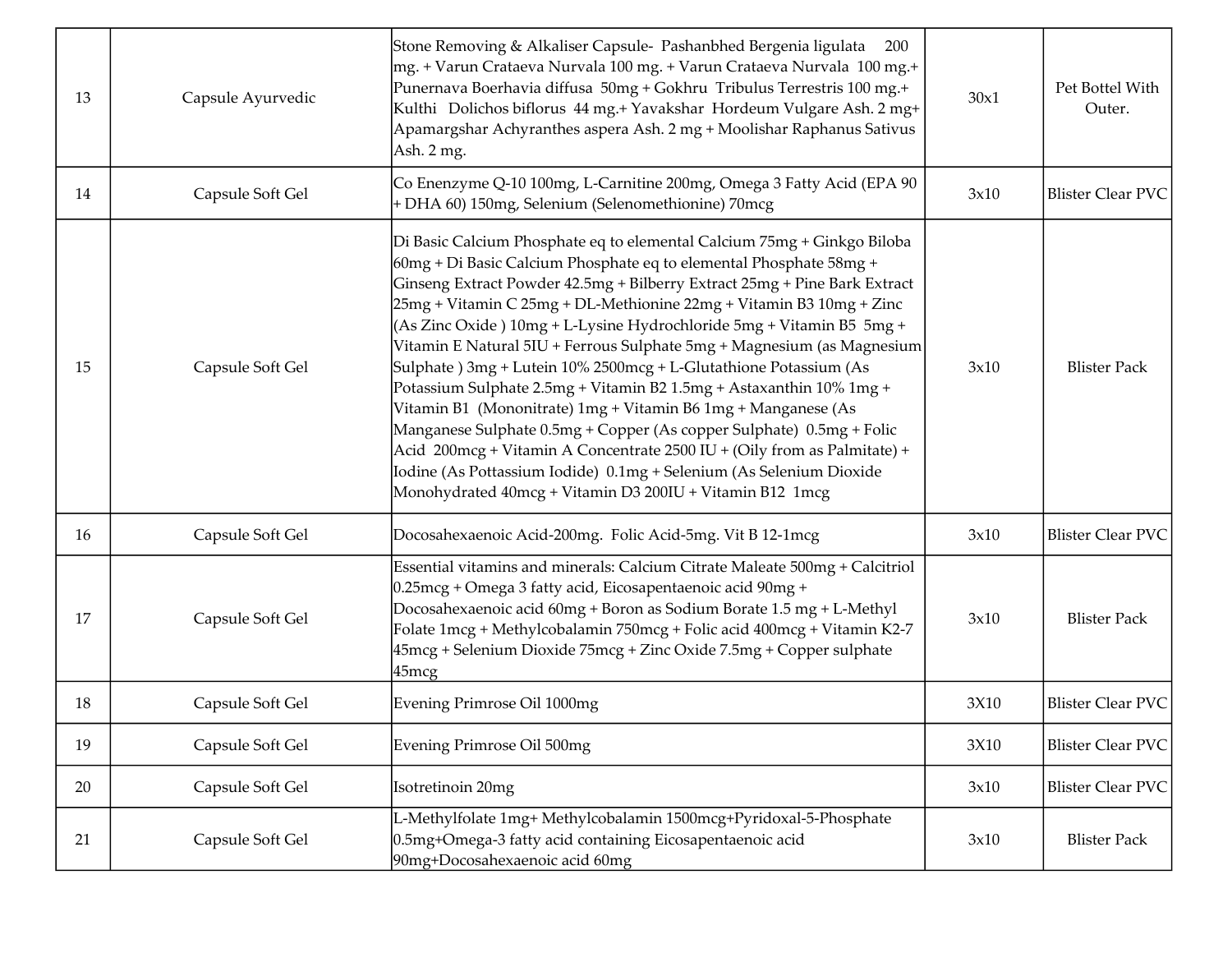| 13 | Capsule Ayurvedic | Stone Removing & Alkaliser Capsule- Pashanbhed Bergenia ligulata<br>200<br> mg. + Varun Crataeva Nurvala 100 mg. + Varun Crataeva Nurvala 100 mg.+<br>Punernava Boerhavia diffusa 50mg + Gokhru Tribulus Terrestris 100 mg.+<br>Kulthi Dolichos biflorus 44 mg.+ Yavakshar Hordeum Vulgare Ash. 2 mg+<br>Apamargshar Achyranthes aspera Ash. 2 mg + Moolishar Raphanus Sativus<br>Ash. 2 mg.                                                                                                                                                                                                                                                                                                                                                                                                                                                                                                                                                            | 30x1 | Pet Bottel With<br>Outer. |
|----|-------------------|---------------------------------------------------------------------------------------------------------------------------------------------------------------------------------------------------------------------------------------------------------------------------------------------------------------------------------------------------------------------------------------------------------------------------------------------------------------------------------------------------------------------------------------------------------------------------------------------------------------------------------------------------------------------------------------------------------------------------------------------------------------------------------------------------------------------------------------------------------------------------------------------------------------------------------------------------------|------|---------------------------|
| 14 | Capsule Soft Gel  | Co Enenzyme Q-10 100mg, L-Carnitine 200mg, Omega 3 Fatty Acid (EPA 90<br>+ DHA 60) 150mg, Selenium (Selenomethionine) 70mcg                                                                                                                                                                                                                                                                                                                                                                                                                                                                                                                                                                                                                                                                                                                                                                                                                             | 3x10 | <b>Blister Clear PVC</b>  |
| 15 | Capsule Soft Gel  | Di Basic Calcium Phosphate eq to elemental Calcium 75mg + Ginkgo Biloba<br>60mg + Di Basic Calcium Phosphate eq to elemental Phosphate 58mg +<br>Ginseng Extract Powder 42.5mg + Bilberry Extract 25mg + Pine Bark Extract<br>25mg + Vitamin C 25mg + DL-Methionine 22mg + Vitamin B3 10mg + Zinc<br>(As Zinc Oxide) 10mg + L-Lysine Hydrochloride 5mg + Vitamin B5 5mg +<br>Vitamin E Natural 5IU + Ferrous Sulphate 5mg + Magnesium (as Magnesium<br>Sulphate ) 3mg + Lutein 10% 2500mcg + L-Glutathione Potassium (As<br>Potassium Sulphate 2.5mg + Vitamin B2 1.5mg + Astaxanthin 10% 1mg +<br>Vitamin B1 (Mononitrate) 1mg + Vitamin B6 1mg + Manganese (As<br>Manganese Sulphate 0.5mg + Copper (As copper Sulphate) 0.5mg + Folic<br>Acid 200mcg + Vitamin A Concentrate 2500 IU + (Oily from as Palmitate) +<br>Iodine (As Pottassium Iodide) 0.1mg + Selenium (As Selenium Dioxide<br>Monohydrated 40mcg + Vitamin D3 200IU + Vitamin B12 1mcg | 3x10 | <b>Blister Pack</b>       |
| 16 | Capsule Soft Gel  | Docosahexaenoic Acid-200mg. Folic Acid-5mg. Vit B 12-1mcg                                                                                                                                                                                                                                                                                                                                                                                                                                                                                                                                                                                                                                                                                                                                                                                                                                                                                               | 3x10 | <b>Blister Clear PVC</b>  |
| 17 | Capsule Soft Gel  | Essential vitamins and minerals: Calcium Citrate Maleate 500mg + Calcitriol<br>0.25mcg + Omega 3 fatty acid, Eicosapentaenoic acid 90mg +<br>Docosahexaenoic acid 60mg + Boron as Sodium Borate 1.5 mg + L-Methyl<br>Folate 1mcg + Methylcobalamin 750mcg + Folic acid 400mcg + Vitamin K2-7<br>45mcg + Selenium Dioxide 75mcg + Zinc Oxide 7.5mg + Copper sulphate<br>45mcg                                                                                                                                                                                                                                                                                                                                                                                                                                                                                                                                                                            | 3x10 | <b>Blister Pack</b>       |
| 18 | Capsule Soft Gel  | Evening Primrose Oil 1000mg                                                                                                                                                                                                                                                                                                                                                                                                                                                                                                                                                                                                                                                                                                                                                                                                                                                                                                                             | 3X10 | <b>Blister Clear PVC</b>  |
| 19 | Capsule Soft Gel  | Evening Primrose Oil 500mg                                                                                                                                                                                                                                                                                                                                                                                                                                                                                                                                                                                                                                                                                                                                                                                                                                                                                                                              | 3X10 | <b>Blister Clear PVC</b>  |
| 20 | Capsule Soft Gel  | Isotretinoin 20mg                                                                                                                                                                                                                                                                                                                                                                                                                                                                                                                                                                                                                                                                                                                                                                                                                                                                                                                                       | 3x10 | <b>Blister Clear PVC</b>  |
| 21 | Capsule Soft Gel  | L-Methylfolate 1mg+ Methylcobalamin 1500mcg+Pyridoxal-5-Phosphate<br>0.5mg+Omega-3 fatty acid containing Eicosapentaenoic acid<br>90mg+Docosahexaenoic acid 60mg                                                                                                                                                                                                                                                                                                                                                                                                                                                                                                                                                                                                                                                                                                                                                                                        | 3x10 | <b>Blister Pack</b>       |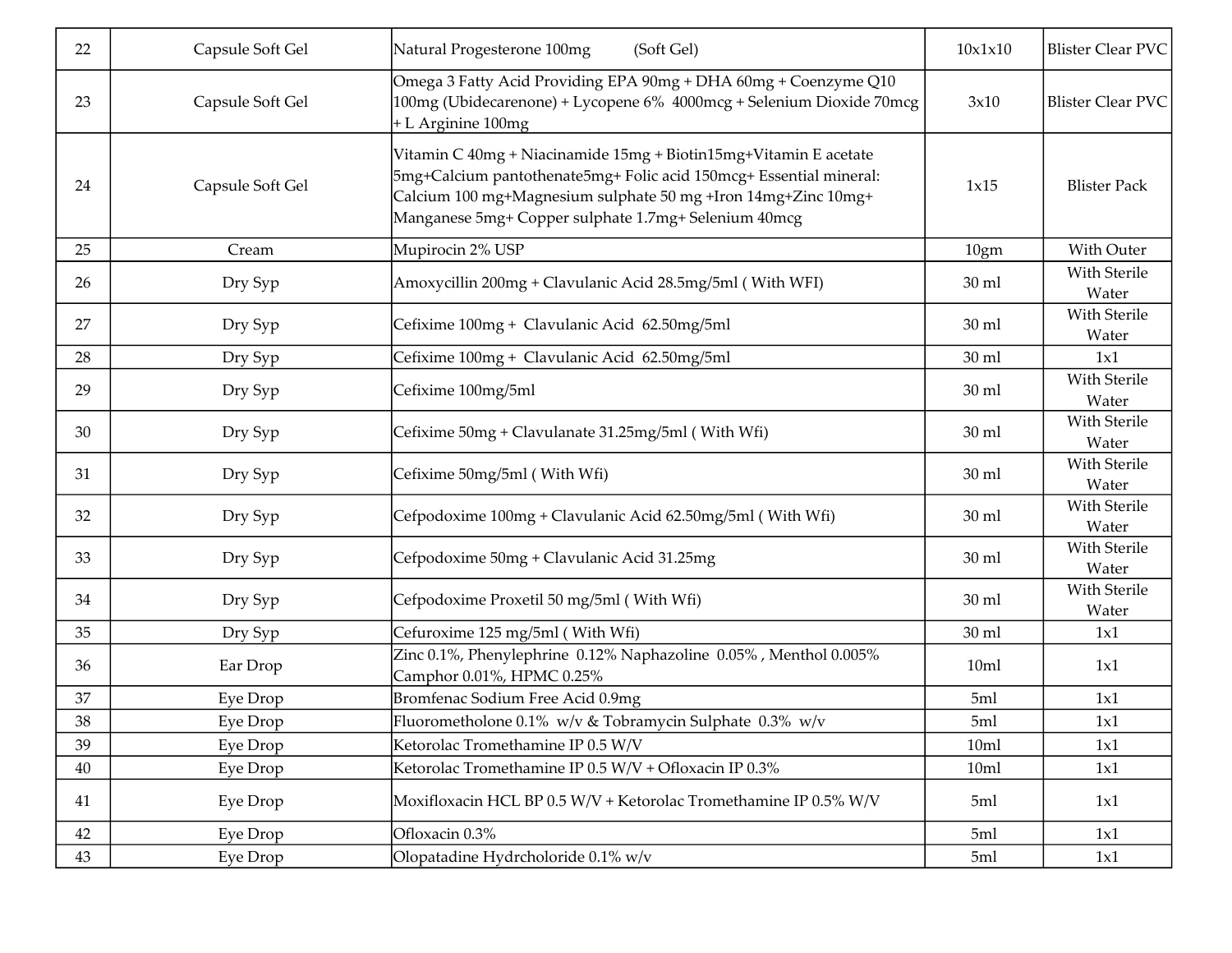| 22 | Capsule Soft Gel | Natural Progesterone 100mg<br>(Soft Gel)                                                                                                                                                                                                                        | 10x1x10         | <b>Blister Clear PVC</b> |
|----|------------------|-----------------------------------------------------------------------------------------------------------------------------------------------------------------------------------------------------------------------------------------------------------------|-----------------|--------------------------|
| 23 | Capsule Soft Gel | Omega 3 Fatty Acid Providing EPA 90mg + DHA 60mg + Coenzyme Q10<br>100mg (Ubidecarenone) + Lycopene 6% 4000mcg + Selenium Dioxide 70mcg<br>+ L Arginine 100mg                                                                                                   | 3x10            | <b>Blister Clear PVC</b> |
| 24 | Capsule Soft Gel | Vitamin C 40mg + Niacinamide 15mg + Biotin15mg+Vitamin E acetate<br>5mg+Calcium pantothenate5mg+ Folic acid 150mcg+ Essential mineral:<br>Calcium 100 mg+Magnesium sulphate 50 mg +Iron 14mg+Zinc 10mg+<br>Manganese 5mg+ Copper sulphate 1.7mg+ Selenium 40mcg | 1x15            | <b>Blister Pack</b>      |
| 25 | Cream            | Mupirocin 2% USP                                                                                                                                                                                                                                                | 10gm            | With Outer               |
| 26 | Dry Syp          | Amoxycillin 200mg + Clavulanic Acid 28.5mg/5ml (With WFI)                                                                                                                                                                                                       | $30 \text{ ml}$ | With Sterile<br>Water    |
| 27 | Dry Syp          | Cefixime 100mg + Clavulanic Acid 62.50mg/5ml                                                                                                                                                                                                                    | $30$ ml         | With Sterile<br>Water    |
| 28 | Dry Syp          | Cefixime 100mg + Clavulanic Acid 62.50mg/5ml                                                                                                                                                                                                                    | $30$ ml         | 1x1                      |
| 29 | Dry Syp          | Cefixime 100mg/5ml                                                                                                                                                                                                                                              | 30 ml           | With Sterile<br>Water    |
| 30 | Dry Syp          | Cefixime 50mg + Clavulanate 31.25mg/5ml (With Wfi)                                                                                                                                                                                                              | 30 ml           | With Sterile<br>Water    |
| 31 | Dry Syp          | Cefixime 50mg/5ml (With Wfi)                                                                                                                                                                                                                                    | 30 ml           | With Sterile<br>Water    |
| 32 | Dry Syp          | Cefpodoxime 100mg + Clavulanic Acid 62.50mg/5ml (With Wfi)                                                                                                                                                                                                      | $30$ ml         | With Sterile<br>Water    |
| 33 | Dry Syp          | Cefpodoxime 50mg + Clavulanic Acid 31.25mg                                                                                                                                                                                                                      | 30 ml           | With Sterile<br>Water    |
| 34 | Dry Syp          | Cefpodoxime Proxetil 50 mg/5ml (With Wfi)                                                                                                                                                                                                                       | $30$ ml         | With Sterile<br>Water    |
| 35 | Dry Syp          | Cefuroxime 125 mg/5ml (With Wfi)                                                                                                                                                                                                                                | 30 ml           | 1x1                      |
| 36 | Ear Drop         | Zinc 0.1%, Phenylephrine 0.12% Naphazoline 0.05%, Menthol 0.005%<br>Camphor 0.01%, HPMC 0.25%                                                                                                                                                                   | 10ml            | 1x1                      |
| 37 | Eye Drop         | Bromfenac Sodium Free Acid 0.9mg                                                                                                                                                                                                                                | 5ml             | 1x1                      |
| 38 | Eye Drop         | Fluorometholone 0.1% w/v & Tobramycin Sulphate 0.3% w/v                                                                                                                                                                                                         | 5ml             | 1x1                      |
| 39 | Eye Drop         | Ketorolac Tromethamine IP 0.5 W/V                                                                                                                                                                                                                               | 10ml            | 1x1                      |
| 40 | Eye Drop         | Ketorolac Tromethamine IP 0.5 W/V + Ofloxacin IP 0.3%                                                                                                                                                                                                           | 10ml            | 1x1                      |
| 41 | Eye Drop         | Moxifloxacin HCL BP 0.5 W/V + Ketorolac Tromethamine IP 0.5% W/V                                                                                                                                                                                                | 5ml             | 1x1                      |
| 42 | Eye Drop         | Ofloxacin 0.3%                                                                                                                                                                                                                                                  | 5ml             | 1x1                      |
| 43 | Eye Drop         | Olopatadine Hydrcholoride 0.1% w/v                                                                                                                                                                                                                              | 5ml             | 1x1                      |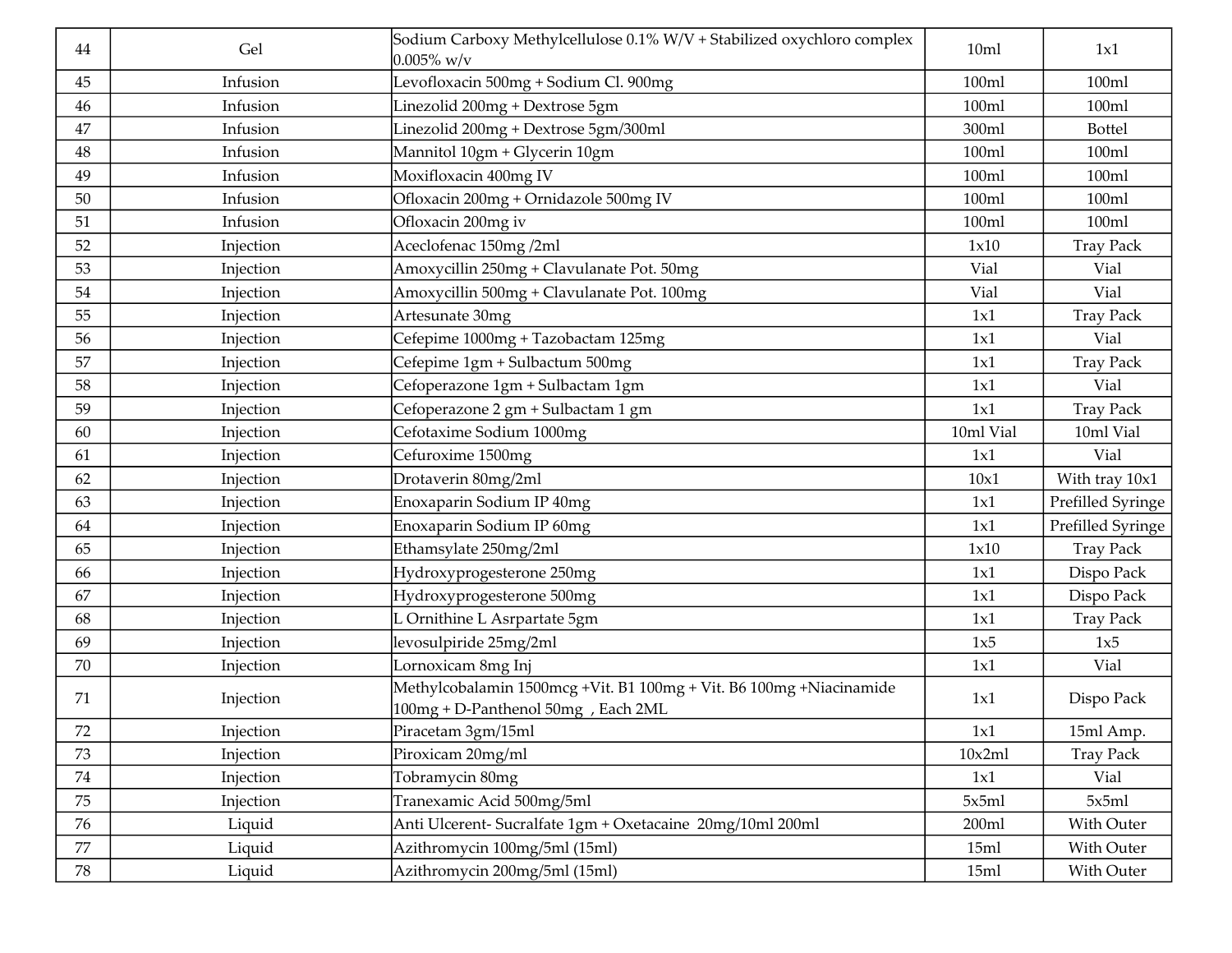| 44     | Gel       | Sodium Carboxy Methylcellulose 0.1% W/V + Stabilized oxychloro complex<br>$0.005\%$ w/v                   | 10ml      | 1x1               |
|--------|-----------|-----------------------------------------------------------------------------------------------------------|-----------|-------------------|
| 45     | Infusion  | Levofloxacin 500mg + Sodium Cl. 900mg                                                                     | 100ml     | 100ml             |
| 46     | Infusion  | Linezolid 200mg + Dextrose 5gm                                                                            | 100ml     | 100ml             |
| 47     | Infusion  | Linezolid 200mg + Dextrose 5gm/300ml                                                                      | 300ml     | Bottel            |
| 48     | Infusion  | Mannitol 10gm + Glycerin 10gm                                                                             | 100ml     | 100ml             |
| 49     | Infusion  | Moxifloxacin 400mg IV                                                                                     | 100ml     | 100ml             |
| 50     | Infusion  | Ofloxacin 200mg + Ornidazole 500mg IV                                                                     | 100ml     | 100ml             |
| 51     | Infusion  | Ofloxacin 200mg iv                                                                                        | 100ml     | 100ml             |
| 52     | Injection | Aceclofenac 150mg /2ml                                                                                    | 1x10      | <b>Tray Pack</b>  |
| 53     | Injection | Amoxycillin 250mg + Clavulanate Pot. 50mg                                                                 | Vial      | Vial              |
| 54     | Injection | Amoxycillin 500mg + Clavulanate Pot. 100mg                                                                | Vial      | Vial              |
| 55     | Injection | Artesunate 30mg                                                                                           | 1x1       | <b>Tray Pack</b>  |
| 56     | Injection | Cefepime 1000mg + Tazobactam 125mg                                                                        | 1x1       | Vial              |
| 57     | Injection | Cefepime 1gm + Sulbactum 500mg                                                                            | 1x1       | <b>Tray Pack</b>  |
| 58     | Injection | Cefoperazone 1gm + Sulbactam 1gm                                                                          | 1x1       | Vial              |
| 59     | Injection | Cefoperazone 2 gm + Sulbactam 1 gm                                                                        | 1x1       | <b>Tray Pack</b>  |
| 60     | Injection | Cefotaxime Sodium 1000mg                                                                                  | 10ml Vial | 10ml Vial         |
| 61     | Injection | Cefuroxime 1500mg                                                                                         | 1x1       | Vial              |
| 62     | Injection | Drotaverin 80mg/2ml                                                                                       | 10x1      | With tray 10x1    |
| 63     | Injection | Enoxaparin Sodium IP 40mg                                                                                 | 1x1       | Prefilled Syringe |
| 64     | Injection | Enoxaparin Sodium IP 60mg                                                                                 | 1x1       | Prefilled Syringe |
| 65     | Injection | Ethamsylate 250mg/2ml                                                                                     | 1x10      | <b>Tray Pack</b>  |
| 66     | Injection | Hydroxyprogesterone 250mg                                                                                 | 1x1       | Dispo Pack        |
| 67     | Injection | Hydroxyprogesterone 500mg                                                                                 | 1x1       | Dispo Pack        |
| 68     | Injection | L Ornithine L Asrpartate 5gm                                                                              | 1x1       | <b>Tray Pack</b>  |
| 69     | Injection | levosulpiride 25mg/2ml                                                                                    | 1x5       | 1x5               |
| 70     | Injection | Lornoxicam 8mg Inj                                                                                        | 1x1       | Vial              |
| 71     | Injection | Methylcobalamin 1500mcg +Vit. B1 100mg + Vit. B6 100mg +Niacinamide<br>100mg + D-Panthenol 50mg, Each 2ML | 1x1       | Dispo Pack        |
| 72     | Injection | Piracetam 3gm/15ml                                                                                        | 1x1       | 15ml Amp.         |
| 73     | Injection | Piroxicam 20mg/ml                                                                                         | 10x2ml    | <b>Tray Pack</b>  |
| 74     | Injection | Tobramycin 80mg                                                                                           | 1x1       | Vial              |
| 75     | Injection | Tranexamic Acid 500mg/5ml                                                                                 | 5x5ml     | 5x5ml             |
| 76     | Liquid    | Anti Ulcerent- Sucralfate 1gm + Oxetacaine 20mg/10ml 200ml                                                | 200ml     | With Outer        |
| $77\,$ | Liquid    | Azithromycin 100mg/5ml (15ml)                                                                             | 15ml      | With Outer        |
| 78     | Liquid    | Azithromycin 200mg/5ml (15ml)                                                                             | 15ml      | With Outer        |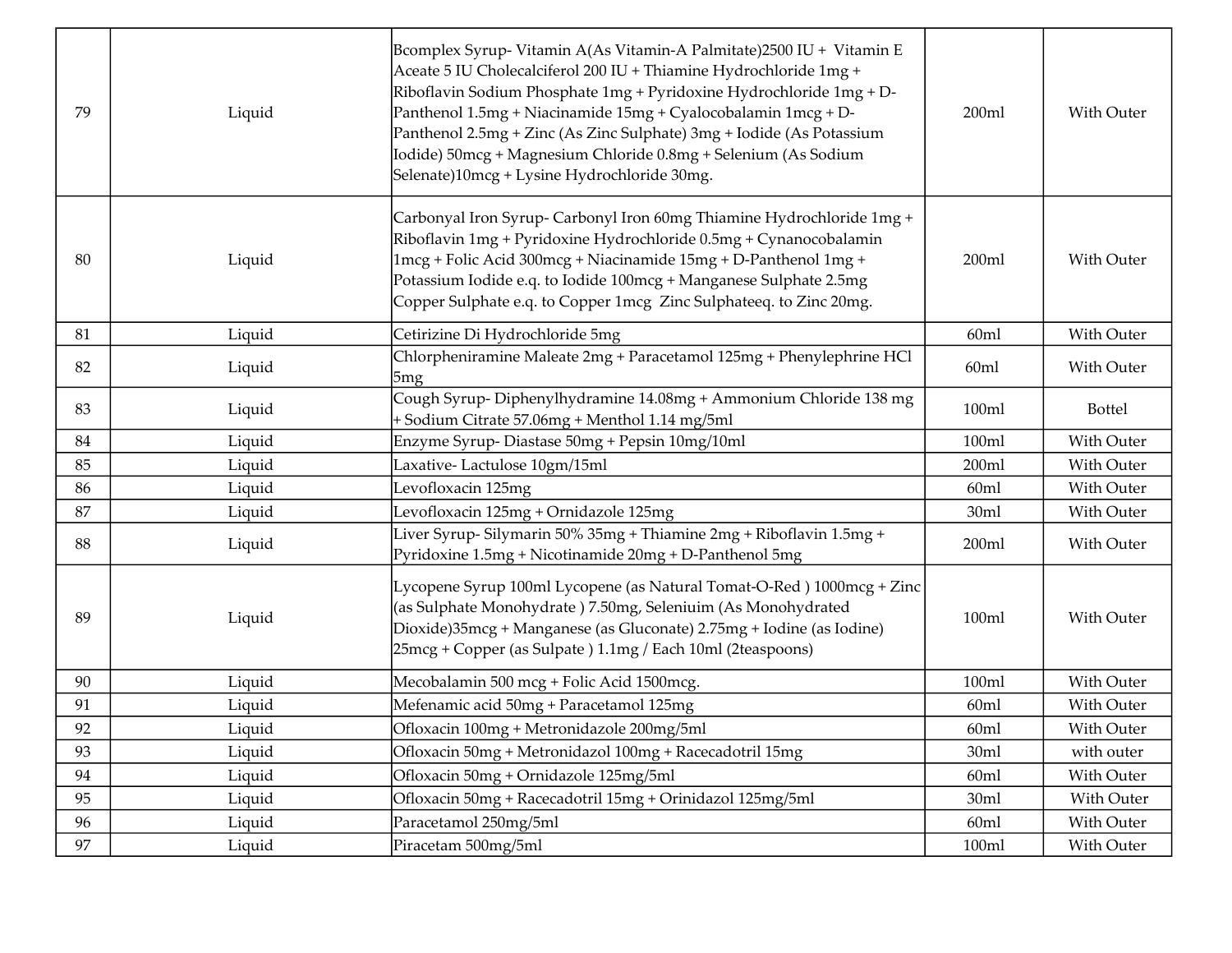| 79 | Liquid | Bcomplex Syrup- Vitamin A(As Vitamin-A Palmitate)2500 IU + Vitamin E<br>Aceate 5 IU Cholecalciferol 200 IU + Thiamine Hydrochloride 1mg +<br>Riboflavin Sodium Phosphate 1mg + Pyridoxine Hydrochloride 1mg + D-<br>Panthenol 1.5mg + Niacinamide 15mg + Cyalocobalamin 1mcg + D-<br>Panthenol 2.5mg + Zinc (As Zinc Sulphate) 3mg + Iodide (As Potassium<br>Iodide) 50mcg + Magnesium Chloride 0.8mg + Selenium (As Sodium<br>Selenate)10mcg + Lysine Hydrochloride 30mg. | 200ml | With Outer    |
|----|--------|----------------------------------------------------------------------------------------------------------------------------------------------------------------------------------------------------------------------------------------------------------------------------------------------------------------------------------------------------------------------------------------------------------------------------------------------------------------------------|-------|---------------|
| 80 | Liquid | Carbonyal Iron Syrup- Carbonyl Iron 60mg Thiamine Hydrochloride 1mg +<br>Riboflavin 1mg + Pyridoxine Hydrochloride 0.5mg + Cynanocobalamin<br>1mcg + Folic Acid 300mcg + Niacinamide 15mg + D-Panthenol 1mg +<br>Potassium Iodide e.q. to Iodide 100mcg + Manganese Sulphate 2.5mg<br>Copper Sulphate e.q. to Copper 1mcg Zinc Sulphateeq. to Zinc 20mg.                                                                                                                   | 200ml | With Outer    |
| 81 | Liquid | Cetirizine Di Hydrochloride 5mg                                                                                                                                                                                                                                                                                                                                                                                                                                            | 60ml  | With Outer    |
| 82 | Liquid | Chlorpheniramine Maleate 2mg + Paracetamol 125mg + Phenylephrine HCl<br>5mg                                                                                                                                                                                                                                                                                                                                                                                                | 60ml  | With Outer    |
| 83 | Liquid | Cough Syrup-Diphenylhydramine 14.08mg + Ammonium Chloride 138 mg<br>+ Sodium Citrate 57.06mg + Menthol 1.14 mg/5ml                                                                                                                                                                                                                                                                                                                                                         | 100ml | <b>Bottel</b> |
| 84 | Liquid | Enzyme Syrup-Diastase 50mg + Pepsin 10mg/10ml                                                                                                                                                                                                                                                                                                                                                                                                                              | 100ml | With Outer    |
| 85 | Liquid | Laxative-Lactulose 10gm/15ml                                                                                                                                                                                                                                                                                                                                                                                                                                               | 200ml | With Outer    |
| 86 | Liquid | Levofloxacin 125mg                                                                                                                                                                                                                                                                                                                                                                                                                                                         | 60ml  | With Outer    |
| 87 | Liquid | Levofloxacin 125mg + Ornidazole 125mg                                                                                                                                                                                                                                                                                                                                                                                                                                      | 30ml  | With Outer    |
| 88 | Liquid | Liver Syrup- Silymarin 50% 35mg + Thiamine 2mg + Riboflavin 1.5mg +<br>Pyridoxine 1.5mg + Nicotinamide 20mg + D-Panthenol 5mg                                                                                                                                                                                                                                                                                                                                              | 200ml | With Outer    |
| 89 | Liquid | Lycopene Syrup 100ml Lycopene (as Natural Tomat-O-Red) 1000mcg + Zinc<br>(as Sulphate Monohydrate) 7.50mg, Seleniuim (As Monohydrated<br>Dioxide)35mcg + Manganese (as Gluconate) 2.75mg + Iodine (as Iodine)<br>25mcg + Copper (as Sulpate) 1.1mg / Each 10ml (2teaspoons)                                                                                                                                                                                                | 100ml | With Outer    |
| 90 | Liquid | Mecobalamin 500 mcg + Folic Acid 1500mcg.                                                                                                                                                                                                                                                                                                                                                                                                                                  | 100ml | With Outer    |
| 91 | Liquid | Mefenamic acid 50mg + Paracetamol 125mg                                                                                                                                                                                                                                                                                                                                                                                                                                    | 60ml  | With Outer    |
| 92 | Liquid | Ofloxacin 100mg + Metronidazole 200mg/5ml                                                                                                                                                                                                                                                                                                                                                                                                                                  | 60ml  | With Outer    |
| 93 | Liquid | Ofloxacin 50mg + Metronidazol 100mg + Racecadotril 15mg                                                                                                                                                                                                                                                                                                                                                                                                                    | 30ml  | with outer    |
| 94 | Liquid | Ofloxacin 50mg + Ornidazole 125mg/5ml                                                                                                                                                                                                                                                                                                                                                                                                                                      | 60ml  | With Outer    |
| 95 | Liquid | Ofloxacin 50mg + Racecadotril 15mg + Orinidazol 125mg/5ml                                                                                                                                                                                                                                                                                                                                                                                                                  | 30ml  | With Outer    |
| 96 | Liquid | Paracetamol 250mg/5ml                                                                                                                                                                                                                                                                                                                                                                                                                                                      | 60ml  | With Outer    |
| 97 | Liquid | Piracetam 500mg/5ml                                                                                                                                                                                                                                                                                                                                                                                                                                                        | 100ml | With Outer    |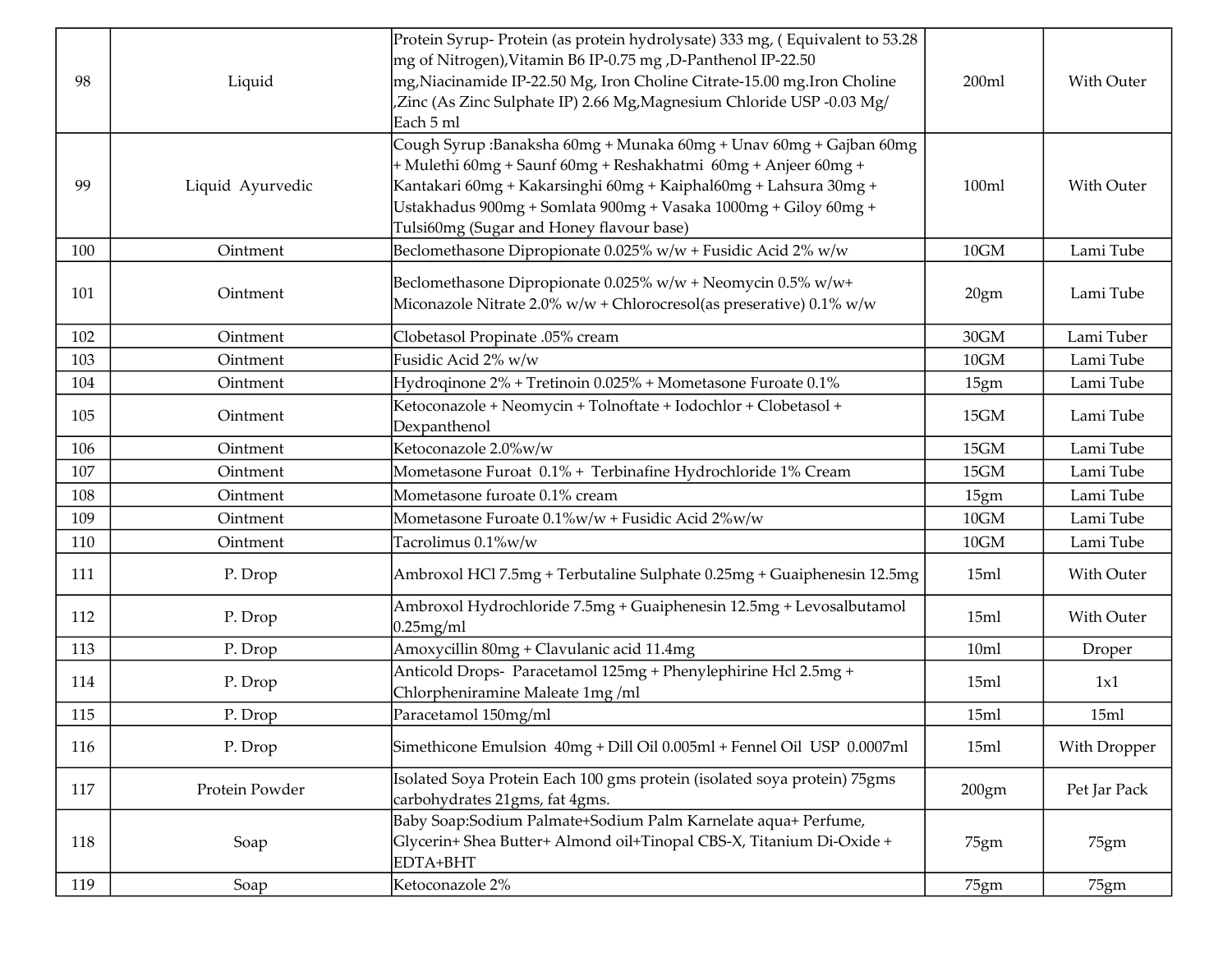| 98  | Liquid           | Protein Syrup-Protein (as protein hydrolysate) 333 mg, (Equivalent to 53.28<br>mg of Nitrogen), Vitamin B6 IP-0.75 mg , D-Panthenol IP-22.50<br>mg, Niacinamide IP-22.50 Mg, Iron Choline Citrate-15.00 mg. Iron Choline<br>Zinc (As Zinc Sulphate IP) 2.66 Mg, Magnesium Chloride USP -0.03 Mg/<br>Each 5 ml           | 200ml | With Outer   |
|-----|------------------|-------------------------------------------------------------------------------------------------------------------------------------------------------------------------------------------------------------------------------------------------------------------------------------------------------------------------|-------|--------------|
| 99  | Liquid Ayurvedic | Cough Syrup :Banaksha 60mg + Munaka 60mg + Unav 60mg + Gajban 60mg<br>+ Mulethi 60mg + Saunf 60mg + Reshakhatmi 60mg + Anjeer 60mg +<br>Kantakari 60mg + Kakarsinghi 60mg + Kaiphal60mg + Lahsura 30mg +<br>Ustakhadus 900mg + Somlata 900mg + Vasaka 1000mg + Giloy 60mg +<br>Tulsi60mg (Sugar and Honey flavour base) | 100ml | With Outer   |
| 100 | Ointment         | Beclomethasone Dipropionate 0.025% w/w + Fusidic Acid 2% w/w                                                                                                                                                                                                                                                            | 10GM  | Lami Tube    |
| 101 | Ointment         | Beclomethasone Dipropionate 0.025% w/w + Neomycin 0.5% w/w+<br>Miconazole Nitrate 2.0% w/w + Chlorocresol(as preserative) 0.1% w/w                                                                                                                                                                                      | 20gm  | Lami Tube    |
| 102 | Ointment         | Clobetasol Propinate .05% cream                                                                                                                                                                                                                                                                                         | 30GM  | Lami Tuber   |
| 103 | Ointment         | Fusidic Acid 2% w/w                                                                                                                                                                                                                                                                                                     | 10GM  | Lami Tube    |
| 104 | Ointment         | Hydroqinone 2% + Tretinoin 0.025% + Mometasone Furoate 0.1%                                                                                                                                                                                                                                                             | 15gm  | Lami Tube    |
| 105 | Ointment         | Ketoconazole + Neomycin + Tolnoftate + Iodochlor + Clobetasol +<br>Dexpanthenol                                                                                                                                                                                                                                         | 15GM  | Lami Tube    |
| 106 | Ointment         | Ketoconazole 2.0%w/w                                                                                                                                                                                                                                                                                                    | 15GM  | Lami Tube    |
| 107 | Ointment         | Mometasone Furoat 0.1% + Terbinafine Hydrochloride 1% Cream                                                                                                                                                                                                                                                             | 15GM  | Lami Tube    |
| 108 | Ointment         | Mometasone furoate 0.1% cream                                                                                                                                                                                                                                                                                           | 15gm  | Lami Tube    |
| 109 | Ointment         | Mometasone Furoate 0.1%w/w + Fusidic Acid 2%w/w                                                                                                                                                                                                                                                                         | 10GM  | Lami Tube    |
| 110 | Ointment         | Tacrolimus 0.1%w/w                                                                                                                                                                                                                                                                                                      | 10GM  | Lami Tube    |
| 111 | P. Drop          | Ambroxol HCl 7.5mg + Terbutaline Sulphate 0.25mg + Guaiphenesin 12.5mg                                                                                                                                                                                                                                                  | 15ml  | With Outer   |
| 112 | P. Drop          | Ambroxol Hydrochloride 7.5mg + Guaiphenesin 12.5mg + Levosalbutamol<br>$0.25$ mg/ml                                                                                                                                                                                                                                     | 15ml  | With Outer   |
| 113 | P. Drop          | Amoxycillin 80mg + Clavulanic acid 11.4mg                                                                                                                                                                                                                                                                               | 10ml  | Droper       |
| 114 | P. Drop          | Anticold Drops- Paracetamol 125mg + Phenylephirine Hcl 2.5mg +<br>Chlorpheniramine Maleate 1mg/ml                                                                                                                                                                                                                       | 15ml  | 1x1          |
| 115 | P. Drop          | Paracetamol 150mg/ml                                                                                                                                                                                                                                                                                                    | 15ml  | 15ml         |
| 116 | P. Drop          | Simethicone Emulsion 40mg + Dill Oil 0.005ml + Fennel Oil USP 0.0007ml                                                                                                                                                                                                                                                  | 15ml  | With Dropper |
| 117 | Protein Powder   | Isolated Soya Protein Each 100 gms protein (isolated soya protein) 75gms<br>carbohydrates 21gms, fat 4gms.                                                                                                                                                                                                              | 200gm | Pet Jar Pack |
| 118 | Soap             | Baby Soap:Sodium Palmate+Sodium Palm Karnelate aqua+ Perfume,<br>Glycerin+ Shea Butter+ Almond oil+Tinopal CBS-X, Titanium Di-Oxide +<br>EDTA+BHT                                                                                                                                                                       | 75gm  | 75gm         |
| 119 | Soap             | Ketoconazole 2%                                                                                                                                                                                                                                                                                                         | 75gm  | 75gm         |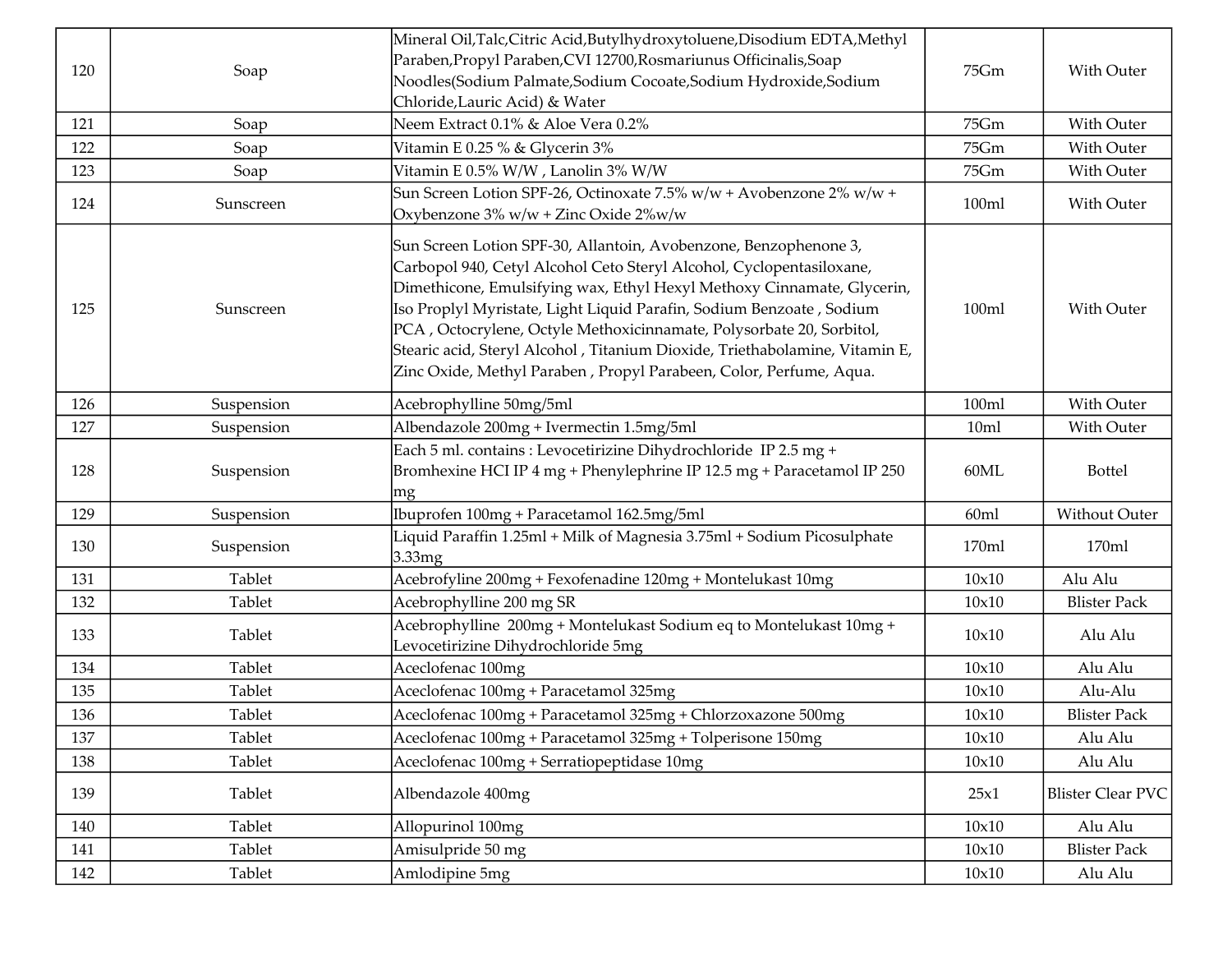|     |            | Mineral Oil, Talc, Citric Acid, Butylhydroxytoluene, Disodium EDTA, Methyl                                                                                                                                                                                                                                                                                                                                                                                                                                              |       |                          |
|-----|------------|-------------------------------------------------------------------------------------------------------------------------------------------------------------------------------------------------------------------------------------------------------------------------------------------------------------------------------------------------------------------------------------------------------------------------------------------------------------------------------------------------------------------------|-------|--------------------------|
| 120 | Soap       | Paraben, Propyl Paraben, CVI 12700, Rosmariunus Officinalis, Soap                                                                                                                                                                                                                                                                                                                                                                                                                                                       | 75Gm  | With Outer               |
|     |            | Noodles(Sodium Palmate,Sodium Cocoate,Sodium Hydroxide,Sodium<br>Chloride, Lauric Acid) & Water                                                                                                                                                                                                                                                                                                                                                                                                                         |       |                          |
| 121 | Soap       | Neem Extract 0.1% & Aloe Vera 0.2%                                                                                                                                                                                                                                                                                                                                                                                                                                                                                      | 75Gm  | With Outer               |
| 122 | Soap       | Vitamin E 0.25 % & Glycerin 3%                                                                                                                                                                                                                                                                                                                                                                                                                                                                                          | 75Gm  | With Outer               |
| 123 | Soap       | Vitamin E 0.5% W/W , Lanolin 3% W/W                                                                                                                                                                                                                                                                                                                                                                                                                                                                                     | 75Gm  | With Outer               |
|     |            | Sun Screen Lotion SPF-26, Octinoxate 7.5% w/w + Avobenzone 2% w/w +                                                                                                                                                                                                                                                                                                                                                                                                                                                     |       |                          |
| 124 | Sunscreen  | Oxybenzone 3% w/w + Zinc Oxide 2%w/w                                                                                                                                                                                                                                                                                                                                                                                                                                                                                    | 100ml | With Outer               |
| 125 | Sunscreen  | Sun Screen Lotion SPF-30, Allantoin, Avobenzone, Benzophenone 3,<br>Carbopol 940, Cetyl Alcohol Ceto Steryl Alcohol, Cyclopentasiloxane,<br>Dimethicone, Emulsifying wax, Ethyl Hexyl Methoxy Cinnamate, Glycerin,<br>Iso Proplyl Myristate, Light Liquid Parafin, Sodium Benzoate, Sodium<br>PCA, Octocrylene, Octyle Methoxicinnamate, Polysorbate 20, Sorbitol,<br>Stearic acid, Steryl Alcohol, Titanium Dioxide, Triethabolamine, Vitamin E,<br>Zinc Oxide, Methyl Paraben, Propyl Parabeen, Color, Perfume, Aqua. | 100ml | With Outer               |
| 126 | Suspension | Acebrophylline 50mg/5ml                                                                                                                                                                                                                                                                                                                                                                                                                                                                                                 | 100ml | With Outer               |
| 127 | Suspension | Albendazole 200mg + Ivermectin 1.5mg/5ml                                                                                                                                                                                                                                                                                                                                                                                                                                                                                | 10ml  | With Outer               |
| 128 | Suspension | Each 5 ml. contains : Levocetirizine Dihydrochloride IP 2.5 mg +<br>Bromhexine HCI IP 4 mg + Phenylephrine IP 12.5 mg + Paracetamol IP 250<br> mg                                                                                                                                                                                                                                                                                                                                                                       | 60ML  | <b>Bottel</b>            |
| 129 | Suspension | Ibuprofen 100mg + Paracetamol 162.5mg/5ml                                                                                                                                                                                                                                                                                                                                                                                                                                                                               | 60ml  | Without Outer            |
| 130 | Suspension | Liquid Paraffin 1.25ml + Milk of Magnesia 3.75ml + Sodium Picosulphate<br>3.33mg                                                                                                                                                                                                                                                                                                                                                                                                                                        | 170ml | 170ml                    |
| 131 | Tablet     | Acebrofyline 200mg + Fexofenadine 120mg + Montelukast 10mg                                                                                                                                                                                                                                                                                                                                                                                                                                                              | 10x10 | Alu Alu                  |
| 132 | Tablet     | Acebrophylline 200 mg SR                                                                                                                                                                                                                                                                                                                                                                                                                                                                                                | 10x10 | <b>Blister Pack</b>      |
| 133 | Tablet     | Acebrophylline 200mg + Montelukast Sodium eq to Montelukast 10mg +<br>Levocetirizine Dihydrochloride 5mg                                                                                                                                                                                                                                                                                                                                                                                                                | 10x10 | Alu Alu                  |
| 134 | Tablet     | Aceclofenac 100mg                                                                                                                                                                                                                                                                                                                                                                                                                                                                                                       | 10x10 | Alu Alu                  |
| 135 | Tablet     | Aceclofenac 100mg + Paracetamol 325mg                                                                                                                                                                                                                                                                                                                                                                                                                                                                                   | 10x10 | Alu-Alu                  |
| 136 | Tablet     | Aceclofenac 100mg + Paracetamol 325mg + Chlorzoxazone 500mg                                                                                                                                                                                                                                                                                                                                                                                                                                                             | 10x10 | <b>Blister Pack</b>      |
| 137 | Tablet     | Aceclofenac 100mg + Paracetamol 325mg + Tolperisone 150mg                                                                                                                                                                                                                                                                                                                                                                                                                                                               | 10x10 | Alu Alu                  |
| 138 | Tablet     | Aceclofenac 100mg + Serratiopeptidase 10mg                                                                                                                                                                                                                                                                                                                                                                                                                                                                              | 10x10 | Alu Alu                  |
| 139 | Tablet     | Albendazole 400mg                                                                                                                                                                                                                                                                                                                                                                                                                                                                                                       | 25x1  | <b>Blister Clear PVC</b> |
| 140 | Tablet     | Allopurinol 100mg                                                                                                                                                                                                                                                                                                                                                                                                                                                                                                       | 10x10 | Alu Alu                  |
| 141 | Tablet     | Amisulpride 50 mg                                                                                                                                                                                                                                                                                                                                                                                                                                                                                                       | 10x10 | <b>Blister Pack</b>      |
| 142 | Tablet     | Amlodipine 5mg                                                                                                                                                                                                                                                                                                                                                                                                                                                                                                          | 10x10 | Alu Alu                  |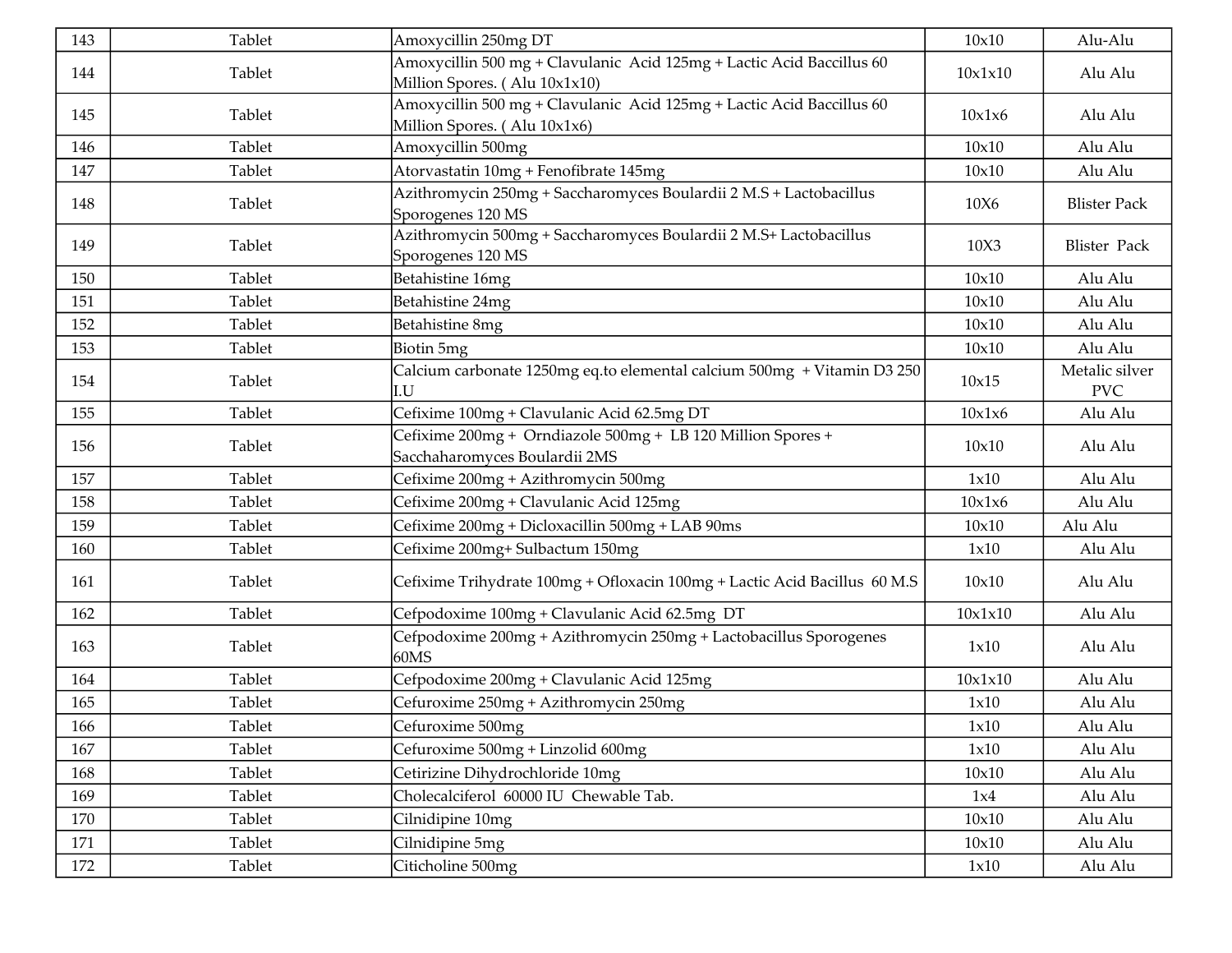| 143 | Tablet | Amoxycillin 250mg DT                                                                                   | 10x10   | Alu-Alu                      |
|-----|--------|--------------------------------------------------------------------------------------------------------|---------|------------------------------|
| 144 | Tablet | Amoxycillin 500 mg + Clavulanic Acid 125mg + Lactic Acid Baccillus 60<br>Million Spores. (Alu 10x1x10) | 10x1x10 | Alu Alu                      |
| 145 | Tablet | Amoxycillin 500 mg + Clavulanic Acid 125mg + Lactic Acid Baccillus 60<br>Million Spores. (Alu 10x1x6)  | 10x1x6  | Alu Alu                      |
| 146 | Tablet | Amoxycillin 500mg                                                                                      | 10x10   | Alu Alu                      |
| 147 | Tablet | Atorvastatin 10mg + Fenofibrate 145mg                                                                  | 10x10   | Alu Alu                      |
| 148 | Tablet | Azithromycin 250mg + Saccharomyces Boulardii 2 M.S + Lactobacillus<br>Sporogenes 120 MS                | 10X6    | <b>Blister Pack</b>          |
| 149 | Tablet | Azithromycin 500mg + Saccharomyces Boulardii 2 M.S+ Lactobacillus<br>Sporogenes 120 MS                 | 10X3    | <b>Blister Pack</b>          |
| 150 | Tablet | Betahistine 16mg                                                                                       | 10x10   | Alu Alu                      |
| 151 | Tablet | Betahistine 24mg                                                                                       | 10x10   | Alu Alu                      |
| 152 | Tablet | Betahistine 8mg                                                                                        | 10x10   | Alu Alu                      |
| 153 | Tablet | Biotin 5mg                                                                                             | 10x10   | Alu Alu                      |
| 154 | Tablet | Calcium carbonate 1250mg eq.to elemental calcium 500mg + Vitamin D3 250<br>'.U                         | 10x15   | Metalic silver<br><b>PVC</b> |
| 155 | Tablet | Cefixime 100mg + Clavulanic Acid 62.5mg DT                                                             | 10x1x6  | Alu Alu                      |
| 156 | Tablet | Cefixime 200mg + Orndiazole 500mg + LB 120 Million Spores +<br>Sacchaharomyces Boulardii 2MS           | 10x10   | Alu Alu                      |
| 157 | Tablet | Cefixime 200mg + Azithromycin 500mg                                                                    | 1x10    | Alu Alu                      |
| 158 | Tablet | Cefixime 200mg + Clavulanic Acid 125mg                                                                 | 10x1x6  | Alu Alu                      |
| 159 | Tablet | Cefixime 200mg + Dicloxacillin 500mg + LAB 90ms                                                        | 10x10   | Alu Alu                      |
| 160 | Tablet | Cefixime 200mg+ Sulbactum 150mg                                                                        | 1x10    | Alu Alu                      |
| 161 | Tablet | Cefixime Trihydrate 100mg + Ofloxacin 100mg + Lactic Acid Bacillus 60 M.S                              | 10x10   | Alu Alu                      |
| 162 | Tablet | Cefpodoxime 100mg + Clavulanic Acid 62.5mg DT                                                          | 10x1x10 | Alu Alu                      |
| 163 | Tablet | Cefpodoxime 200mg + Azithromycin 250mg + Lactobacillus Sporogenes<br>60MS                              | 1x10    | Alu Alu                      |
| 164 | Tablet | Cefpodoxime 200mg + Clavulanic Acid 125mg                                                              | 10x1x10 | Alu Alu                      |
| 165 | Tablet | Cefuroxime 250mg + Azithromycin 250mg                                                                  | 1x10    | Alu Alu                      |
| 166 | Tablet | Cefuroxime 500mg                                                                                       | 1x10    | Alu Alu                      |
| 167 | Tablet | Cefuroxime 500mg + Linzolid 600mg                                                                      | 1x10    | Alu Alu                      |
| 168 | Tablet | Cetirizine Dihydrochloride 10mg                                                                        | 10x10   | Alu Alu                      |
| 169 | Tablet | Cholecalciferol 60000 IU Chewable Tab.                                                                 | 1x4     | Alu Alu                      |
| 170 | Tablet | Cilnidipine 10mg                                                                                       | 10x10   | Alu Alu                      |
| 171 | Tablet | Cilnidipine 5mg                                                                                        | 10x10   | Alu Alu                      |
| 172 | Tablet | Citicholine 500mg                                                                                      | 1x10    | Alu Alu                      |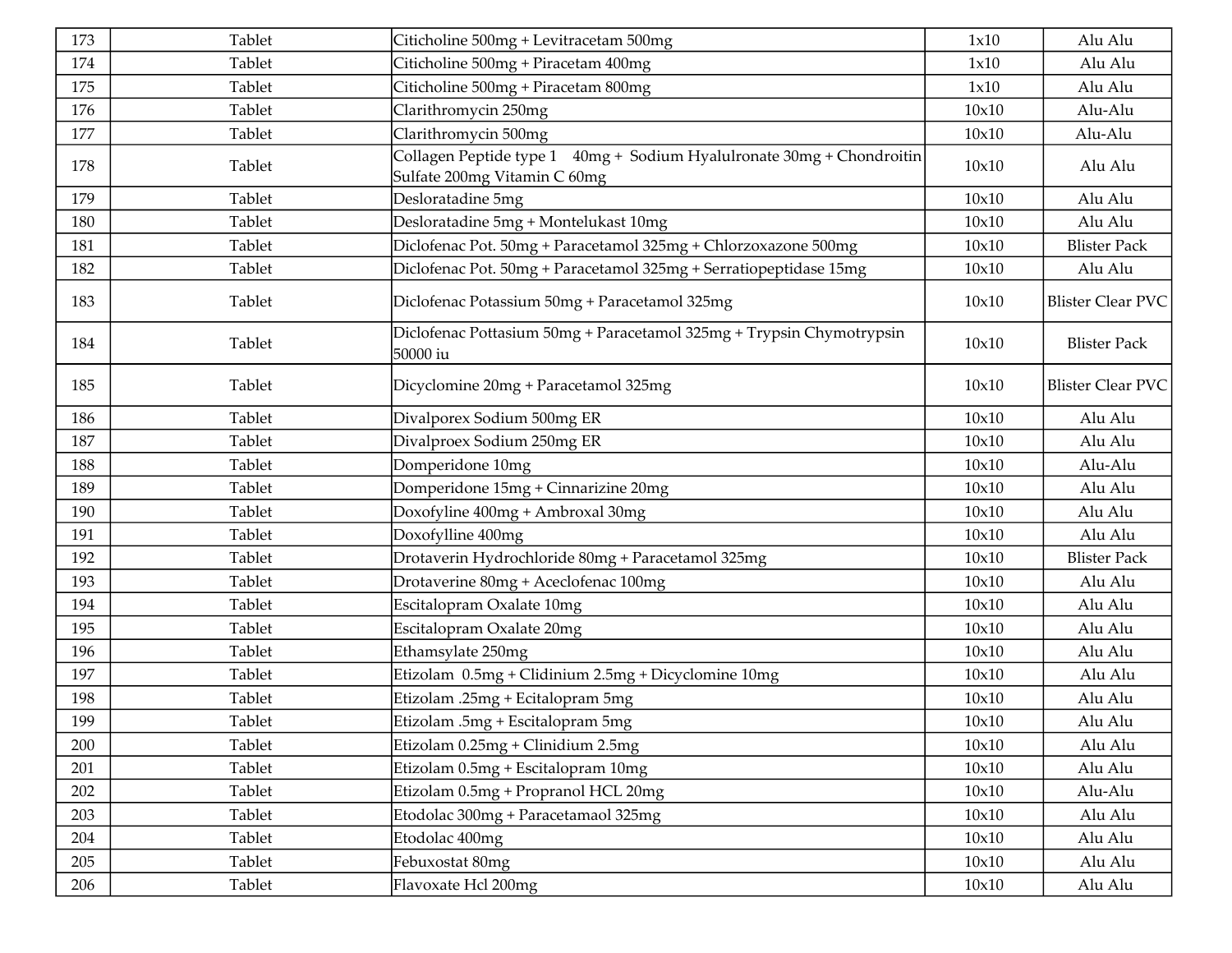| 173 | Tablet | Citicholine 500mg + Levitracetam 500mg                                                                    | 1x10  | Alu Alu                  |
|-----|--------|-----------------------------------------------------------------------------------------------------------|-------|--------------------------|
| 174 | Tablet | Citicholine 500mg + Piracetam 400mg                                                                       | 1x10  | Alu Alu                  |
| 175 | Tablet | Citicholine 500mg + Piracetam 800mg                                                                       | 1x10  | Alu Alu                  |
| 176 | Tablet | Clarithromycin 250mg                                                                                      | 10x10 | Alu-Alu                  |
| 177 | Tablet | Clarithromycin 500mg                                                                                      | 10x10 | Alu-Alu                  |
| 178 | Tablet | Collagen Peptide type 1    40mg +  Sodium Hyalulronate 30mg + Chondroitin<br>Sulfate 200mg Vitamin C 60mg | 10x10 | Alu Alu                  |
| 179 | Tablet | Desloratadine 5mg                                                                                         | 10x10 | Alu Alu                  |
| 180 | Tablet | Desloratadine 5mg + Montelukast 10mg                                                                      | 10x10 | Alu Alu                  |
| 181 | Tablet | Diclofenac Pot. 50mg + Paracetamol 325mg + Chlorzoxazone 500mg                                            | 10x10 | <b>Blister Pack</b>      |
| 182 | Tablet | Diclofenac Pot. 50mg + Paracetamol 325mg + Serratiopeptidase 15mg                                         | 10x10 | Alu Alu                  |
| 183 | Tablet | Diclofenac Potassium 50mg + Paracetamol 325mg                                                             | 10x10 | <b>Blister Clear PVC</b> |
| 184 | Tablet | Diclofenac Pottasium 50mg + Paracetamol 325mg + Trypsin Chymotrypsin<br>50000 iu                          | 10x10 | <b>Blister Pack</b>      |
| 185 | Tablet | Dicyclomine 20mg + Paracetamol 325mg                                                                      | 10x10 | <b>Blister Clear PVC</b> |
| 186 | Tablet | Divalporex Sodium 500mg ER                                                                                | 10x10 | Alu Alu                  |
| 187 | Tablet | Divalproex Sodium 250mg ER                                                                                | 10x10 | Alu Alu                  |
| 188 | Tablet | Domperidone 10mg                                                                                          | 10x10 | Alu-Alu                  |
| 189 | Tablet | Domperidone 15mg + Cinnarizine 20mg                                                                       | 10x10 | Alu Alu                  |
| 190 | Tablet | Doxofyline 400mg + Ambroxal 30mg                                                                          | 10x10 | Alu Alu                  |
| 191 | Tablet | Doxofylline 400mg                                                                                         | 10x10 | Alu Alu                  |
| 192 | Tablet | Drotaverin Hydrochloride 80mg + Paracetamol 325mg                                                         | 10x10 | <b>Blister Pack</b>      |
| 193 | Tablet | Drotaverine 80mg + Aceclofenac 100mg                                                                      | 10x10 | Alu Alu                  |
| 194 | Tablet | Escitalopram Oxalate 10mg                                                                                 | 10x10 | Alu Alu                  |
| 195 | Tablet | Escitalopram Oxalate 20mg                                                                                 | 10x10 | Alu Alu                  |
| 196 | Tablet | Ethamsylate 250mg                                                                                         | 10x10 | Alu Alu                  |
| 197 | Tablet | Etizolam 0.5mg + Clidinium 2.5mg + Dicyclomine 10mg                                                       | 10x10 | Alu Alu                  |
| 198 | Tablet | Etizolam .25mg + Ecitalopram 5mg                                                                          | 10x10 | Alu Alu                  |
| 199 | Tablet | Etizolam .5mg + Escitalopram 5mg                                                                          | 10x10 | Alu Alu                  |
| 200 | Tablet | Etizolam 0.25mg + Clinidium 2.5mg                                                                         | 10x10 | Alu Alu                  |
| 201 | Tablet | Etizolam 0.5mg + Escitalopram 10mg                                                                        | 10x10 | Alu Alu                  |
| 202 | Tablet | Etizolam 0.5mg + Propranol HCL 20mg                                                                       | 10x10 | Alu-Alu                  |
| 203 | Tablet | Etodolac 300mg + Paracetamaol 325mg                                                                       | 10x10 | Alu Alu                  |
| 204 | Tablet | Etodolac 400mg                                                                                            | 10x10 | Alu Alu                  |
| 205 | Tablet | Febuxostat 80mg                                                                                           | 10x10 | Alu Alu                  |
| 206 | Tablet | Flavoxate Hcl 200mg                                                                                       | 10x10 | Alu Alu                  |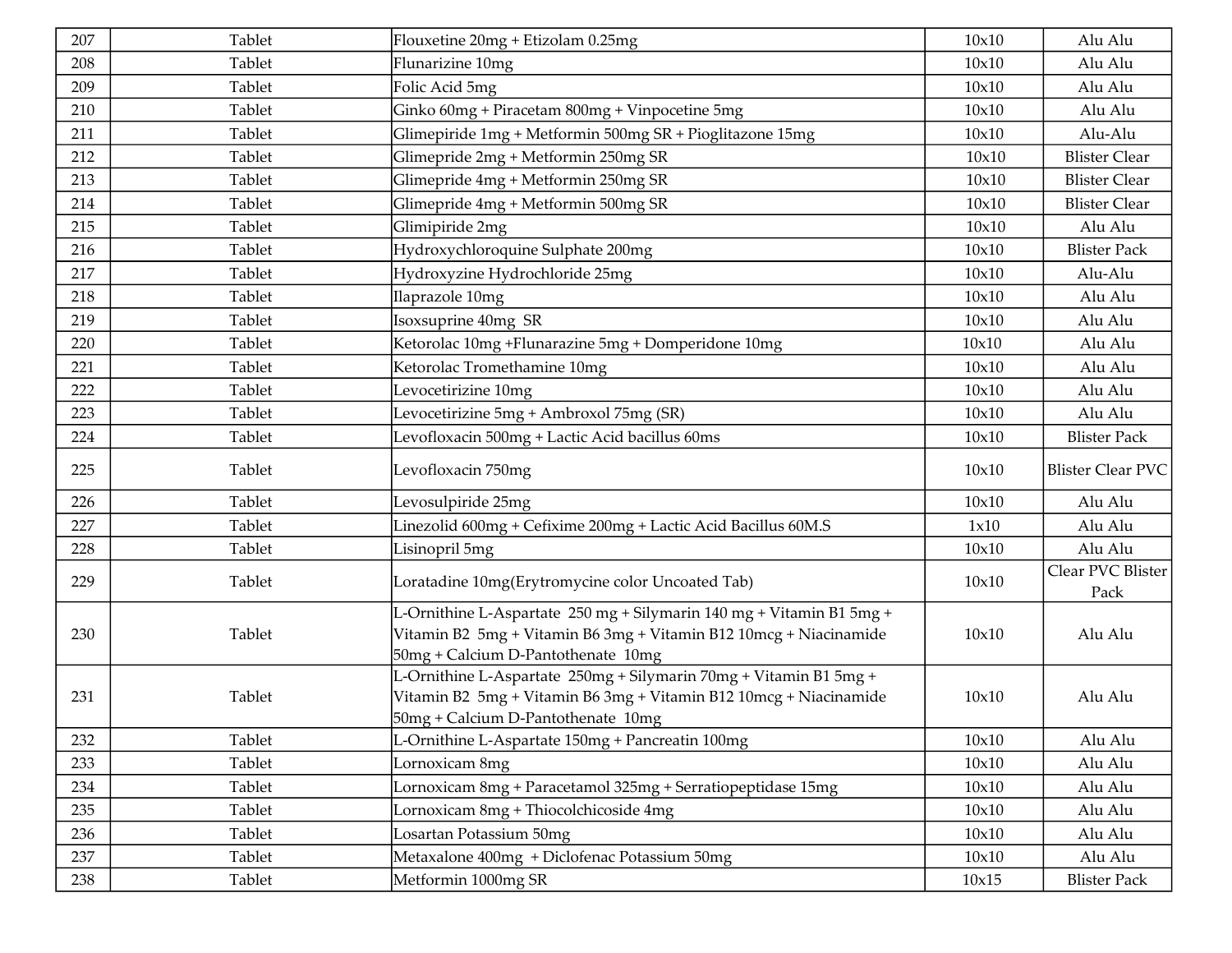| 207 | Tablet | Flouxetine 20mg + Etizolam 0.25mg                                                                                                                                               | 10x10 | Alu Alu                   |
|-----|--------|---------------------------------------------------------------------------------------------------------------------------------------------------------------------------------|-------|---------------------------|
| 208 | Tablet | Flunarizine 10mg                                                                                                                                                                | 10x10 | Alu Alu                   |
| 209 | Tablet | Folic Acid 5mg                                                                                                                                                                  | 10x10 | Alu Alu                   |
| 210 | Tablet | Ginko 60mg + Piracetam 800mg + Vinpocetine 5mg                                                                                                                                  | 10x10 | Alu Alu                   |
| 211 | Tablet | Glimepiride 1mg + Metformin 500mg SR + Pioglitazone 15mg                                                                                                                        | 10x10 | Alu-Alu                   |
| 212 | Tablet | Glimepride 2mg + Metformin 250mg SR                                                                                                                                             | 10x10 | <b>Blister Clear</b>      |
| 213 | Tablet | Glimepride 4mg + Metformin 250mg SR                                                                                                                                             | 10x10 | <b>Blister Clear</b>      |
| 214 | Tablet | Glimepride 4mg + Metformin 500mg SR                                                                                                                                             | 10x10 | <b>Blister Clear</b>      |
| 215 | Tablet | Glimipiride 2mg                                                                                                                                                                 | 10x10 | Alu Alu                   |
| 216 | Tablet | Hydroxychloroquine Sulphate 200mg                                                                                                                                               | 10x10 | <b>Blister Pack</b>       |
| 217 | Tablet | Hydroxyzine Hydrochloride 25mg                                                                                                                                                  | 10x10 | Alu-Alu                   |
| 218 | Tablet | Ilaprazole 10mg                                                                                                                                                                 | 10x10 | Alu Alu                   |
| 219 | Tablet | Isoxsuprine 40mg SR                                                                                                                                                             | 10x10 | Alu Alu                   |
| 220 | Tablet | Ketorolac 10mg +Flunarazine 5mg + Domperidone 10mg                                                                                                                              | 10x10 | Alu Alu                   |
| 221 | Tablet | Ketorolac Tromethamine 10mg                                                                                                                                                     | 10x10 | Alu Alu                   |
| 222 | Tablet | Levocetirizine 10mg                                                                                                                                                             | 10x10 | Alu Alu                   |
| 223 | Tablet | Levocetirizine 5mg + Ambroxol 75mg (SR)                                                                                                                                         | 10x10 | Alu Alu                   |
| 224 | Tablet | Levofloxacin 500mg + Lactic Acid bacillus 60ms                                                                                                                                  | 10x10 | <b>Blister Pack</b>       |
| 225 | Tablet | Levofloxacin 750mg                                                                                                                                                              | 10x10 | <b>Blister Clear PVC</b>  |
| 226 | Tablet | Levosulpiride 25mg                                                                                                                                                              | 10x10 | Alu Alu                   |
| 227 | Tablet | Linezolid 600mg + Cefixime 200mg + Lactic Acid Bacillus 60M.S                                                                                                                   | 1x10  | Alu Alu                   |
| 228 | Tablet | Lisinopril 5mg                                                                                                                                                                  | 10x10 | Alu Alu                   |
| 229 | Tablet | Loratadine 10mg(Erytromycine color Uncoated Tab)                                                                                                                                | 10x10 | Clear PVC Blister<br>Pack |
| 230 | Tablet | L-Ornithine L-Aspartate 250 mg + Silymarin 140 mg + Vitamin B1 5mg +<br>Vitamin B2 5mg + Vitamin B6 3mg + Vitamin B12 10mcg + Niacinamide<br>50mg + Calcium D-Pantothenate 10mg | 10x10 | Alu Alu                   |
| 231 | Tablet | L-Ornithine L-Aspartate 250mg + Silymarin 70mg + Vitamin B1 5mg +<br>Vitamin B2 5mg + Vitamin B6 3mg + Vitamin B12 10mcg + Niacinamide<br>50mg + Calcium D-Pantothenate 10mg    | 10x10 | Alu Alu                   |
| 232 | Tablet | L-Ornithine L-Aspartate 150mg + Pancreatin 100mg                                                                                                                                | 10x10 | Alu Alu                   |
| 233 | Tablet | Lornoxicam 8mg                                                                                                                                                                  | 10x10 | Alu Alu                   |
| 234 | Tablet | Lornoxicam 8mg + Paracetamol 325mg + Serratiopeptidase 15mg                                                                                                                     | 10x10 | Alu Alu                   |
| 235 | Tablet | Lornoxicam 8mg + Thiocolchicoside 4mg                                                                                                                                           | 10x10 | Alu Alu                   |
| 236 | Tablet | Losartan Potassium 50mg                                                                                                                                                         | 10x10 | Alu Alu                   |
| 237 | Tablet | Metaxalone 400mg + Diclofenac Potassium 50mg                                                                                                                                    | 10x10 | Alu Alu                   |
| 238 | Tablet | Metformin 1000mg SR                                                                                                                                                             | 10x15 | <b>Blister Pack</b>       |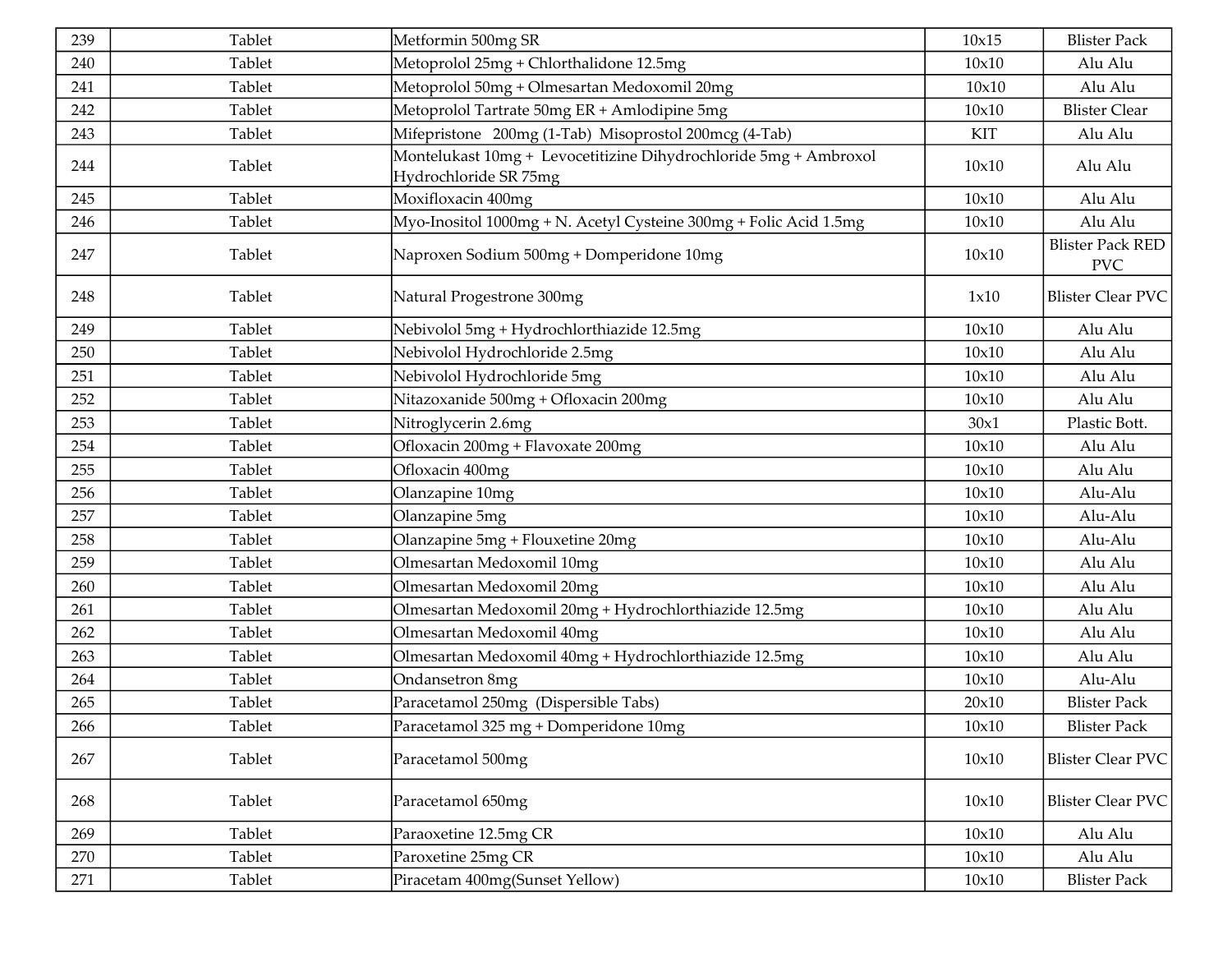| 239 | Tablet | Metformin 500mg SR                                                                        | 10x15 | <b>Blister Pack</b>                   |
|-----|--------|-------------------------------------------------------------------------------------------|-------|---------------------------------------|
| 240 | Tablet | Metoprolol 25mg + Chlorthalidone 12.5mg                                                   | 10x10 | Alu Alu                               |
| 241 | Tablet | Metoprolol 50mg + Olmesartan Medoxomil 20mg                                               | 10x10 | Alu Alu                               |
| 242 | Tablet | Metoprolol Tartrate 50mg ER + Amlodipine 5mg                                              | 10x10 | <b>Blister Clear</b>                  |
| 243 | Tablet | Mifepristone 200mg (1-Tab) Misoprostol 200mcg (4-Tab)                                     | KIT   | Alu Alu                               |
| 244 | Tablet | Montelukast 10mg + Levocetitizine Dihydrochloride 5mg + Ambroxol<br>Hydrochloride SR 75mg | 10x10 | Alu Alu                               |
| 245 | Tablet | Moxifloxacin 400mg                                                                        | 10x10 | Alu Alu                               |
| 246 | Tablet | Myo-Inositol 1000mg + N. Acetyl Cysteine 300mg + Folic Acid 1.5mg                         | 10x10 | Alu Alu                               |
| 247 | Tablet | Naproxen Sodium 500mg + Domperidone 10mg                                                  | 10x10 | <b>Blister Pack RED</b><br><b>PVC</b> |
| 248 | Tablet | Natural Progestrone 300mg                                                                 | 1x10  | <b>Blister Clear PVC</b>              |
| 249 | Tablet | Nebivolol 5mg + Hydrochlorthiazide 12.5mg                                                 | 10x10 | Alu Alu                               |
| 250 | Tablet | Nebivolol Hydrochloride 2.5mg                                                             | 10x10 | Alu Alu                               |
| 251 | Tablet | Nebivolol Hydrochloride 5mg                                                               | 10x10 | Alu Alu                               |
| 252 | Tablet | Nitazoxanide 500mg + Ofloxacin 200mg                                                      | 10x10 | Alu Alu                               |
| 253 | Tablet | Nitroglycerin 2.6mg                                                                       | 30x1  | Plastic Bott.                         |
| 254 | Tablet | Ofloxacin 200mg + Flavoxate 200mg                                                         | 10x10 | Alu Alu                               |
| 255 | Tablet | Ofloxacin 400mg                                                                           | 10x10 | Alu Alu                               |
| 256 | Tablet | Olanzapine 10mg                                                                           | 10x10 | Alu-Alu                               |
| 257 | Tablet | Olanzapine 5mg                                                                            | 10x10 | Alu-Alu                               |
| 258 | Tablet | Olanzapine 5mg + Flouxetine 20mg                                                          | 10x10 | Alu-Alu                               |
| 259 | Tablet | Olmesartan Medoxomil 10mg                                                                 | 10x10 | Alu Alu                               |
| 260 | Tablet | Olmesartan Medoxomil 20mg                                                                 | 10x10 | Alu Alu                               |
| 261 | Tablet | Olmesartan Medoxomil 20mg + Hydrochlorthiazide 12.5mg                                     | 10x10 | Alu Alu                               |
| 262 | Tablet | Olmesartan Medoxomil 40mg                                                                 | 10x10 | Alu Alu                               |
| 263 | Tablet | Olmesartan Medoxomil 40mg + Hydrochlorthiazide 12.5mg                                     | 10x10 | Alu Alu                               |
| 264 | Tablet | Ondansetron 8mg                                                                           | 10x10 | Alu-Alu                               |
| 265 | Tablet | Paracetamol 250mg (Dispersible Tabs)                                                      | 20x10 | <b>Blister Pack</b>                   |
| 266 | Tablet | Paracetamol 325 mg + Domperidone 10mg                                                     | 10x10 | <b>Blister Pack</b>                   |
| 267 | Tablet | Paracetamol 500mg                                                                         | 10x10 | <b>Blister Clear PVC</b>              |
| 268 | Tablet | Paracetamol 650mg                                                                         | 10x10 | <b>Blister Clear PVC</b>              |
| 269 | Tablet | Paraoxetine 12.5mg CR                                                                     | 10x10 | Alu Alu                               |
| 270 | Tablet | Paroxetine 25mg CR                                                                        | 10x10 | Alu Alu                               |
| 271 | Tablet | Piracetam 400mg(Sunset Yellow)                                                            | 10x10 | <b>Blister Pack</b>                   |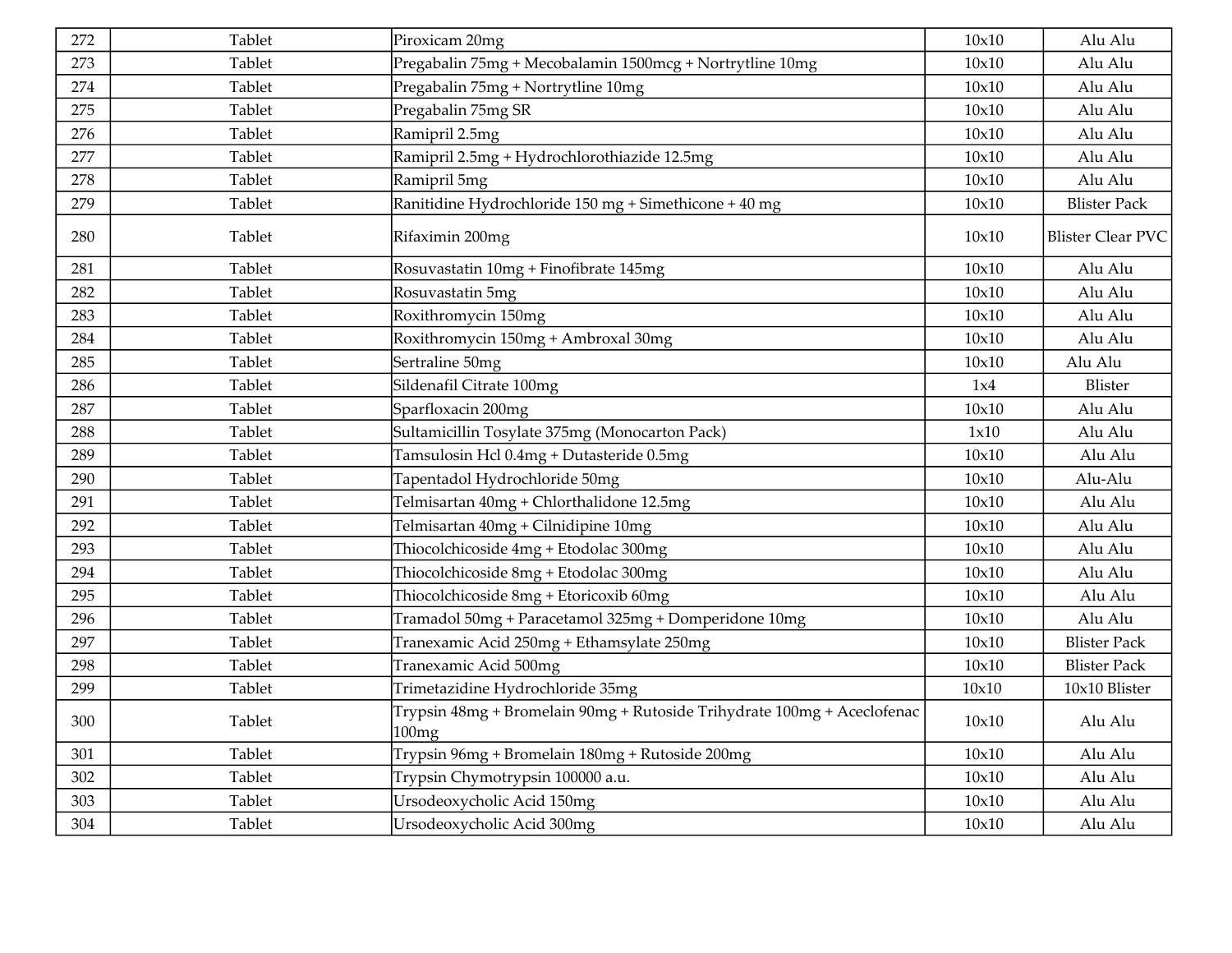| 272 | Tablet | Piroxicam 20mg                                                                   | 10x10 | Alu Alu                  |
|-----|--------|----------------------------------------------------------------------------------|-------|--------------------------|
| 273 | Tablet | Pregabalin 75mg + Mecobalamin 1500mcg + Nortrytline 10mg                         | 10x10 | Alu Alu                  |
| 274 | Tablet | Pregabalin 75mg + Nortrytline 10mg                                               | 10x10 | Alu Alu                  |
| 275 | Tablet | Pregabalin 75mg SR                                                               | 10x10 | Alu Alu                  |
| 276 | Tablet | Ramipril 2.5mg                                                                   | 10x10 | Alu Alu                  |
| 277 | Tablet | Ramipril 2.5mg + Hydrochlorothiazide 12.5mg                                      | 10x10 | Alu Alu                  |
| 278 | Tablet | Ramipril 5mg                                                                     | 10x10 | Alu Alu                  |
| 279 | Tablet | Ranitidine Hydrochloride 150 mg + Simethicone + 40 mg                            | 10x10 | <b>Blister Pack</b>      |
| 280 | Tablet | Rifaximin 200mg                                                                  | 10x10 | <b>Blister Clear PVC</b> |
| 281 | Tablet | Rosuvastatin 10mg + Finofibrate 145mg                                            | 10x10 | Alu Alu                  |
| 282 | Tablet | Rosuvastatin 5mg                                                                 | 10x10 | Alu Alu                  |
| 283 | Tablet | Roxithromycin 150mg                                                              | 10x10 | Alu Alu                  |
| 284 | Tablet | Roxithromycin 150mg + Ambroxal 30mg                                              | 10x10 | Alu Alu                  |
| 285 | Tablet | Sertraline 50mg                                                                  | 10x10 | Alu Alu                  |
| 286 | Tablet | Sildenafil Citrate 100mg                                                         | 1x4   | Blister                  |
| 287 | Tablet | Sparfloxacin 200mg                                                               | 10x10 | Alu Alu                  |
| 288 | Tablet | Sultamicillin Tosylate 375mg (Monocarton Pack)                                   | 1x10  | Alu Alu                  |
| 289 | Tablet | Tamsulosin Hcl 0.4mg + Dutasteride 0.5mg                                         | 10x10 | Alu Alu                  |
| 290 | Tablet | Tapentadol Hydrochloride 50mg                                                    | 10x10 | Alu-Alu                  |
| 291 | Tablet | Telmisartan 40mg + Chlorthalidone 12.5mg                                         | 10x10 | Alu Alu                  |
| 292 | Tablet | Telmisartan 40mg + Cilnidipine 10mg                                              | 10x10 | Alu Alu                  |
| 293 | Tablet | Thiocolchicoside 4mg + Etodolac 300mg                                            | 10x10 | Alu Alu                  |
| 294 | Tablet | Thiocolchicoside 8mg + Etodolac 300mg                                            | 10x10 | Alu Alu                  |
| 295 | Tablet | Thiocolchicoside 8mg + Etoricoxib 60mg                                           | 10x10 | Alu Alu                  |
| 296 | Tablet | Tramadol 50mg + Paracetamol 325mg + Domperidone 10mg                             | 10x10 | Alu Alu                  |
| 297 | Tablet | Tranexamic Acid 250mg + Ethamsylate 250mg                                        | 10x10 | <b>Blister Pack</b>      |
| 298 | Tablet | Tranexamic Acid 500mg                                                            | 10x10 | <b>Blister Pack</b>      |
| 299 | Tablet | Trimetazidine Hydrochloride 35mg                                                 | 10x10 | 10x10 Blister            |
| 300 | Tablet | Trypsin 48mg + Bromelain 90mg + Rutoside Trihydrate 100mg + Aceclofenac<br>100mg | 10x10 | Alu Alu                  |
| 301 | Tablet | Trypsin 96mg + Bromelain 180mg + Rutoside 200mg                                  | 10x10 | Alu Alu                  |
| 302 | Tablet | Trypsin Chymotrypsin 100000 a.u.                                                 | 10x10 | Alu Alu                  |
| 303 | Tablet | Ursodeoxycholic Acid 150mg                                                       | 10x10 | Alu Alu                  |
| 304 | Tablet | Ursodeoxycholic Acid 300mg                                                       | 10x10 | Alu Alu                  |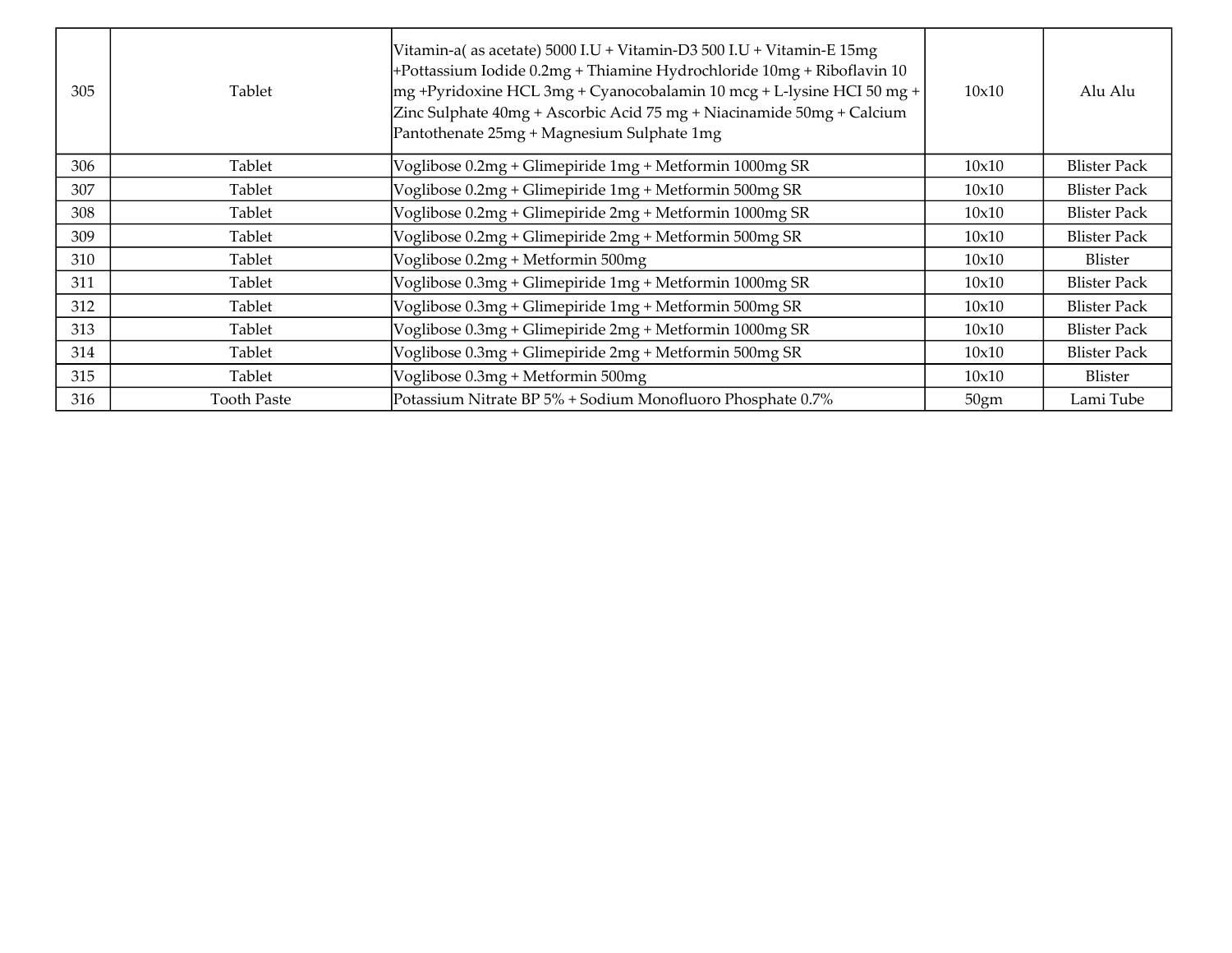| 305 | Tablet             | Vitamin-a(as acetate) 5000 I.U + Vitamin-D3 500 I.U + Vitamin-E 15mg<br>+Pottassium Iodide 0.2mg + Thiamine Hydrochloride 10mg + Riboflavin 10<br> mg +Pyridoxine HCL 3mg + Cyanocobalamin 10 mcg + L-lysine HCI 50 mg +<br>Zinc Sulphate 40mg + Ascorbic Acid 75 mg + Niacinamide 50mg + Calcium<br>Pantothenate 25mg + Magnesium Sulphate 1mg | 10x10 | Alu Alu             |
|-----|--------------------|-------------------------------------------------------------------------------------------------------------------------------------------------------------------------------------------------------------------------------------------------------------------------------------------------------------------------------------------------|-------|---------------------|
| 306 | Tablet             | Voglibose 0.2mg + Glimepiride 1mg + Metformin 1000mg SR                                                                                                                                                                                                                                                                                         | 10x10 | <b>Blister Pack</b> |
| 307 | Tablet             | Voglibose 0.2mg + Glimepiride 1mg + Metformin 500mg SR                                                                                                                                                                                                                                                                                          | 10x10 | <b>Blister Pack</b> |
| 308 | Tablet             | Voglibose 0.2mg + Glimepiride 2mg + Metformin 1000mg SR                                                                                                                                                                                                                                                                                         | 10x10 | <b>Blister Pack</b> |
| 309 | Tablet             | Voglibose 0.2mg + Glimepiride 2mg + Metformin 500mg SR                                                                                                                                                                                                                                                                                          | 10x10 | <b>Blister Pack</b> |
| 310 | Tablet             | Voglibose 0.2mg + Metformin 500mg                                                                                                                                                                                                                                                                                                               | 10x10 | Blister             |
| 311 | Tablet             | Voglibose 0.3mg + Glimepiride 1mg + Metformin 1000mg SR                                                                                                                                                                                                                                                                                         | 10x10 | <b>Blister Pack</b> |
| 312 | Tablet             | Voglibose 0.3mg + Glimepiride 1mg + Metformin 500mg SR                                                                                                                                                                                                                                                                                          | 10x10 | <b>Blister Pack</b> |
| 313 | Tablet             | Voglibose 0.3mg + Glimepiride 2mg + Metformin 1000mg SR                                                                                                                                                                                                                                                                                         | 10x10 | <b>Blister Pack</b> |
| 314 | Tablet             | Voglibose 0.3mg + Glimepiride 2mg + Metformin 500mg SR                                                                                                                                                                                                                                                                                          | 10x10 | <b>Blister Pack</b> |
| 315 | Tablet             | Voglibose $0.3mg + Metformin 500mg$                                                                                                                                                                                                                                                                                                             | 10x10 | Blister             |
| 316 | <b>Tooth Paste</b> | Potassium Nitrate BP 5% + Sodium Monofluoro Phosphate 0.7%                                                                                                                                                                                                                                                                                      | 50gm  | Lami Tube           |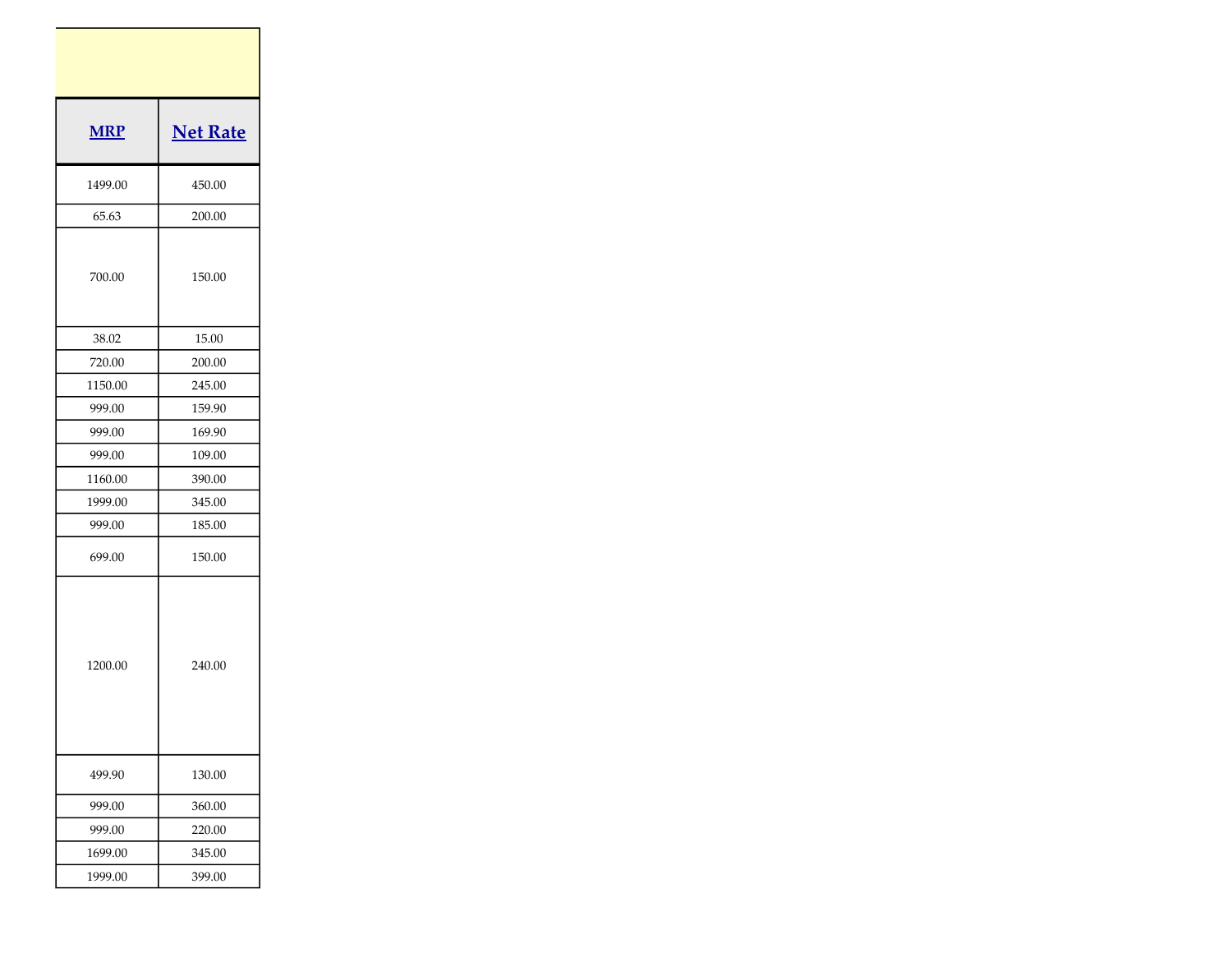| <b>MRP</b> | <b>Net Rate</b> |
|------------|-----------------|
| 1499.00    | 450.00          |
| 65.63      | 200.00          |
| 700.00     | 150.00          |
| 38.02      | 15.00           |
| 720.00     | 200.00          |
| 1150.00    | 245.00          |
| 999.00     | 159.90          |
| 999.00     | 169.90          |
| 999.00     | 109.00          |
| 1160.00    | 390.00          |
| 1999.00    | 345.00          |
| 999.00     | 185.00          |
| 699.00     | 150.00          |
| 1200.00    | 240.00          |
| 499.90     | 130.00          |
| 999.00     | 360.00          |
| 999.00     | 220.00          |
| 1699.00    | 345.00          |
| 1999.00    | 399.00          |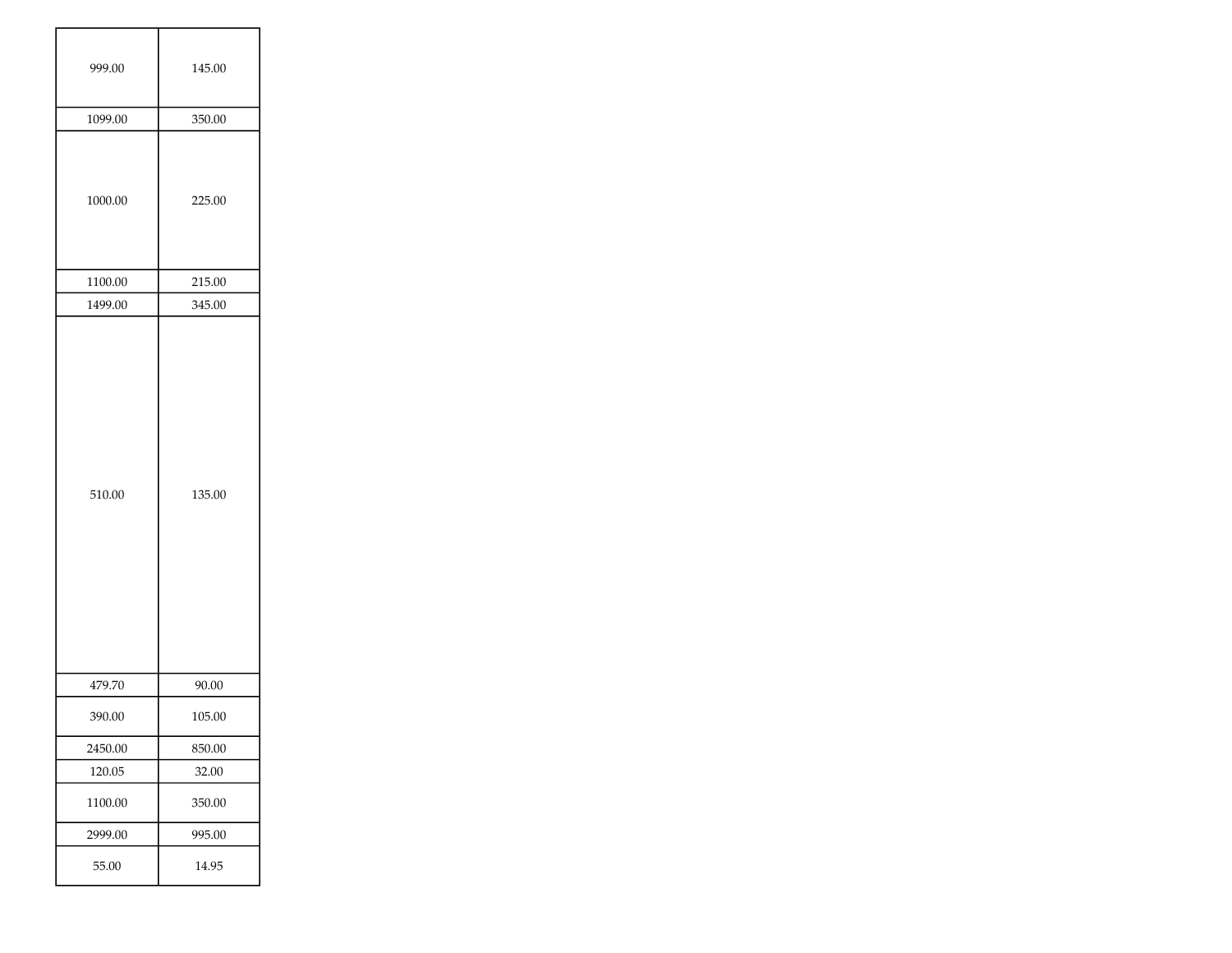| 999.00  | 145.00 |
|---------|--------|
| 1099.00 | 350.00 |
| 1000.00 | 225.00 |
| 1100.00 | 215.00 |
| 1499.00 | 345.00 |
| 510.00  | 135.00 |
| 479.70  | 90.00  |
| 390.00  | 105.00 |
| 2450.00 | 850.00 |
| 120.05  | 32.00  |
| 1100.00 | 350.00 |
| 2999.00 | 995.00 |
| 55.00   | 14.95  |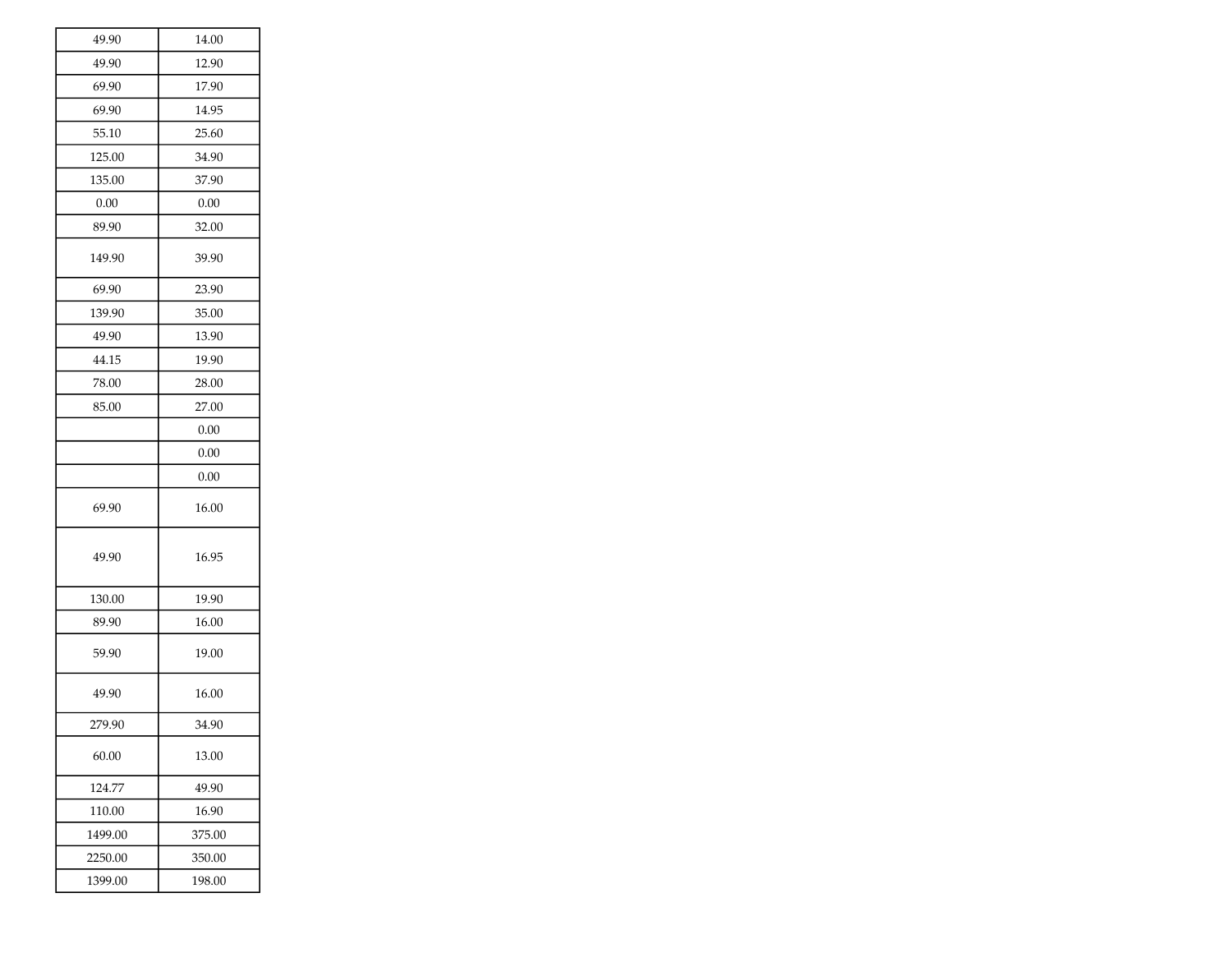| 49.90   | 14.00  |
|---------|--------|
| 49.90   | 12.90  |
| 69.90   | 17.90  |
| 69.90   | 14.95  |
| 55.10   | 25.60  |
| 125.00  | 34.90  |
| 135.00  | 37.90  |
| 0.00    | 0.00   |
| 89.90   | 32.00  |
| 149.90  | 39.90  |
| 69.90   | 23.90  |
| 139.90  | 35.00  |
| 49.90   | 13.90  |
| 44.15   | 19.90  |
| 78.00   | 28.00  |
| 85.00   | 27.00  |
|         | 0.00   |
|         | 0.00   |
|         | 0.00   |
| 69.90   | 16.00  |
| 49.90   | 16.95  |
| 130.00  | 19.90  |
| 89.90   | 16.00  |
| 59.90   | 19.00  |
| 49.90   | 16.00  |
| 279.90  | 34.90  |
| 60.00   | 13.00  |
| 124.77  | 49.90  |
| 110.00  | 16.90  |
| 1499.00 | 375.00 |
| 2250.00 | 350.00 |
| 1399.00 | 198.00 |
|         |        |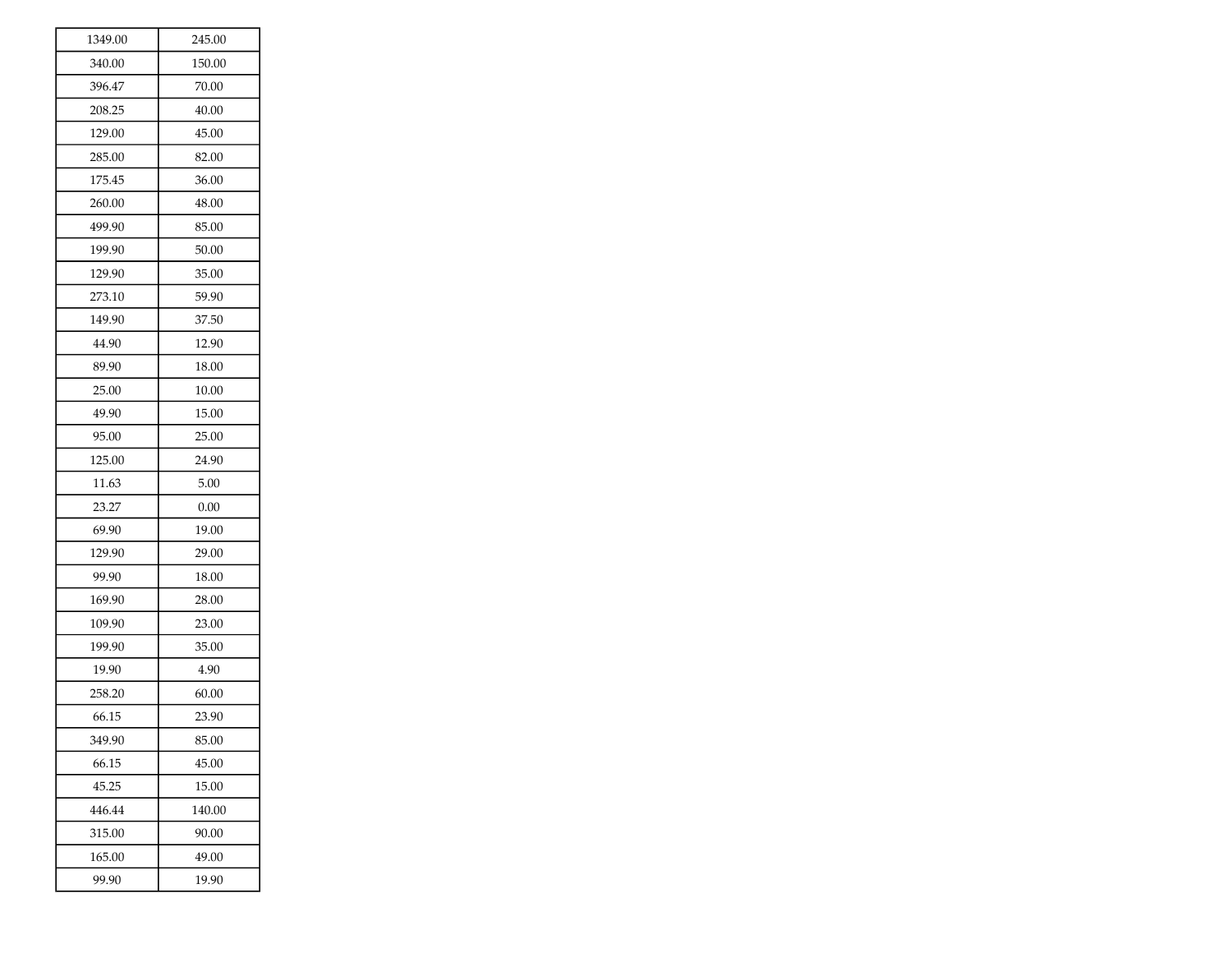| 1349.00 | 245.00 |
|---------|--------|
| 340.00  | 150.00 |
| 396.47  | 70.00  |
| 208.25  | 40.00  |
| 129.00  | 45.00  |
| 285.00  | 82.00  |
| 175.45  | 36.00  |
| 260.00  | 48.00  |
| 499.90  | 85.00  |
| 199.90  | 50.00  |
| 129.90  | 35.00  |
| 273.10  | 59.90  |
| 149.90  | 37.50  |
| 44.90   | 12.90  |
| 89.90   | 18.00  |
| 25.00   | 10.00  |
| 49.90   | 15.00  |
| 95.00   | 25.00  |
| 125.00  | 24.90  |
| 11.63   | 5.00   |
| 23.27   | 0.00   |
| 69.90   | 19.00  |
| 129.90  | 29.00  |
| 99.90   | 18.00  |
| 169.90  | 28.00  |
| 109.90  | 23.00  |
| 199.90  | 35.00  |
| 19.90   | 4.90   |
| 258.20  | 60.00  |
| 66.15   | 23.90  |
| 349.90  | 85.00  |
| 66.15   | 45.00  |
| 45.25   | 15.00  |
| 446.44  | 140.00 |
| 315.00  | 90.00  |
| 165.00  | 49.00  |
| 99.90   | 19.90  |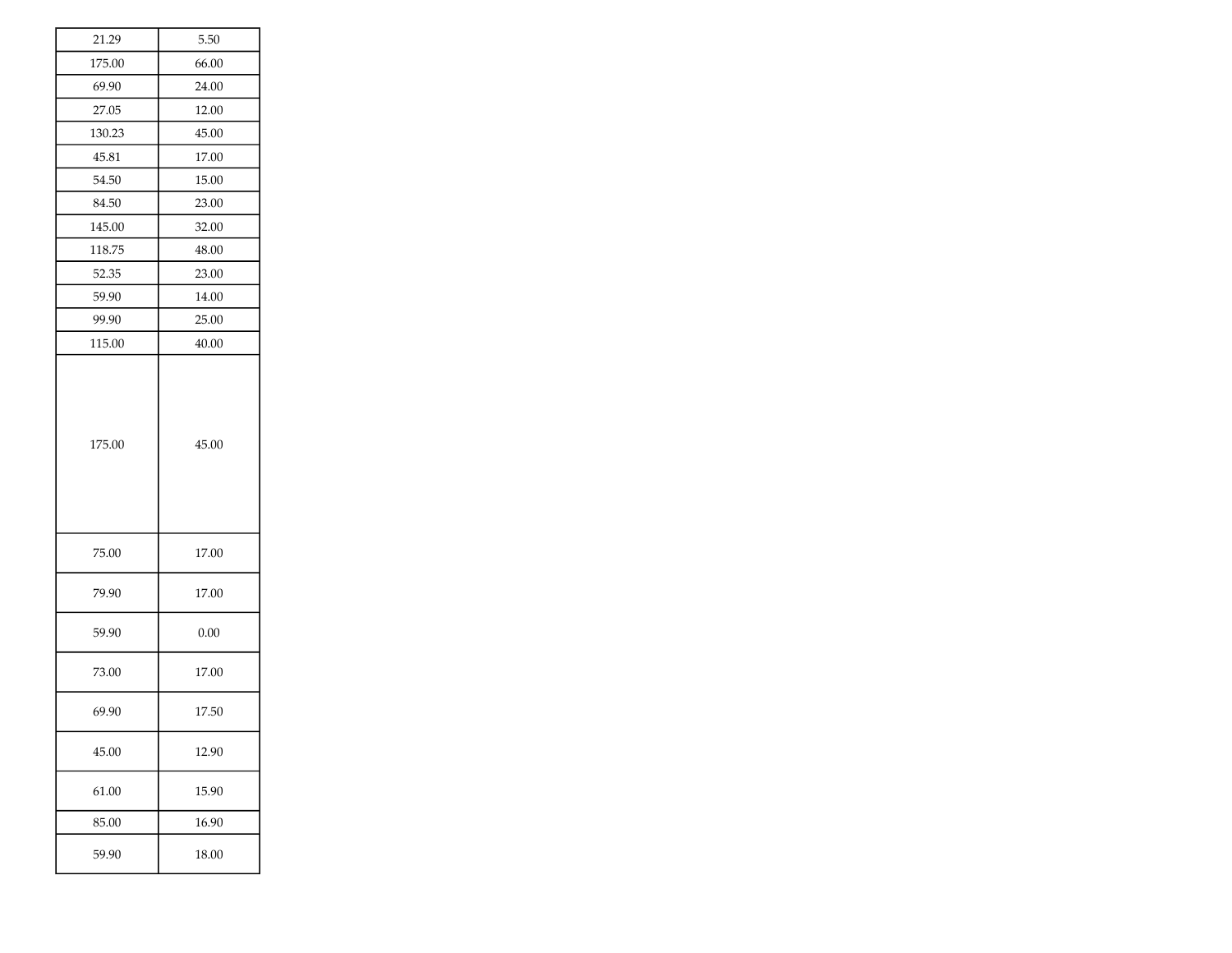| 21.29  | 5.50  |
|--------|-------|
| 175.00 | 66.00 |
| 69.90  | 24.00 |
| 27.05  | 12.00 |
| 130.23 | 45.00 |
| 45.81  | 17.00 |
| 54.50  | 15.00 |
| 84.50  | 23.00 |
| 145.00 | 32.00 |
| 118.75 | 48.00 |
| 52.35  | 23.00 |
| 59.90  | 14.00 |
| 99.90  | 25.00 |
| 115.00 | 40.00 |
| 175.00 | 45.00 |
| 75.00  | 17.00 |
| 79.90  | 17.00 |
| 59.90  | 0.00  |
| 73.00  | 17.00 |
| 69.90  | 17.50 |
| 45.00  | 12.90 |
| 61.00  | 15.90 |
| 85.00  | 16.90 |
| 59.90  | 18.00 |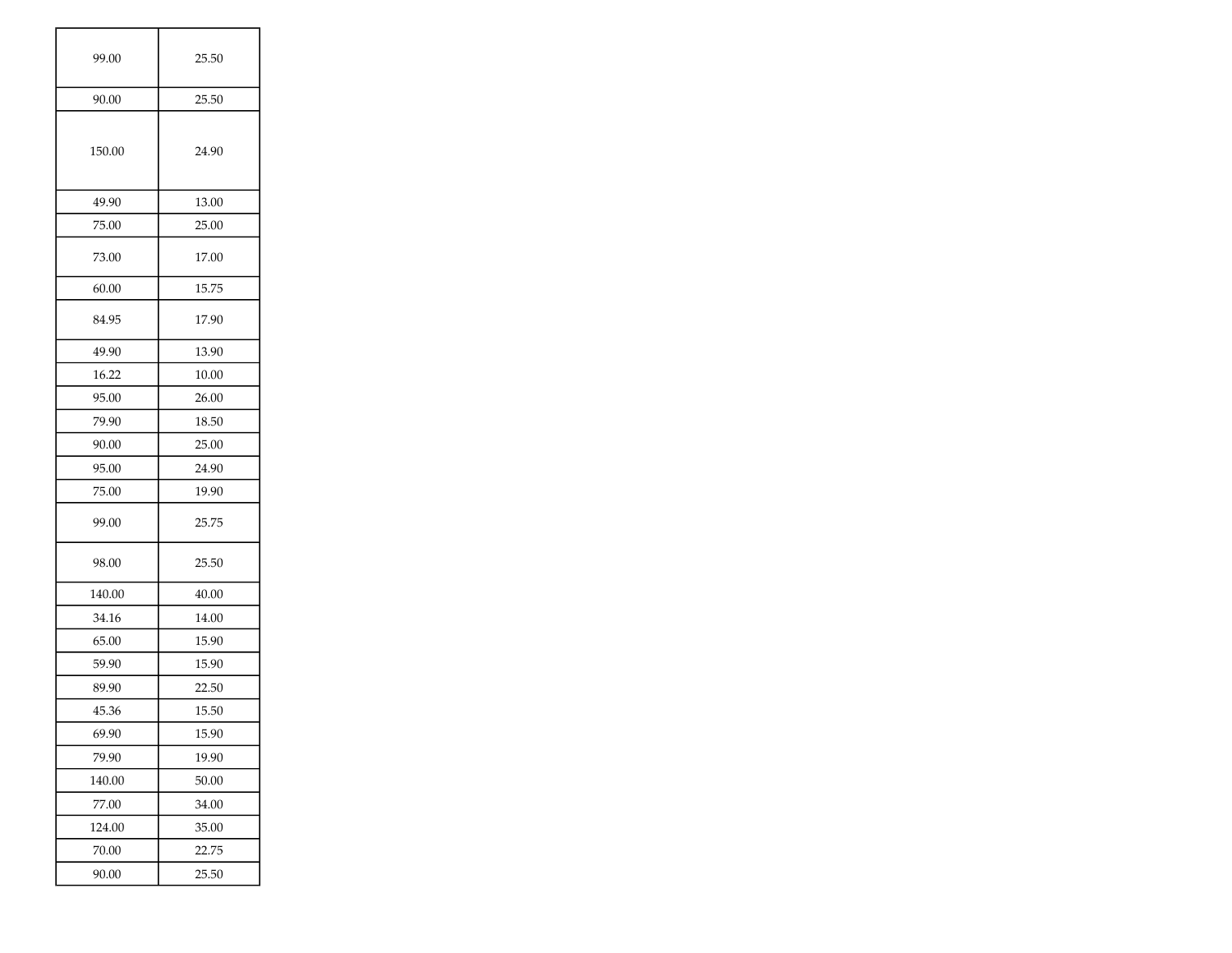| 99.00  | 25.50 |
|--------|-------|
| 90.00  | 25.50 |
| 150.00 | 24.90 |
| 49.90  | 13.00 |
| 75.00  | 25.00 |
| 73.00  | 17.00 |
| 60.00  | 15.75 |
| 84.95  | 17.90 |
| 49.90  | 13.90 |
| 16.22  | 10.00 |
| 95.00  | 26.00 |
| 79.90  | 18.50 |
| 90.00  | 25.00 |
| 95.00  | 24.90 |
| 75.00  | 19.90 |
| 99.00  | 25.75 |
| 98.00  | 25.50 |
| 140.00 | 40.00 |
| 34.16  | 14.00 |
| 65.00  | 15.90 |
| 59.90  | 15.90 |
| 89.90  | 22.50 |
| 45.36  | 15.50 |
| 69.90  | 15.90 |
| 79.90  | 19.90 |
| 140.00 | 50.00 |
| 77.00  | 34.00 |
| 124.00 | 35.00 |
| 70.00  | 22.75 |
| 90.00  | 25.50 |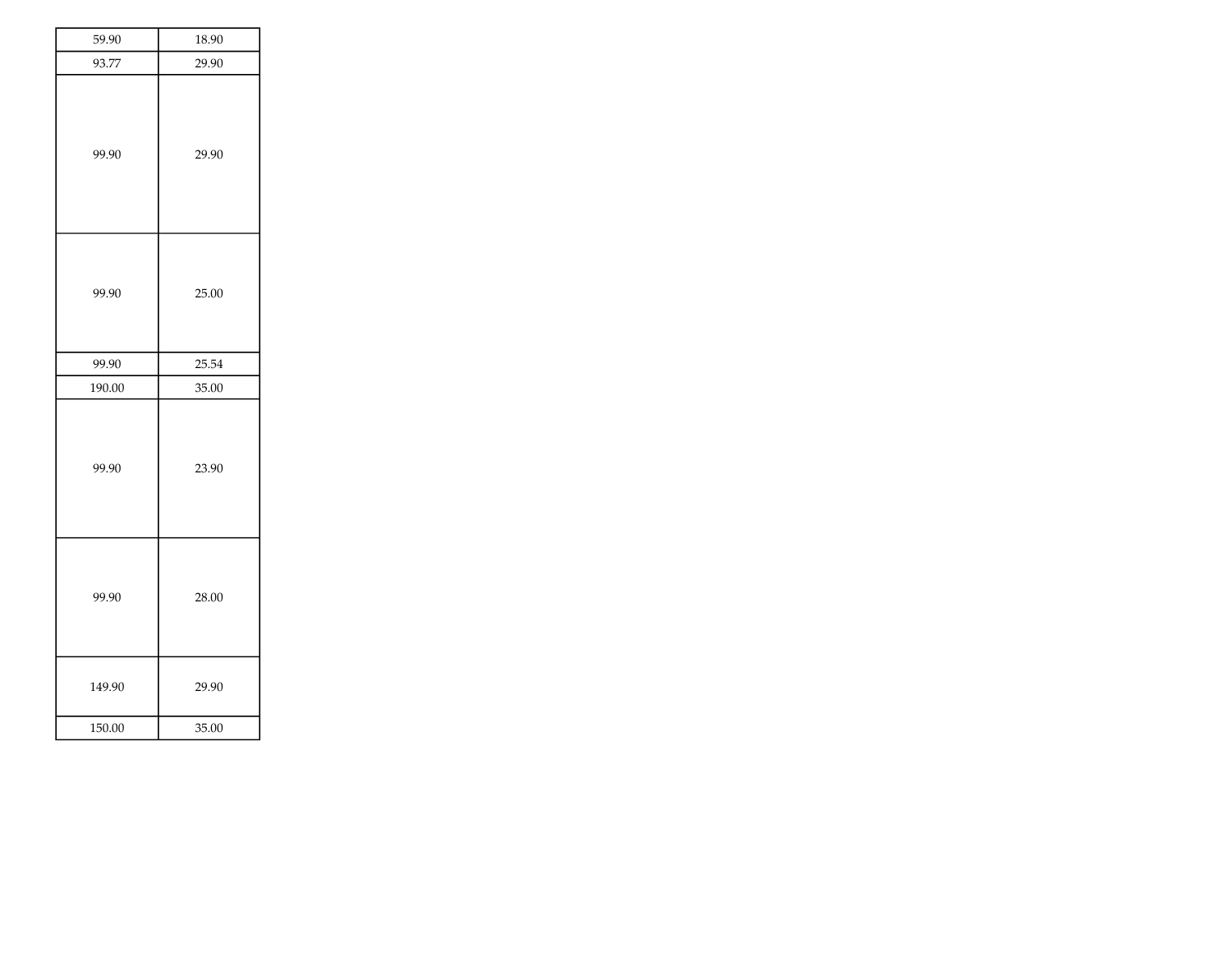| 93.77<br>29.90<br>99.90<br>29.90<br>99.90<br>25.00<br>99.90<br>25.54<br>190.00<br>35.00<br>99.90<br>23.90<br>99.90<br>28.00<br>149.90<br>29.90<br>150.00<br>35.00 | 59.90 | 18.90 |
|-------------------------------------------------------------------------------------------------------------------------------------------------------------------|-------|-------|
|                                                                                                                                                                   |       |       |
|                                                                                                                                                                   |       |       |
|                                                                                                                                                                   |       |       |
|                                                                                                                                                                   |       |       |
|                                                                                                                                                                   |       |       |
|                                                                                                                                                                   |       |       |
|                                                                                                                                                                   |       |       |
|                                                                                                                                                                   |       |       |
|                                                                                                                                                                   |       |       |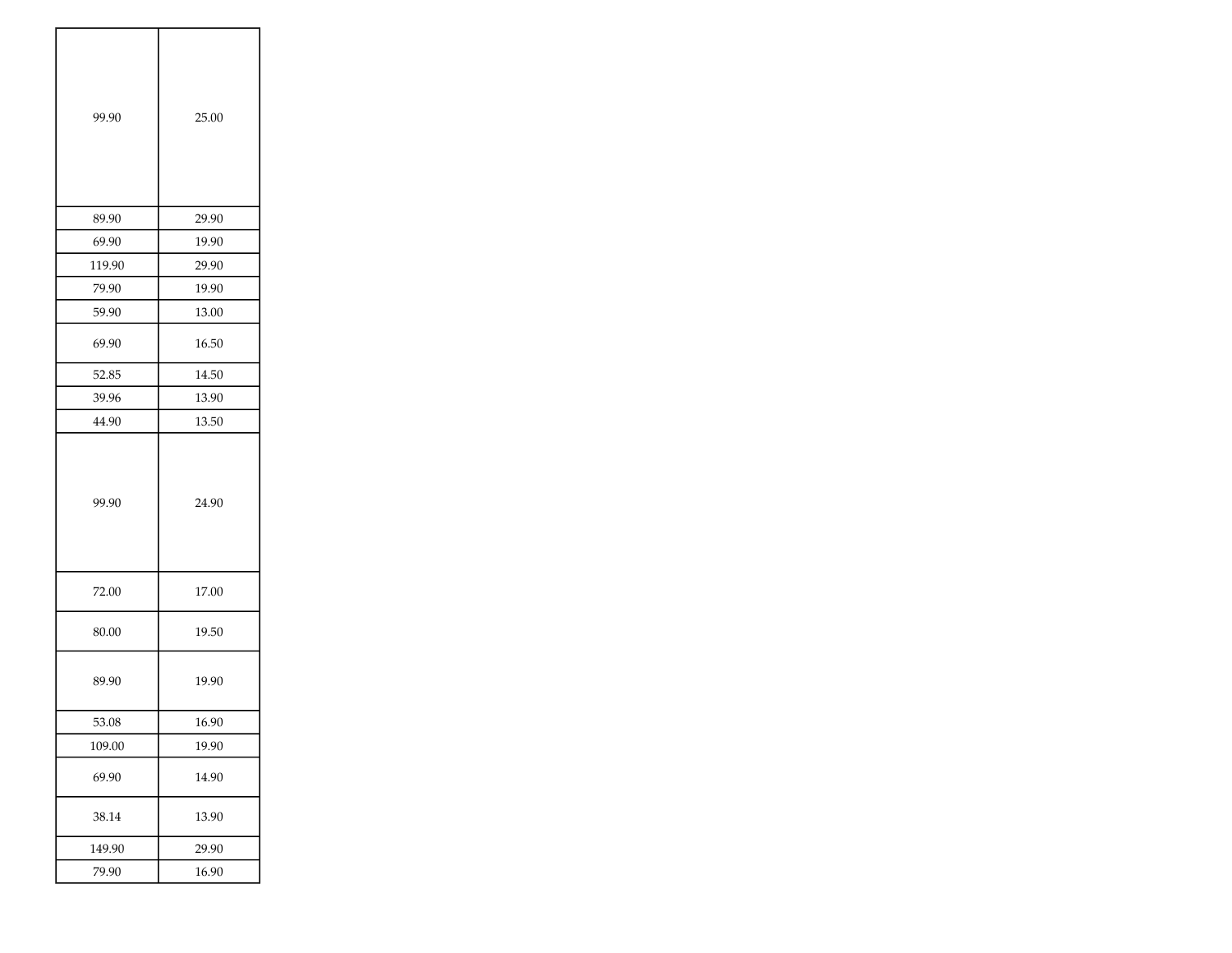| 99.90  | 25.00 |
|--------|-------|
| 89.90  | 29.90 |
| 69.90  | 19.90 |
| 119.90 | 29.90 |
| 79.90  | 19.90 |
| 59.90  | 13.00 |
| 69.90  | 16.50 |
| 52.85  | 14.50 |
| 39.96  | 13.90 |
| 44.90  | 13.50 |
| 99.90  | 24.90 |
| 72.00  | 17.00 |
| 80.00  | 19.50 |
| 89.90  | 19.90 |
| 53.08  | 16.90 |
| 109.00 | 19.90 |
| 69.90  | 14.90 |
| 38.14  | 13.90 |
| 149.90 | 29.90 |
| 79.90  | 16.90 |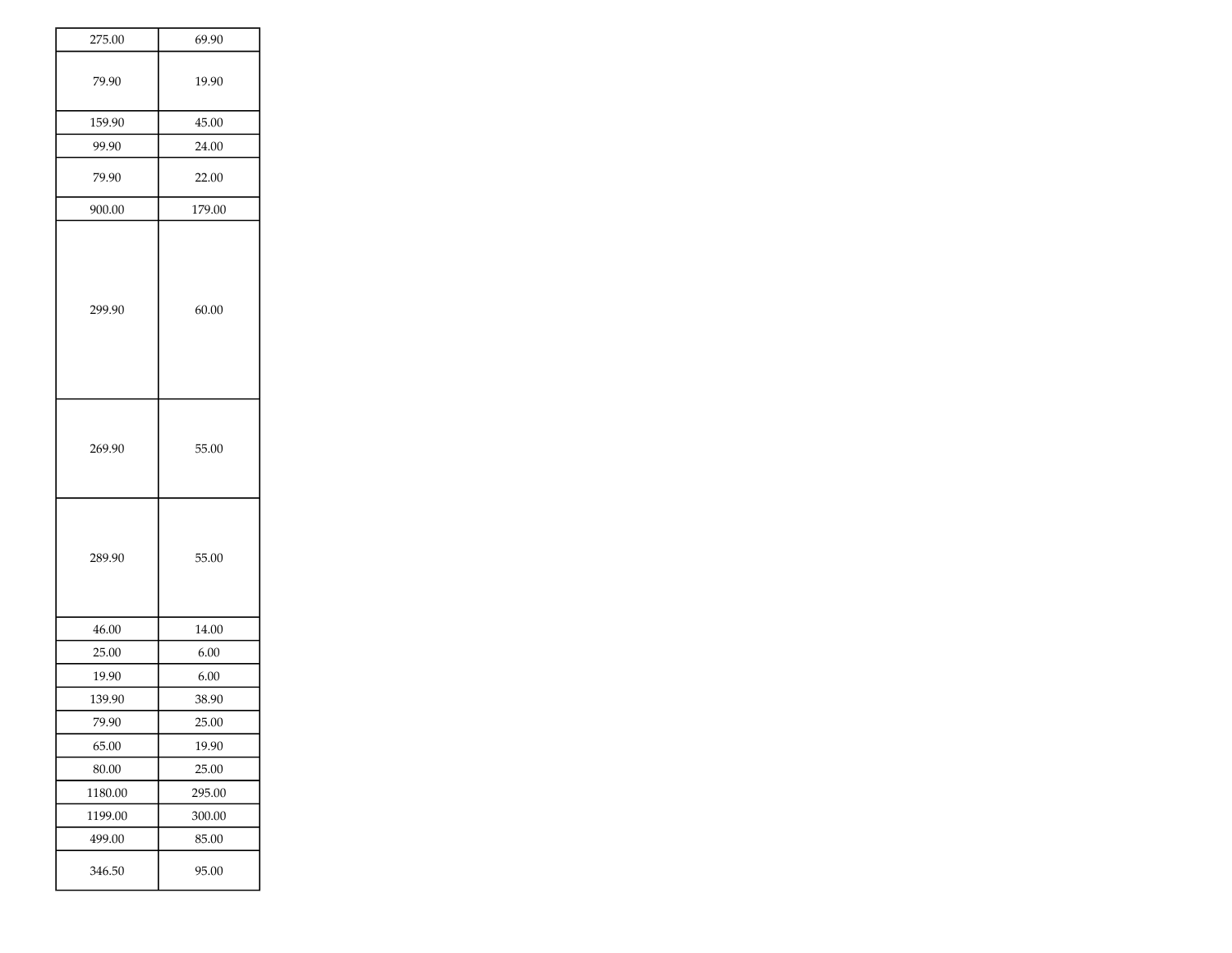| 275.00  | 69.90  |
|---------|--------|
| 79.90   | 19.90  |
| 159.90  | 45.00  |
| 99.90   | 24.00  |
| 79.90   | 22.00  |
| 900.00  | 179.00 |
| 299.90  | 60.00  |
| 269.90  | 55.00  |
| 289.90  | 55.00  |
| 46.00   | 14.00  |
| 25.00   | 6.00   |
| 19.90   | 6.00   |
| 139.90  | 38.90  |
| 79.90   | 25.00  |
| 65.00   | 19.90  |
| 80.00   | 25.00  |
| 1180.00 | 295.00 |
| 1199.00 | 300.00 |
| 499.00  | 85.00  |
| 346.50  | 95.00  |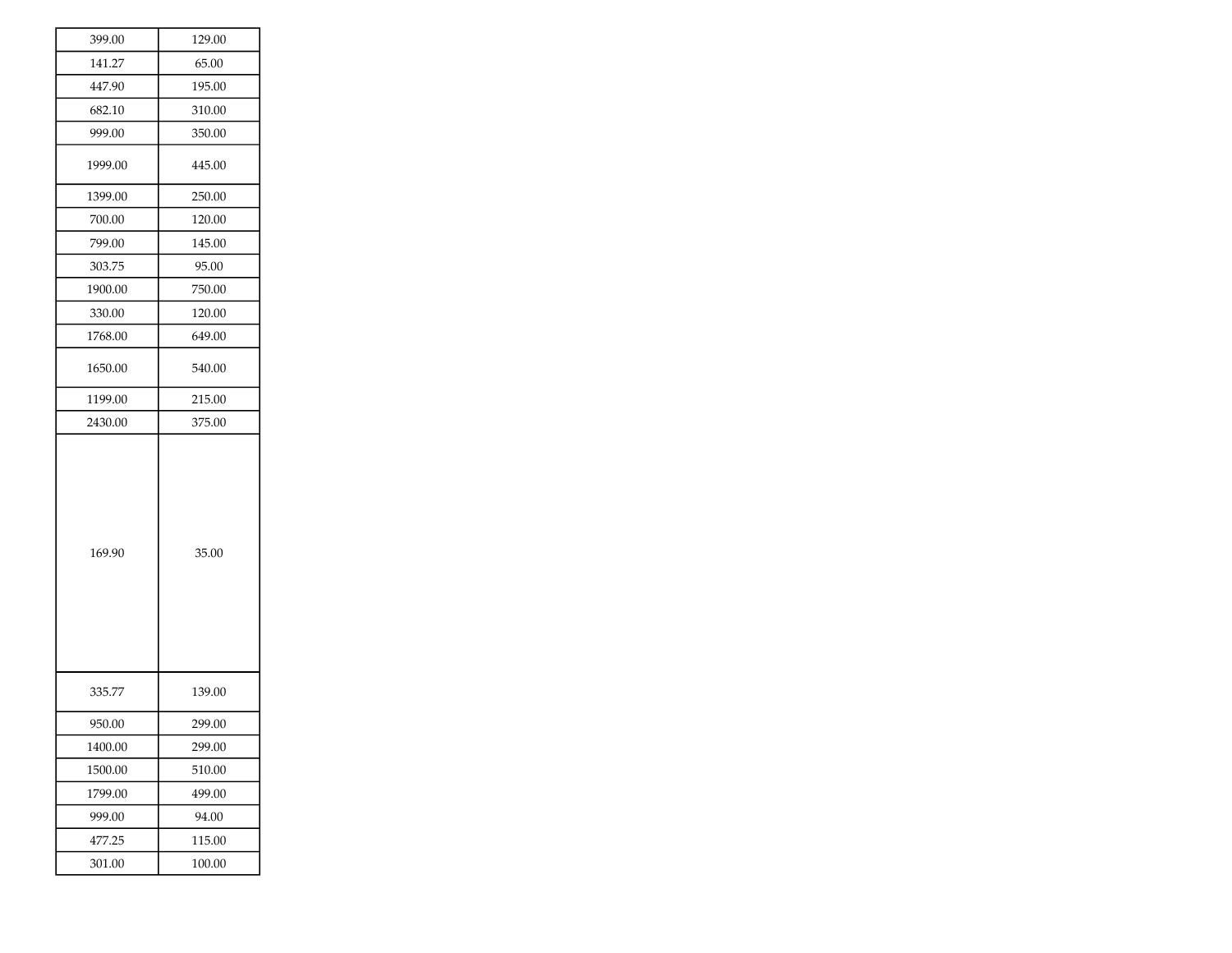| 399.00  | 129.00 |
|---------|--------|
| 141.27  | 65.00  |
| 447.90  | 195.00 |
| 682.10  | 310.00 |
| 999.00  | 350.00 |
| 1999.00 | 445.00 |
| 1399.00 | 250.00 |
| 700.00  | 120.00 |
| 799.00  | 145.00 |
| 303.75  | 95.00  |
| 1900.00 | 750.00 |
| 330.00  | 120.00 |
| 1768.00 | 649.00 |
| 1650.00 | 540.00 |
| 1199.00 | 215.00 |
| 2430.00 | 375.00 |
| 169.90  | 35.00  |
| 335.77  | 139.00 |
| 950.00  | 299.00 |
| 1400.00 | 299.00 |
| 1500.00 | 510.00 |
| 1799.00 |        |
|         | 499.00 |
| 999.00  | 94.00  |
| 477.25  | 115.00 |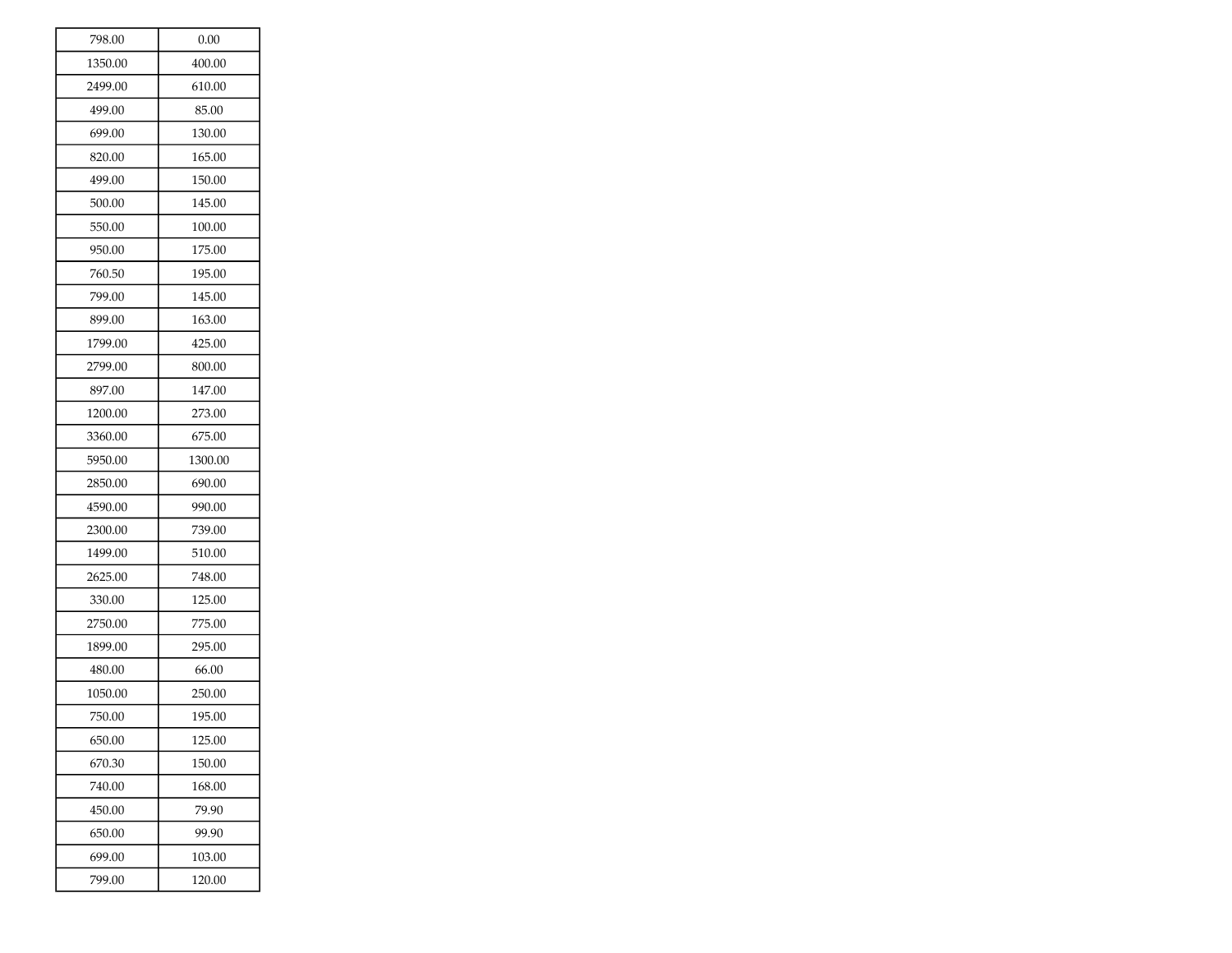| 798.00  | 0.00    |
|---------|---------|
| 1350.00 | 400.00  |
| 2499.00 | 610.00  |
| 499.00  | 85.00   |
| 699.00  | 130.00  |
| 820.00  | 165.00  |
| 499.00  | 150.00  |
| 500.00  | 145.00  |
| 550.00  | 100.00  |
| 950.00  | 175.00  |
| 760.50  | 195.00  |
| 799.00  | 145.00  |
| 899.00  | 163.00  |
| 1799.00 | 425.00  |
| 2799.00 | 800.00  |
| 897.00  | 147.00  |
| 1200.00 | 273.00  |
| 3360.00 | 675.00  |
| 5950.00 | 1300.00 |
| 2850.00 | 690.00  |
| 4590.00 | 990.00  |
| 2300.00 | 739.00  |
| 1499.00 | 510.00  |
| 2625.00 | 748.00  |
| 330.00  | 125.00  |
| 2750.00 | 775.00  |
| 1899.00 | 295.00  |
| 480.00  | 66.00   |
| 1050.00 | 250.00  |
| 750.00  | 195.00  |
| 650.00  | 125.00  |
| 670.30  | 150.00  |
| 740.00  | 168.00  |
| 450.00  | 79.90   |
| 650.00  | 99.90   |
| 699.00  | 103.00  |
| 799.00  | 120.00  |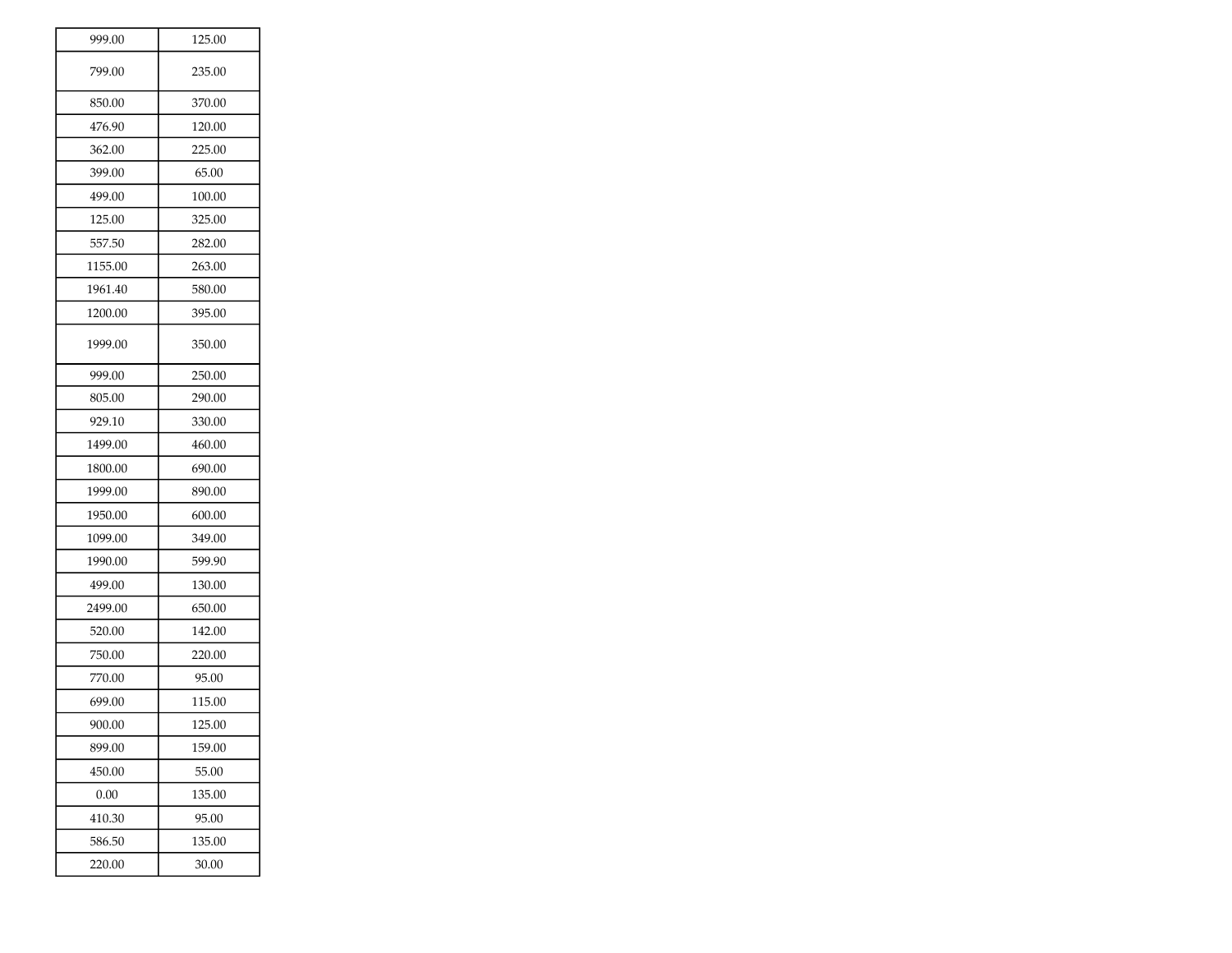| 999.00  | 125.00 |
|---------|--------|
| 799.00  | 235.00 |
| 850.00  | 370.00 |
| 476.90  | 120.00 |
| 362.00  | 225.00 |
| 399.00  | 65.00  |
| 499.00  | 100.00 |
| 125.00  | 325.00 |
| 557.50  | 282.00 |
| 1155.00 | 263.00 |
| 1961.40 | 580.00 |
| 1200.00 | 395.00 |
| 1999.00 | 350.00 |
| 999.00  | 250.00 |
| 805.00  | 290.00 |
| 929.10  | 330.00 |
| 1499.00 | 460.00 |
| 1800.00 | 690.00 |
| 1999.00 | 890.00 |
| 1950.00 | 600.00 |
| 1099.00 | 349.00 |
| 1990.00 | 599.90 |
| 499.00  | 130.00 |
| 2499.00 | 650.00 |
| 520.00  | 142.00 |
| 750.00  | 220.00 |
| 770.00  | 95.00  |
| 699.00  | 115.00 |
| 900.00  | 125.00 |
| 899.00  | 159.00 |
| 450.00  | 55.00  |
| 0.00    | 135.00 |
| 410.30  | 95.00  |
| 586.50  | 135.00 |
| 220.00  | 30.00  |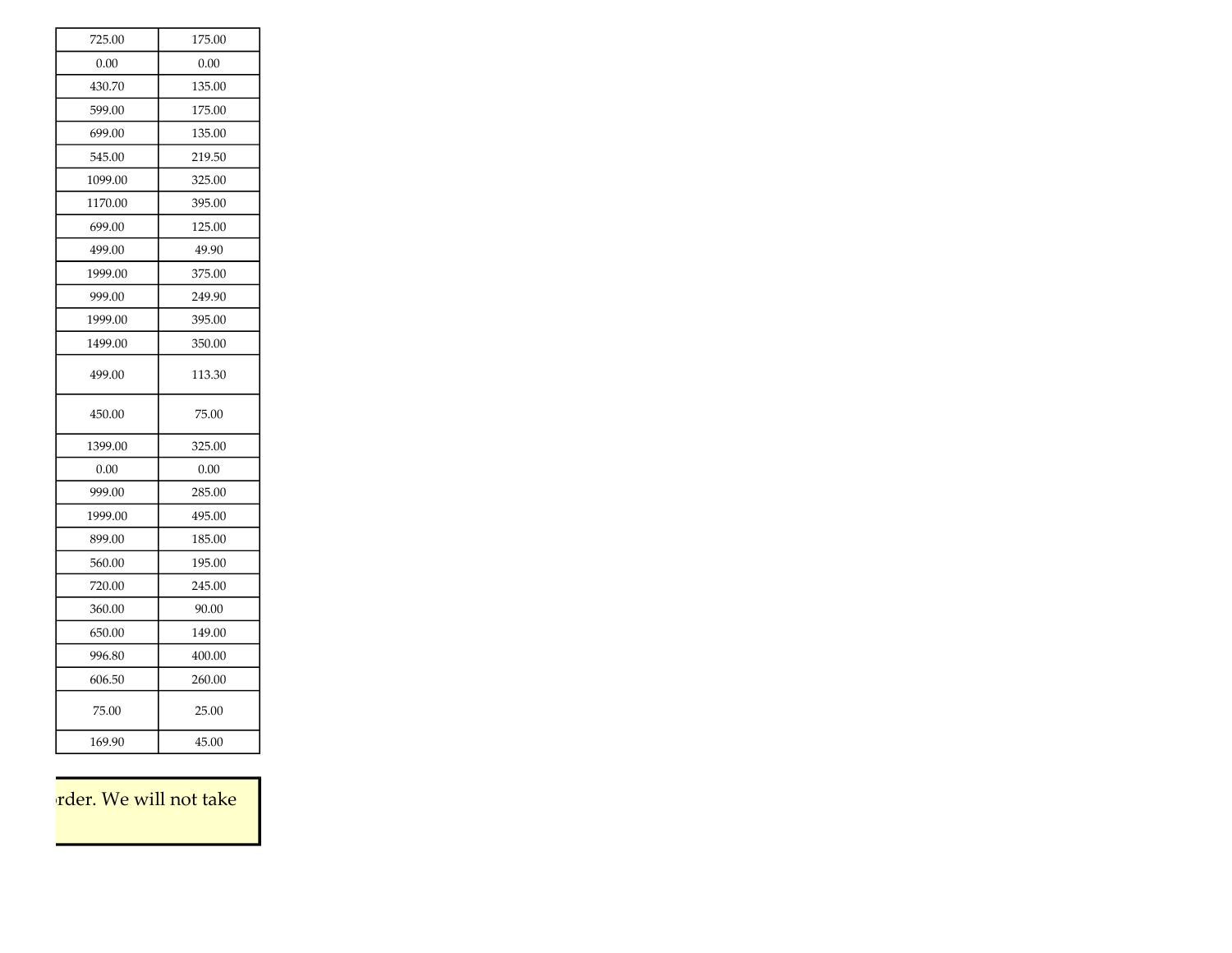| 725.00  | 175.00 |
|---------|--------|
| 0.00    | 0.00   |
| 430.70  | 135.00 |
| 599.00  | 175.00 |
| 699.00  | 135.00 |
| 545.00  | 219.50 |
| 1099.00 | 325.00 |
| 1170.00 | 395.00 |
| 699.00  | 125.00 |
| 499.00  | 49.90  |
| 1999.00 | 375.00 |
| 999.00  | 249.90 |
| 1999.00 | 395.00 |
| 1499.00 | 350.00 |
| 499.00  | 113.30 |
| 450.00  | 75.00  |
| 1399.00 | 325.00 |
| 0.00    | 0.00   |
| 999.00  | 285.00 |
| 1999.00 | 495.00 |
| 899.00  | 185.00 |
| 560.00  | 195.00 |
| 720.00  | 245.00 |
| 360.00  | 90.00  |
| 650.00  | 149.00 |
| 996.80  | 400.00 |
| 606.50  | 260.00 |
| 75.00   | 25.00  |
| 169.90  | 45.00  |

rder. We will not take